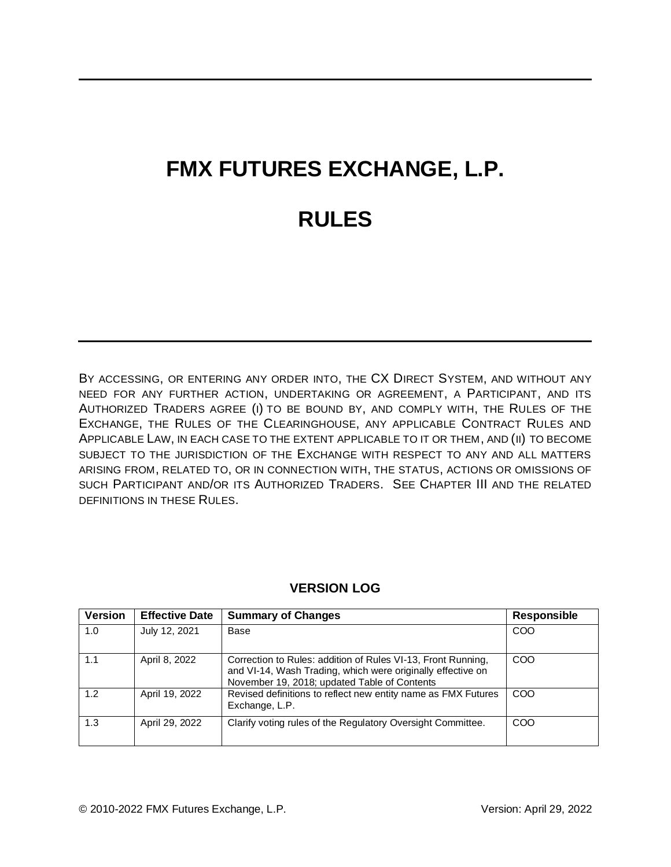# **FMX FUTURES EXCHANGE, L.P. RULES**

BY ACCESSING, OR ENTERING ANY ORDER INTO, THE CX DIRECT SYSTEM, AND WITHOUT ANY NEED FOR ANY FURTHER ACTION, UNDERTAKING OR AGREEMENT, A PARTICIPANT, AND ITS AUTHORIZED TRADERS AGREE (I) TO BE BOUND BY, AND COMPLY WITH, THE RULES OF THE EXCHANGE, THE RULES OF THE CLEARINGHOUSE, ANY APPLICABLE CONTRACT RULES AND APPLICABLE LAW, IN EACH CASE TO THE EXTENT APPLICABLE TO IT OR THEM, AND (II) TO BECOME SUBJECT TO THE JURISDICTION OF THE EXCHANGE WITH RESPECT TO ANY AND ALL MATTERS ARISING FROM, RELATED TO, OR IN CONNECTION WITH, THE STATUS, ACTIONS OR OMISSIONS OF SUCH PARTICIPANT AND/OR ITS AUTHORIZED TRADERS. SEE CHAPTER III AND THE RELATED DEFINITIONS IN THESE RULES.

| <b>Version</b> | <b>Effective Date</b> | <b>Summary of Changes</b>                                                                                                                                                   | <b>Responsible</b> |
|----------------|-----------------------|-----------------------------------------------------------------------------------------------------------------------------------------------------------------------------|--------------------|
| 1.0            | July 12, 2021         | Base                                                                                                                                                                        | COO                |
| 1.1            | April 8, 2022         | Correction to Rules: addition of Rules VI-13, Front Running,<br>and VI-14, Wash Trading, which were originally effective on<br>November 19, 2018; updated Table of Contents | COO                |
| 1.2            | April 19, 2022        | Revised definitions to reflect new entity name as FMX Futures<br>Exchange, L.P.                                                                                             | COO                |
| 1.3            | April 29, 2022        | Clarify voting rules of the Regulatory Oversight Committee.                                                                                                                 | COO                |

## **VERSION LOG**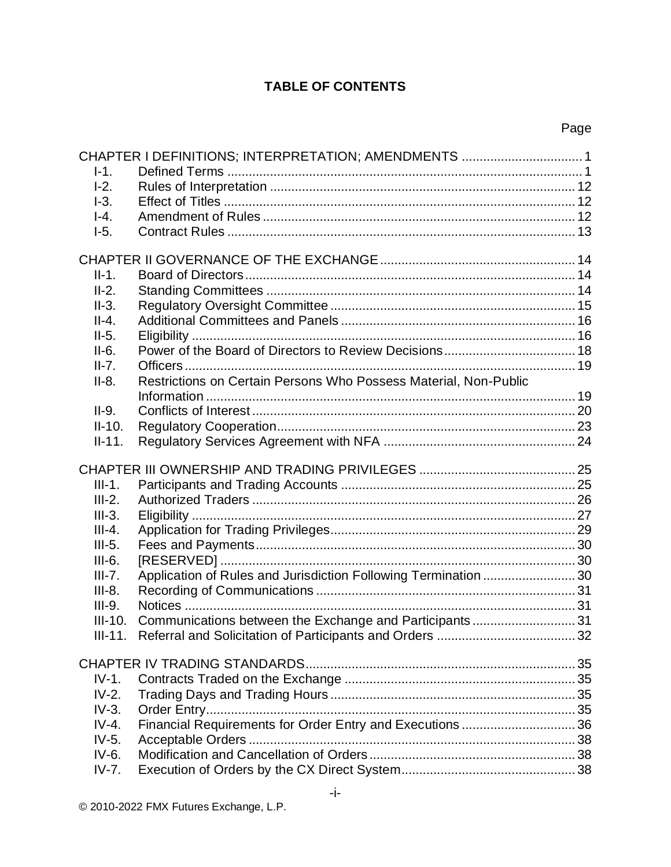# **TABLE OF CONTENTS**

Page

|           | CHAPTER I DEFINITIONS; INTERPRETATION; AMENDMENTS  1             |  |
|-----------|------------------------------------------------------------------|--|
| $I-1.$    |                                                                  |  |
| $-2.$     |                                                                  |  |
| $-3.$     |                                                                  |  |
| $I-4.$    |                                                                  |  |
| $-5.$     |                                                                  |  |
|           |                                                                  |  |
|           |                                                                  |  |
| $II-1.$   |                                                                  |  |
| $II-2.$   |                                                                  |  |
| $II-3.$   |                                                                  |  |
| $II-4.$   |                                                                  |  |
| $II-5.$   |                                                                  |  |
| $II-6.$   |                                                                  |  |
| $II-7.$   |                                                                  |  |
| $II-8.$   | Restrictions on Certain Persons Who Possess Material, Non-Public |  |
|           |                                                                  |  |
| $II-9.$   |                                                                  |  |
| $II-10.$  |                                                                  |  |
| $II-11.$  |                                                                  |  |
|           |                                                                  |  |
|           |                                                                  |  |
| $III-1.$  |                                                                  |  |
| $III-2.$  |                                                                  |  |
| $III-3.$  |                                                                  |  |
| $III-4.$  |                                                                  |  |
| $III-5.$  |                                                                  |  |
| $III-6.$  |                                                                  |  |
| $III-7.$  | Application of Rules and Jurisdiction Following Termination 30   |  |
| $III-8.$  |                                                                  |  |
| $III-9.$  |                                                                  |  |
| $III-10.$ | Communications between the Exchange and Participants 31          |  |
|           |                                                                  |  |
|           |                                                                  |  |
|           |                                                                  |  |
| $IV-1.$   |                                                                  |  |
| $IV-2.$   |                                                                  |  |
| $IV-3.$   |                                                                  |  |
| $IV-4.$   |                                                                  |  |
|           | Financial Requirements for Order Entry and Executions  36        |  |
| $IV-5.$   |                                                                  |  |
| $IV-6.$   |                                                                  |  |
| $IV-7.$   |                                                                  |  |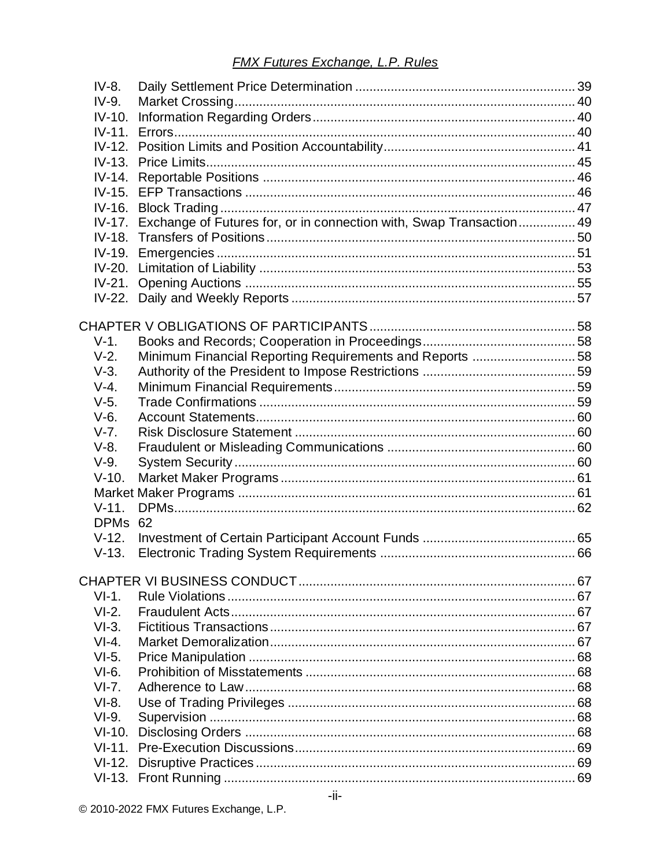| IV-8.    |                                                                     |  |
|----------|---------------------------------------------------------------------|--|
| IV-9.    |                                                                     |  |
| $IV-10.$ |                                                                     |  |
| $IV-11.$ |                                                                     |  |
|          |                                                                     |  |
| $IV-13.$ |                                                                     |  |
| $IV-14.$ |                                                                     |  |
| $IV-15.$ |                                                                     |  |
| $IV-16.$ |                                                                     |  |
| $IV-17.$ | Exchange of Futures for, or in connection with, Swap Transaction 49 |  |
| $IV-18.$ |                                                                     |  |
| $IV-19.$ |                                                                     |  |
| $IV-20.$ |                                                                     |  |
| $IV-21.$ |                                                                     |  |
|          |                                                                     |  |
|          |                                                                     |  |
|          |                                                                     |  |
| $V-1.$   |                                                                     |  |
| $V-2.$   | Minimum Financial Reporting Requirements and Reports 58             |  |
| $V-3.$   |                                                                     |  |
| $V-4.$   |                                                                     |  |
| $V-5.$   |                                                                     |  |
| $V-6.$   |                                                                     |  |
| $V-7.$   |                                                                     |  |
| $V-8.$   |                                                                     |  |
| $V-9.$   |                                                                     |  |
| $V-10.$  |                                                                     |  |
|          |                                                                     |  |
| $V-11.$  |                                                                     |  |
| DPMs 62  |                                                                     |  |
| $V-12.$  |                                                                     |  |
| $V-13.$  |                                                                     |  |
|          |                                                                     |  |
|          |                                                                     |  |
| $VI-1.$  |                                                                     |  |
| $VI-2.$  |                                                                     |  |
| $VI-3.$  |                                                                     |  |
| $VI-4.$  |                                                                     |  |
| $VI-5.$  |                                                                     |  |
| $VI-6.$  |                                                                     |  |
| $VI-7.$  |                                                                     |  |
| $VI-8.$  |                                                                     |  |
| $VI-9.$  |                                                                     |  |
|          |                                                                     |  |
|          |                                                                     |  |
|          |                                                                     |  |
|          |                                                                     |  |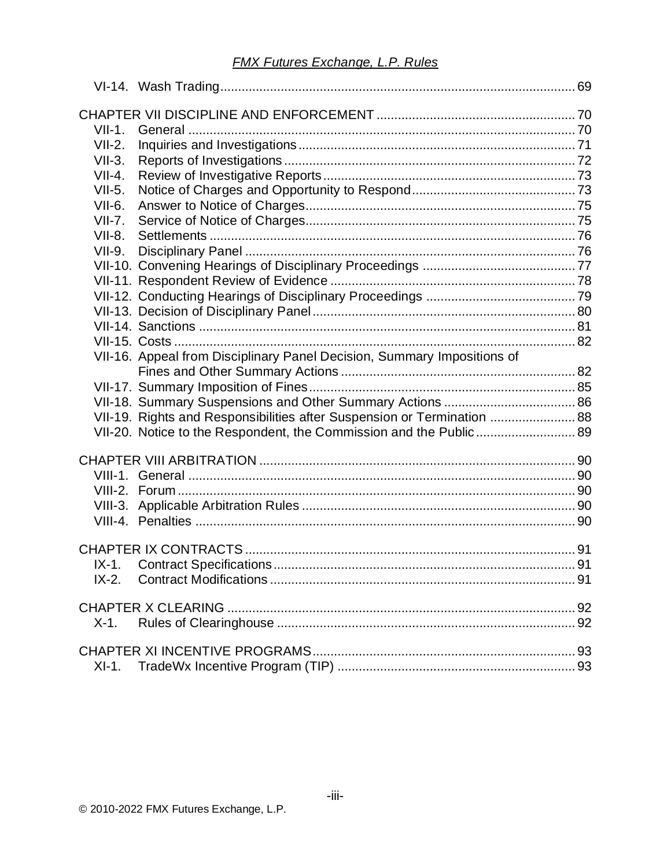| $VII-1.$ |                                                                         |  |  |  |
|----------|-------------------------------------------------------------------------|--|--|--|
| $VII-2.$ |                                                                         |  |  |  |
| $VII-3.$ |                                                                         |  |  |  |
| $VII-4.$ |                                                                         |  |  |  |
| $VII-5.$ |                                                                         |  |  |  |
| $VII-6.$ |                                                                         |  |  |  |
| $VII-7.$ |                                                                         |  |  |  |
| $VII-8.$ |                                                                         |  |  |  |
| $VII-9.$ |                                                                         |  |  |  |
|          |                                                                         |  |  |  |
|          |                                                                         |  |  |  |
|          |                                                                         |  |  |  |
|          |                                                                         |  |  |  |
|          |                                                                         |  |  |  |
|          |                                                                         |  |  |  |
|          | VII-16. Appeal from Disciplinary Panel Decision, Summary Impositions of |  |  |  |
|          |                                                                         |  |  |  |
|          |                                                                         |  |  |  |
|          | VII-19. Rights and Responsibilities after Suspension or Termination  88 |  |  |  |
|          | VII-20. Notice to the Respondent, the Commission and the Public 89      |  |  |  |
|          |                                                                         |  |  |  |
|          |                                                                         |  |  |  |
|          |                                                                         |  |  |  |
|          |                                                                         |  |  |  |
|          |                                                                         |  |  |  |
|          |                                                                         |  |  |  |
|          |                                                                         |  |  |  |
|          |                                                                         |  |  |  |
| $IX-2.$  |                                                                         |  |  |  |
|          |                                                                         |  |  |  |
|          |                                                                         |  |  |  |
| $X-1$ .  |                                                                         |  |  |  |
|          |                                                                         |  |  |  |
|          |                                                                         |  |  |  |
| $XI-1.$  |                                                                         |  |  |  |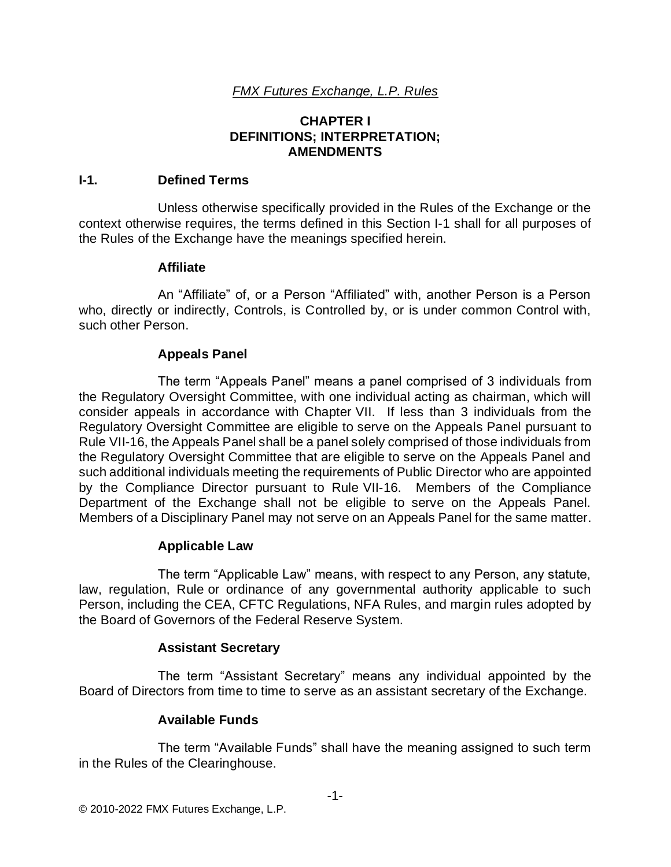## **CHAPTER I DEFINITIONS; INTERPRETATION; AMENDMENTS**

#### **I-1. Defined Terms**

Unless otherwise specifically provided in the Rules of the Exchange or the context otherwise requires, the terms defined in this Section I-1 shall for all purposes of the Rules of the Exchange have the meanings specified herein.

#### **Affiliate**

An "Affiliate" of, or a Person "Affiliated" with, another Person is a Person who, directly or indirectly, Controls, is Controlled by, or is under common Control with, such other Person.

## **Appeals Panel**

The term "Appeals Panel" means a panel comprised of 3 individuals from the Regulatory Oversight Committee, with one individual acting as chairman, which will consider appeals in accordance with Chapter VII. If less than 3 individuals from the Regulatory Oversight Committee are eligible to serve on the Appeals Panel pursuant to Rule VII-16, the Appeals Panel shall be a panel solely comprised of those individuals from the Regulatory Oversight Committee that are eligible to serve on the Appeals Panel and such additional individuals meeting the requirements of Public Director who are appointed by the Compliance Director pursuant to Rule VII-16. Members of the Compliance Department of the Exchange shall not be eligible to serve on the Appeals Panel. Members of a Disciplinary Panel may not serve on an Appeals Panel for the same matter.

## **Applicable Law**

The term "Applicable Law" means, with respect to any Person, any statute, law, regulation, Rule or ordinance of any governmental authority applicable to such Person, including the CEA, CFTC Regulations, NFA Rules, and margin rules adopted by the Board of Governors of the Federal Reserve System.

## **Assistant Secretary**

The term "Assistant Secretary" means any individual appointed by the Board of Directors from time to time to serve as an assistant secretary of the Exchange.

## **Available Funds**

The term "Available Funds" shall have the meaning assigned to such term in the Rules of the Clearinghouse.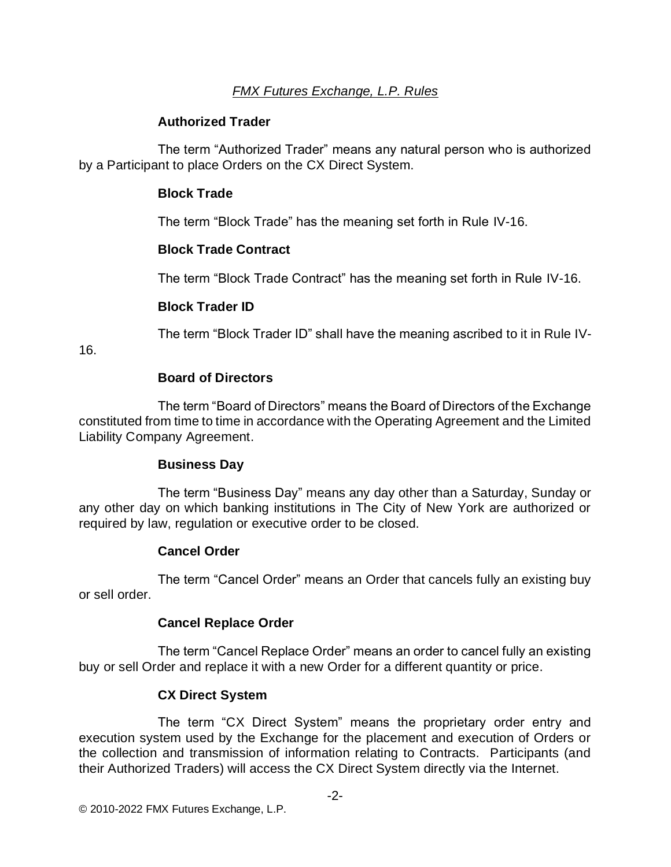# **Authorized Trader**

The term "Authorized Trader" means any natural person who is authorized by a Participant to place Orders on the CX Direct System.

## **Block Trade**

The term "Block Trade" has the meaning set forth in Rule IV-16.

# **Block Trade Contract**

The term "Block Trade Contract" has the meaning set forth in Rule IV-16.

# **Block Trader ID**

The term "Block Trader ID" shall have the meaning ascribed to it in Rule IV-

16.

## **Board of Directors**

The term "Board of Directors" means the Board of Directors of the Exchange constituted from time to time in accordance with the Operating Agreement and the Limited Liability Company Agreement.

## **Business Day**

The term "Business Day" means any day other than a Saturday, Sunday or any other day on which banking institutions in The City of New York are authorized or required by law, regulation or executive order to be closed.

# **Cancel Order**

The term "Cancel Order" means an Order that cancels fully an existing buy or sell order.

## **Cancel Replace Order**

The term "Cancel Replace Order" means an order to cancel fully an existing buy or sell Order and replace it with a new Order for a different quantity or price.

# **CX Direct System**

The term "CX Direct System" means the proprietary order entry and execution system used by the Exchange for the placement and execution of Orders or the collection and transmission of information relating to Contracts. Participants (and their Authorized Traders) will access the CX Direct System directly via the Internet.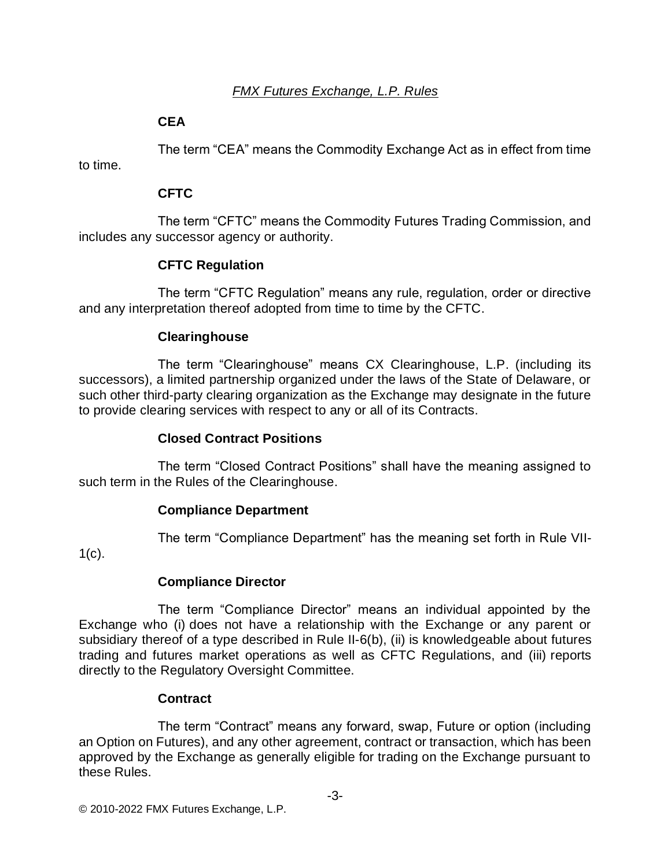# **CEA**

to time.

The term "CEA" means the Commodity Exchange Act as in effect from time

# **CFTC**

The term "CFTC" means the Commodity Futures Trading Commission, and includes any successor agency or authority.

# **CFTC Regulation**

The term "CFTC Regulation" means any rule, regulation, order or directive and any interpretation thereof adopted from time to time by the CFTC.

# **Clearinghouse**

The term "Clearinghouse" means CX Clearinghouse, L.P. (including its successors), a limited partnership organized under the laws of the State of Delaware, or such other third-party clearing organization as the Exchange may designate in the future to provide clearing services with respect to any or all of its Contracts.

# **Closed Contract Positions**

The term "Closed Contract Positions" shall have the meaning assigned to such term in the Rules of the Clearinghouse.

# **Compliance Department**

The term "Compliance Department" has the meaning set forth in Rule VII-

 $1(c)$ .

# **Compliance Director**

The term "Compliance Director" means an individual appointed by the Exchange who (i) does not have a relationship with the Exchange or any parent or subsidiary thereof of a type described in Rule II-6(b), (ii) is knowledgeable about futures trading and futures market operations as well as CFTC Regulations, and (iii) reports directly to the Regulatory Oversight Committee.

# **Contract**

The term "Contract" means any forward, swap, Future or option (including an Option on Futures), and any other agreement, contract or transaction, which has been approved by the Exchange as generally eligible for trading on the Exchange pursuant to these Rules.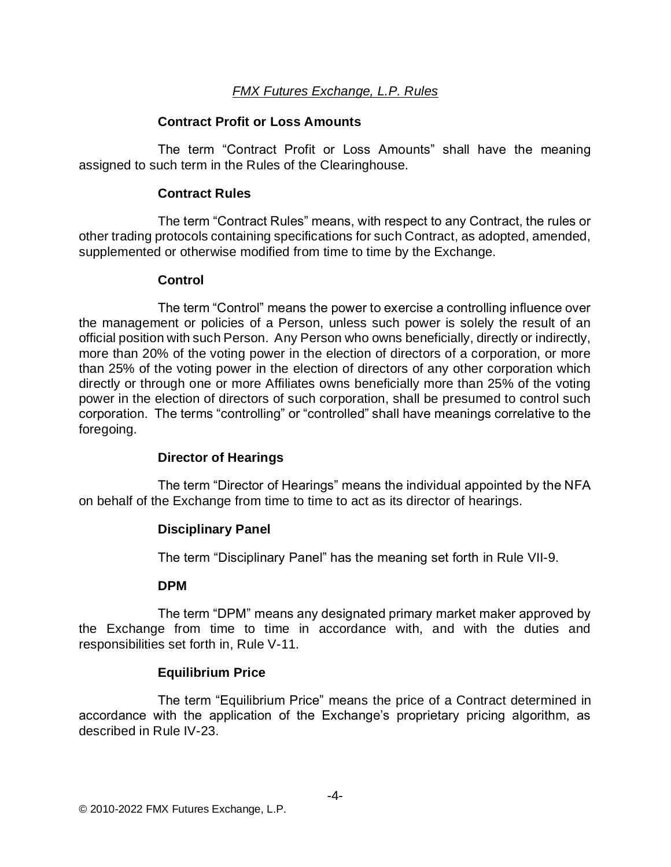#### **Contract Profit or Loss Amounts**

The term "Contract Profit or Loss Amounts" shall have the meaning assigned to such term in the Rules of the Clearinghouse.

#### **Contract Rules**

The term "Contract Rules" means, with respect to any Contract, the rules or other trading protocols containing specifications for such Contract, as adopted, amended, supplemented or otherwise modified from time to time by the Exchange.

#### **Control**

The term "Control" means the power to exercise a controlling influence over the management or policies of a Person, unless such power is solely the result of an official position with such Person. Any Person who owns beneficially, directly or indirectly, more than 20% of the voting power in the election of directors of a corporation, or more than 25% of the voting power in the election of directors of any other corporation which directly or through one or more Affiliates owns beneficially more than 25% of the voting power in the election of directors of such corporation, shall be presumed to control such corporation. The terms "controlling" or "controlled" shall have meanings correlative to the foregoing.

## **Director of Hearings**

The term "Director of Hearings" means the individual appointed by the NFA on behalf of the Exchange from time to time to act as its director of hearings.

## **Disciplinary Panel**

The term "Disciplinary Panel" has the meaning set forth in Rule VII-9.

#### **DPM**

The term "DPM" means any designated primary market maker approved by the Exchange from time to time in accordance with, and with the duties and responsibilities set forth in, Rule V-11.

## **Equilibrium Price**

The term "Equilibrium Price" means the price of a Contract determined in accordance with the application of the Exchange's proprietary pricing algorithm, as described in Rule IV-23.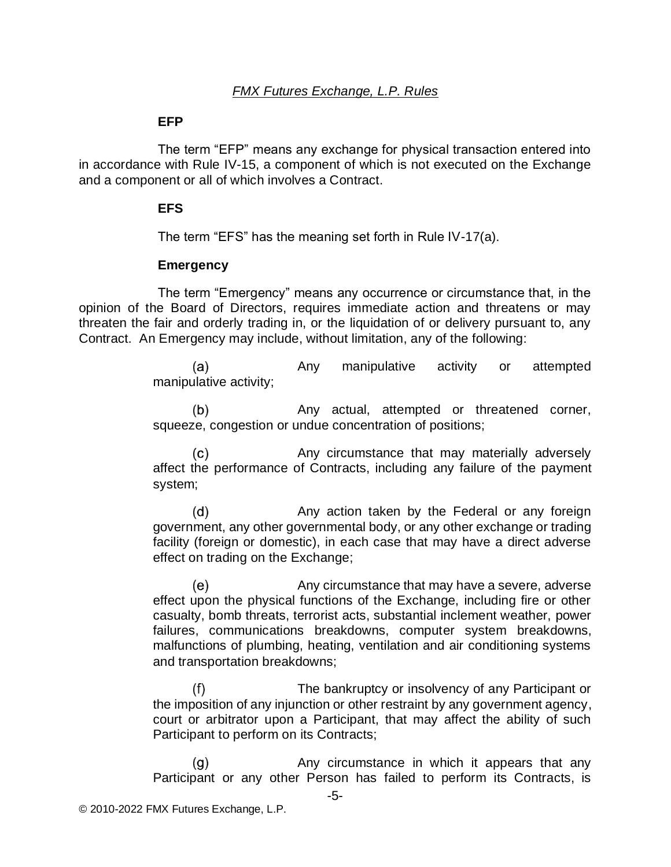#### **EFP**

The term "EFP" means any exchange for physical transaction entered into in accordance with Rule IV-15, a component of which is not executed on the Exchange and a component or all of which involves a Contract.

#### **EFS**

The term "EFS" has the meaning set forth in Rule IV-17(a).

#### **Emergency**

The term "Emergency" means any occurrence or circumstance that, in the opinion of the Board of Directors, requires immediate action and threatens or may threaten the fair and orderly trading in, or the liquidation of or delivery pursuant to, any Contract. An Emergency may include, without limitation, any of the following:

> $(a)$ Any manipulative activity or attempted manipulative activity;

> Any actual, attempted or threatened corner,  $(b)$ squeeze, congestion or undue concentration of positions;

> $(c)$ Any circumstance that may materially adversely affect the performance of Contracts, including any failure of the payment system;

> $(d)$ Any action taken by the Federal or any foreign government, any other governmental body, or any other exchange or trading facility (foreign or domestic), in each case that may have a direct adverse effect on trading on the Exchange;

> Any circumstance that may have a severe, adverse (e) effect upon the physical functions of the Exchange, including fire or other casualty, bomb threats, terrorist acts, substantial inclement weather, power failures, communications breakdowns, computer system breakdowns, malfunctions of plumbing, heating, ventilation and air conditioning systems and transportation breakdowns;

> The bankruptcy or insolvency of any Participant or  $(f)$ the imposition of any injunction or other restraint by any government agency, court or arbitrator upon a Participant, that may affect the ability of such Participant to perform on its Contracts;

> Any circumstance in which it appears that any  $(g)$ Participant or any other Person has failed to perform its Contracts, is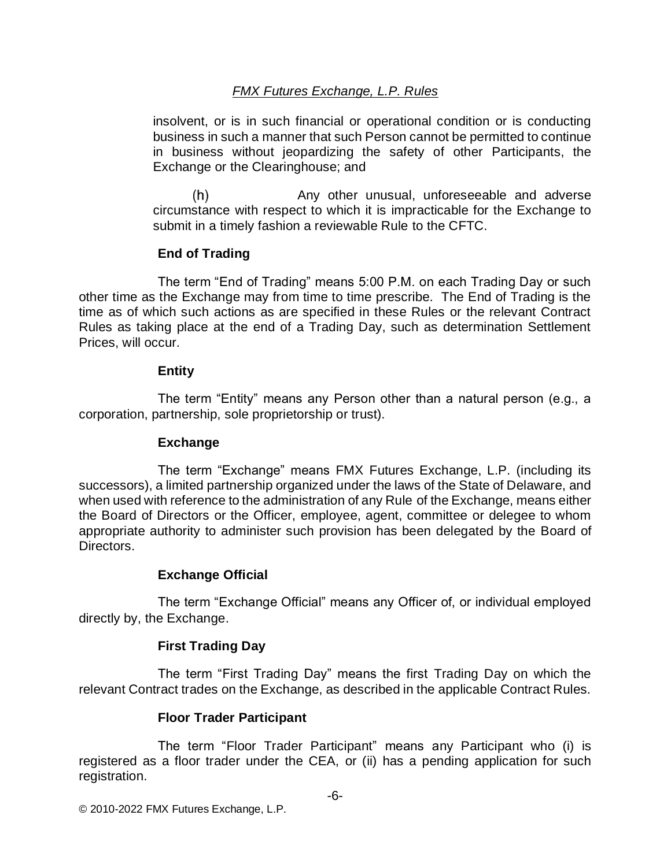insolvent, or is in such financial or operational condition or is conducting business in such a manner that such Person cannot be permitted to continue in business without jeopardizing the safety of other Participants, the Exchange or the Clearinghouse; and

 $(h)$ Any other unusual, unforeseeable and adverse circumstance with respect to which it is impracticable for the Exchange to submit in a timely fashion a reviewable Rule to the CFTC.

## **End of Trading**

The term "End of Trading" means 5:00 P.M. on each Trading Day or such other time as the Exchange may from time to time prescribe. The End of Trading is the time as of which such actions as are specified in these Rules or the relevant Contract Rules as taking place at the end of a Trading Day, such as determination Settlement Prices, will occur.

## **Entity**

The term "Entity" means any Person other than a natural person (e.g., a corporation, partnership, sole proprietorship or trust).

## **Exchange**

The term "Exchange" means FMX Futures Exchange, L.P. (including its successors), a limited partnership organized under the laws of the State of Delaware, and when used with reference to the administration of any Rule of the Exchange, means either the Board of Directors or the Officer, employee, agent, committee or delegee to whom appropriate authority to administer such provision has been delegated by the Board of Directors.

# **Exchange Official**

The term "Exchange Official" means any Officer of, or individual employed directly by, the Exchange.

# **First Trading Day**

The term "First Trading Day" means the first Trading Day on which the relevant Contract trades on the Exchange, as described in the applicable Contract Rules.

# **Floor Trader Participant**

The term "Floor Trader Participant" means any Participant who (i) is registered as a floor trader under the CEA, or (ii) has a pending application for such registration.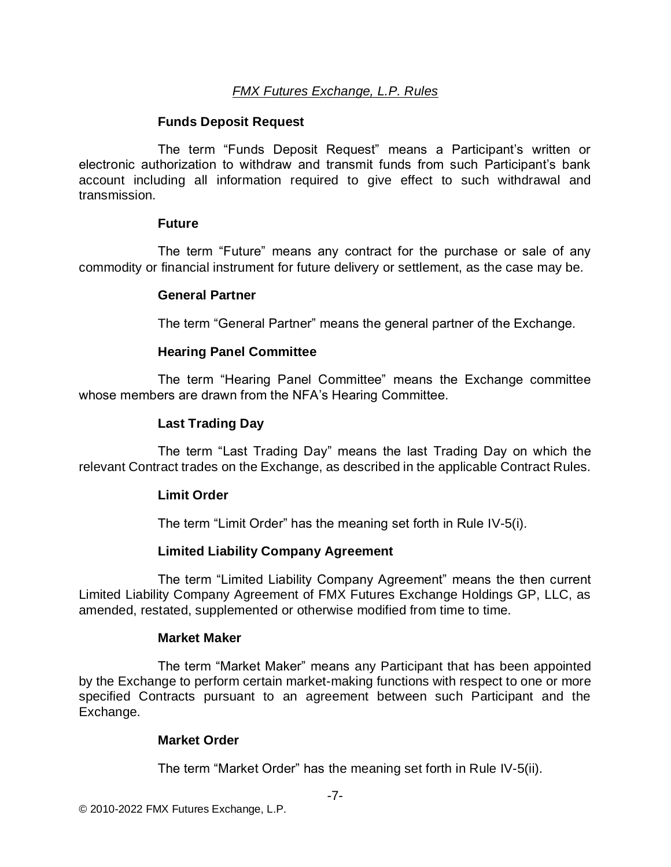#### **Funds Deposit Request**

The term "Funds Deposit Request" means a Participant's written or electronic authorization to withdraw and transmit funds from such Participant's bank account including all information required to give effect to such withdrawal and transmission.

#### **Future**

The term "Future" means any contract for the purchase or sale of any commodity or financial instrument for future delivery or settlement, as the case may be.

#### **General Partner**

The term "General Partner" means the general partner of the Exchange.

#### **Hearing Panel Committee**

The term "Hearing Panel Committee" means the Exchange committee whose members are drawn from the NFA's Hearing Committee.

## **Last Trading Day**

The term "Last Trading Day" means the last Trading Day on which the relevant Contract trades on the Exchange, as described in the applicable Contract Rules.

#### **Limit Order**

The term "Limit Order" has the meaning set forth in Rule IV-5(i).

## **Limited Liability Company Agreement**

The term "Limited Liability Company Agreement" means the then current Limited Liability Company Agreement of FMX Futures Exchange Holdings GP, LLC, as amended, restated, supplemented or otherwise modified from time to time.

#### **Market Maker**

The term "Market Maker" means any Participant that has been appointed by the Exchange to perform certain market-making functions with respect to one or more specified Contracts pursuant to an agreement between such Participant and the Exchange.

#### **Market Order**

The term "Market Order" has the meaning set forth in Rule IV-5(ii).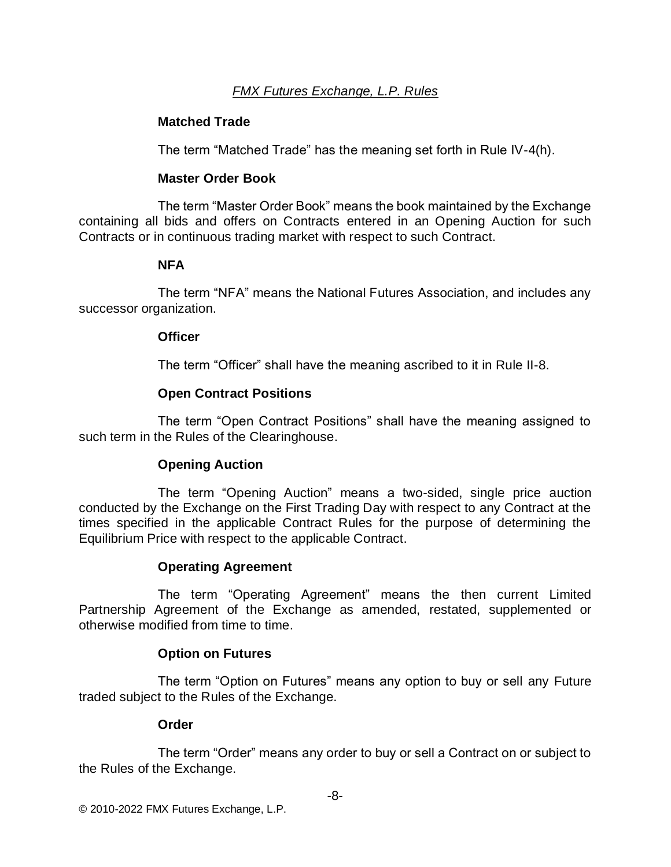## **Matched Trade**

The term "Matched Trade" has the meaning set forth in Rule IV-4(h).

## **Master Order Book**

The term "Master Order Book" means the book maintained by the Exchange containing all bids and offers on Contracts entered in an Opening Auction for such Contracts or in continuous trading market with respect to such Contract.

## **NFA**

The term "NFA" means the National Futures Association, and includes any successor organization.

## **Officer**

The term "Officer" shall have the meaning ascribed to it in Rule II-8.

## **Open Contract Positions**

The term "Open Contract Positions" shall have the meaning assigned to such term in the Rules of the Clearinghouse.

# **Opening Auction**

The term "Opening Auction" means a two-sided, single price auction conducted by the Exchange on the First Trading Day with respect to any Contract at the times specified in the applicable Contract Rules for the purpose of determining the Equilibrium Price with respect to the applicable Contract.

# **Operating Agreement**

The term "Operating Agreement" means the then current Limited Partnership Agreement of the Exchange as amended, restated, supplemented or otherwise modified from time to time.

# **Option on Futures**

The term "Option on Futures" means any option to buy or sell any Future traded subject to the Rules of the Exchange.

## **Order**

The term "Order" means any order to buy or sell a Contract on or subject to the Rules of the Exchange.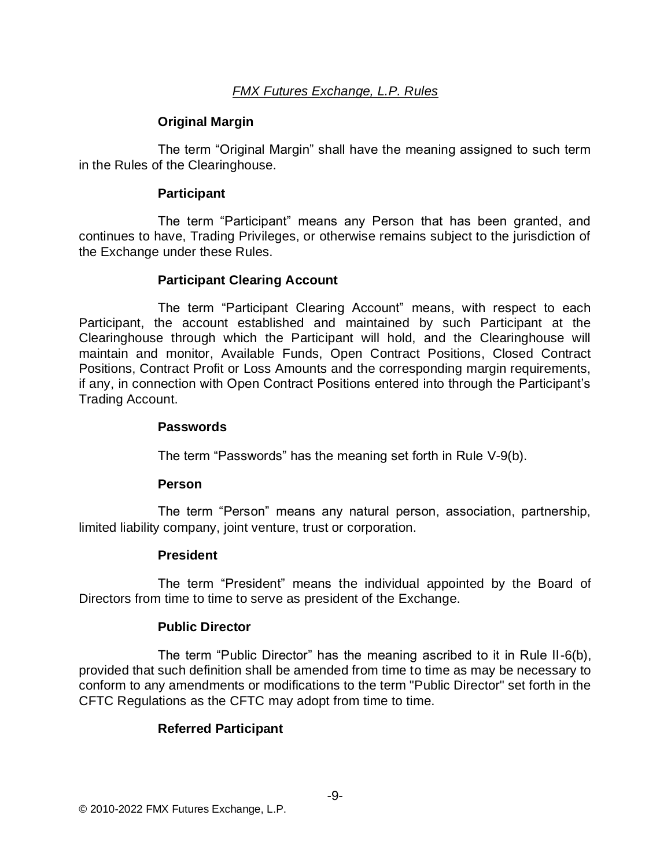## **Original Margin**

The term "Original Margin" shall have the meaning assigned to such term in the Rules of the Clearinghouse.

#### **Participant**

The term "Participant" means any Person that has been granted, and continues to have, Trading Privileges, or otherwise remains subject to the jurisdiction of the Exchange under these Rules.

## **Participant Clearing Account**

The term "Participant Clearing Account" means, with respect to each Participant, the account established and maintained by such Participant at the Clearinghouse through which the Participant will hold, and the Clearinghouse will maintain and monitor, Available Funds, Open Contract Positions, Closed Contract Positions, Contract Profit or Loss Amounts and the corresponding margin requirements, if any, in connection with Open Contract Positions entered into through the Participant's Trading Account.

#### **Passwords**

The term "Passwords" has the meaning set forth in Rule V-9(b).

#### **Person**

The term "Person" means any natural person, association, partnership, limited liability company, joint venture, trust or corporation.

## **President**

The term "President" means the individual appointed by the Board of Directors from time to time to serve as president of the Exchange.

## **Public Director**

The term "Public Director" has the meaning ascribed to it in Rule II-6(b), provided that such definition shall be amended from time to time as may be necessary to conform to any amendments or modifications to the term "Public Director" set forth in the CFTC Regulations as the CFTC may adopt from time to time.

## **Referred Participant**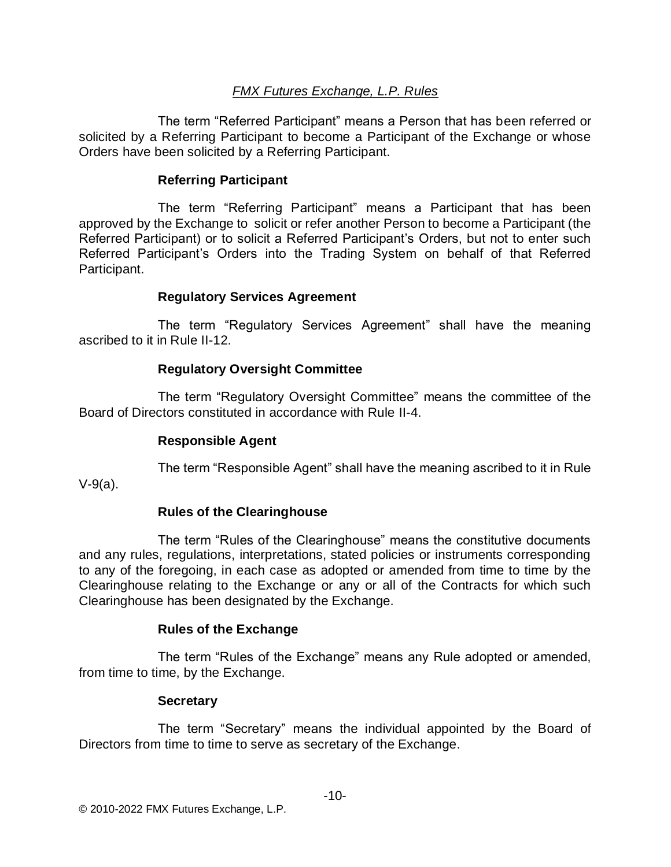The term "Referred Participant" means a Person that has been referred or solicited by a Referring Participant to become a Participant of the Exchange or whose Orders have been solicited by a Referring Participant.

## **Referring Participant**

The term "Referring Participant" means a Participant that has been approved by the Exchange to solicit or refer another Person to become a Participant (the Referred Participant) or to solicit a Referred Participant's Orders, but not to enter such Referred Participant's Orders into the Trading System on behalf of that Referred Participant.

## **Regulatory Services Agreement**

The term "Regulatory Services Agreement" shall have the meaning ascribed to it in Rule II-12.

## **Regulatory Oversight Committee**

The term "Regulatory Oversight Committee" means the committee of the Board of Directors constituted in accordance with Rule II-4.

## **Responsible Agent**

The term "Responsible Agent" shall have the meaning ascribed to it in Rule

V-9(a).

# **Rules of the Clearinghouse**

The term "Rules of the Clearinghouse" means the constitutive documents and any rules, regulations, interpretations, stated policies or instruments corresponding to any of the foregoing, in each case as adopted or amended from time to time by the Clearinghouse relating to the Exchange or any or all of the Contracts for which such Clearinghouse has been designated by the Exchange.

# **Rules of the Exchange**

The term "Rules of the Exchange" means any Rule adopted or amended, from time to time, by the Exchange.

# **Secretary**

The term "Secretary" means the individual appointed by the Board of Directors from time to time to serve as secretary of the Exchange.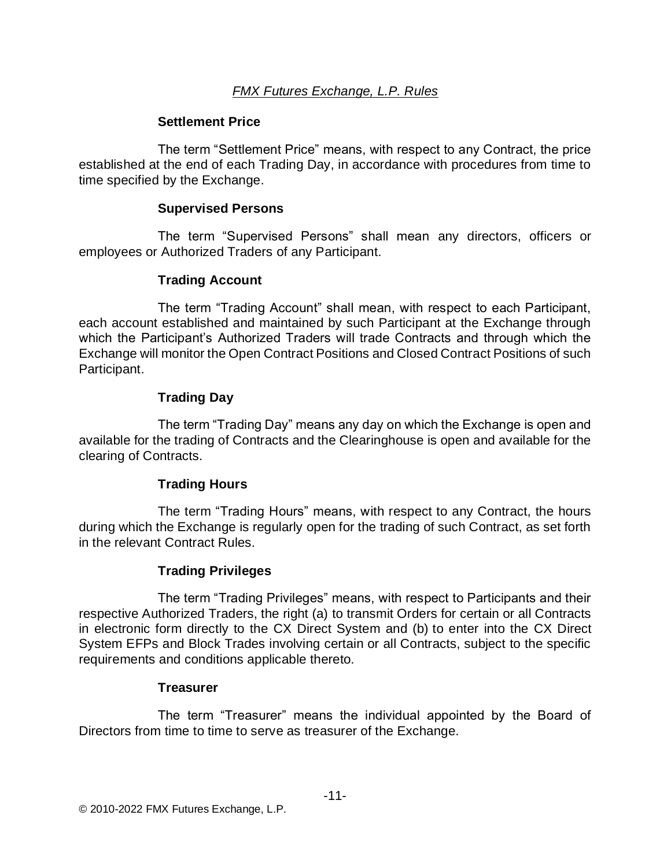#### **Settlement Price**

The term "Settlement Price" means, with respect to any Contract, the price established at the end of each Trading Day, in accordance with procedures from time to time specified by the Exchange.

#### **Supervised Persons**

The term "Supervised Persons" shall mean any directors, officers or employees or Authorized Traders of any Participant.

## **Trading Account**

The term "Trading Account" shall mean, with respect to each Participant, each account established and maintained by such Participant at the Exchange through which the Participant's Authorized Traders will trade Contracts and through which the Exchange will monitor the Open Contract Positions and Closed Contract Positions of such Participant.

## **Trading Day**

The term "Trading Day" means any day on which the Exchange is open and available for the trading of Contracts and the Clearinghouse is open and available for the clearing of Contracts.

## **Trading Hours**

The term "Trading Hours" means, with respect to any Contract, the hours during which the Exchange is regularly open for the trading of such Contract, as set forth in the relevant Contract Rules.

## **Trading Privileges**

The term "Trading Privileges" means, with respect to Participants and their respective Authorized Traders, the right (a) to transmit Orders for certain or all Contracts in electronic form directly to the CX Direct System and (b) to enter into the CX Direct System EFPs and Block Trades involving certain or all Contracts, subject to the specific requirements and conditions applicable thereto.

#### **Treasurer**

The term "Treasurer" means the individual appointed by the Board of Directors from time to time to serve as treasurer of the Exchange.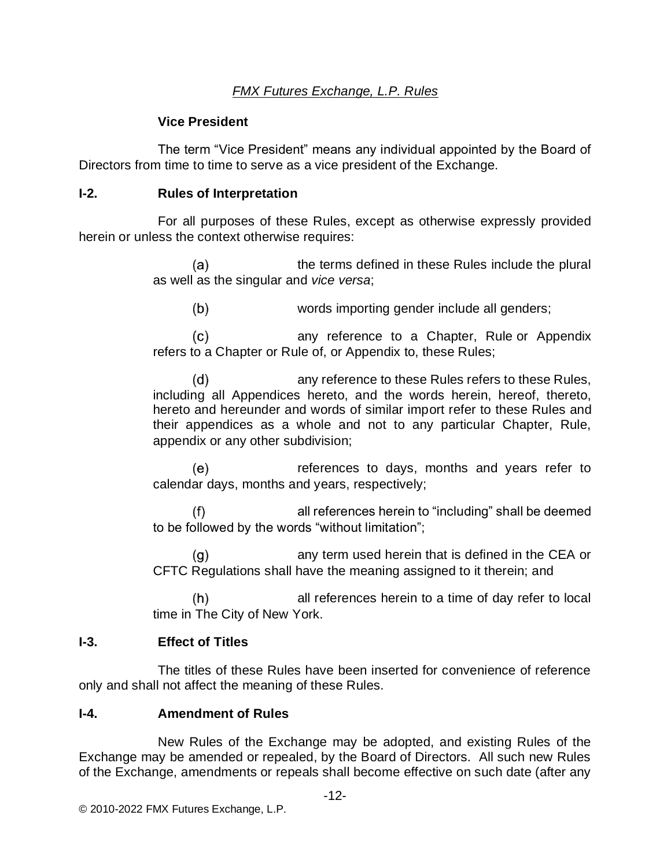## **Vice President**

The term "Vice President" means any individual appointed by the Board of Directors from time to time to serve as a vice president of the Exchange.

## **I-2. Rules of Interpretation**

For all purposes of these Rules, except as otherwise expressly provided herein or unless the context otherwise requires:

> $(a)$ the terms defined in these Rules include the plural as well as the singular and *vice versa*;

 $(b)$ words importing gender include all genders;

 $(c)$ any reference to a Chapter, Rule or Appendix refers to a Chapter or Rule of, or Appendix to, these Rules;

 $(d)$ any reference to these Rules refers to these Rules, including all Appendices hereto, and the words herein, hereof, thereto, hereto and hereunder and words of similar import refer to these Rules and their appendices as a whole and not to any particular Chapter, Rule, appendix or any other subdivision;

(e) references to days, months and years refer to calendar days, months and years, respectively;

all references herein to "including" shall be deemed  $(f)$ to be followed by the words "without limitation";

 $(g)$ any term used herein that is defined in the CEA or CFTC Regulations shall have the meaning assigned to it therein; and

 $(h)$ all references herein to a time of day refer to local time in The City of New York.

## **I-3. Effect of Titles**

The titles of these Rules have been inserted for convenience of reference only and shall not affect the meaning of these Rules.

## **I-4. Amendment of Rules**

New Rules of the Exchange may be adopted, and existing Rules of the Exchange may be amended or repealed, by the Board of Directors. All such new Rules of the Exchange, amendments or repeals shall become effective on such date (after any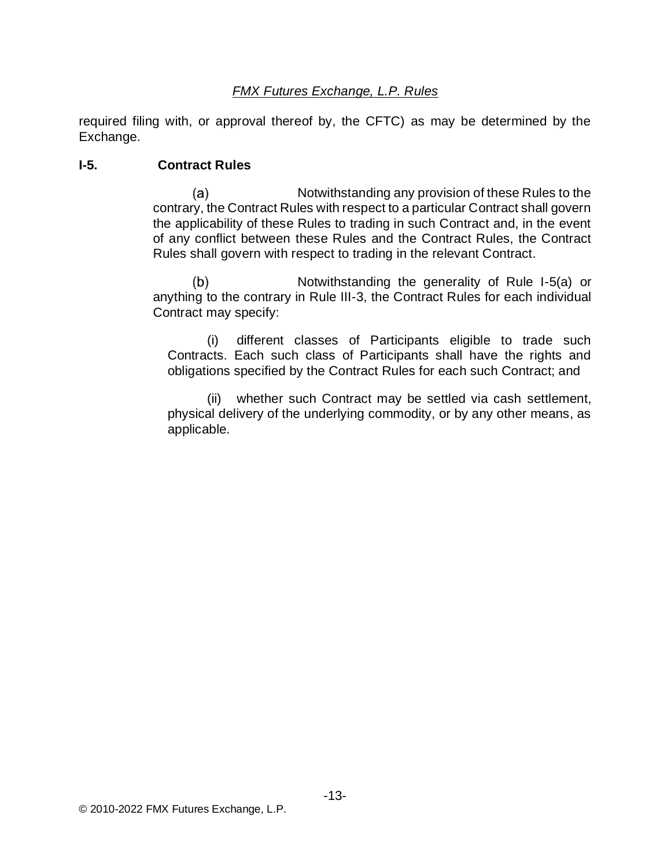required filing with, or approval thereof by, the CFTC) as may be determined by the Exchange.

#### **I-5. Contract Rules**

 $(a)$ Notwithstanding any provision of these Rules to the contrary, the Contract Rules with respect to a particular Contract shall govern the applicability of these Rules to trading in such Contract and, in the event of any conflict between these Rules and the Contract Rules, the Contract Rules shall govern with respect to trading in the relevant Contract.

 $(b)$ Notwithstanding the generality of Rule I-5(a) or anything to the contrary in Rule III-3, the Contract Rules for each individual Contract may specify:

(i) different classes of Participants eligible to trade such Contracts. Each such class of Participants shall have the rights and obligations specified by the Contract Rules for each such Contract; and

(ii) whether such Contract may be settled via cash settlement, physical delivery of the underlying commodity, or by any other means, as applicable.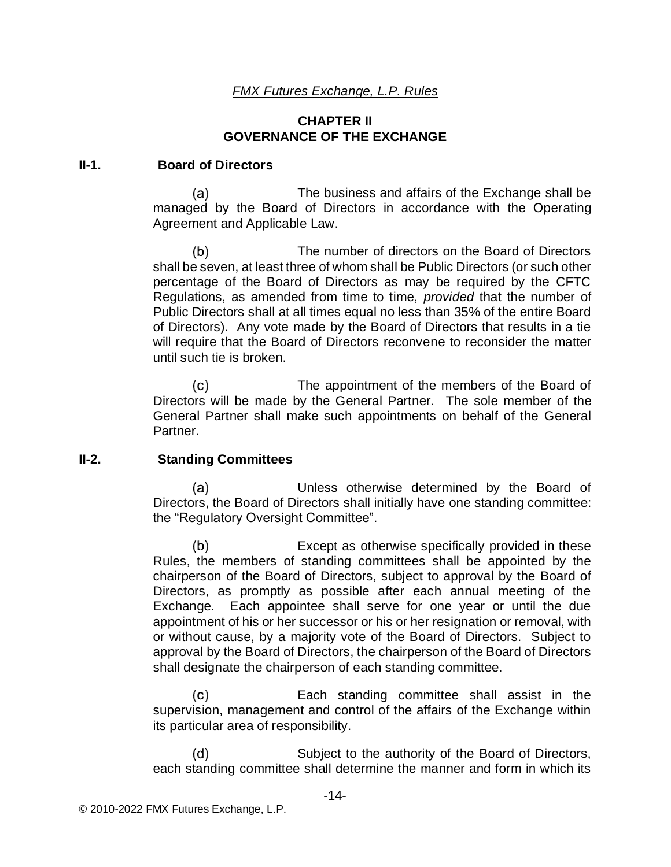#### **CHAPTER II GOVERNANCE OF THE EXCHANGE**

#### **II-1. Board of Directors**

(a) The business and affairs of the Exchange shall be managed by the Board of Directors in accordance with the Operating Agreement and Applicable Law.

 $(b)$ The number of directors on the Board of Directors shall be seven, at least three of whom shall be Public Directors (or such other percentage of the Board of Directors as may be required by the CFTC Regulations, as amended from time to time, *provided* that the number of Public Directors shall at all times equal no less than 35% of the entire Board of Directors). Any vote made by the Board of Directors that results in a tie will require that the Board of Directors reconvene to reconsider the matter until such tie is broken.

 $(c)$ The appointment of the members of the Board of Directors will be made by the General Partner. The sole member of the General Partner shall make such appointments on behalf of the General Partner.

#### **II-2. Standing Committees**

Unless otherwise determined by the Board of (a) Directors, the Board of Directors shall initially have one standing committee: the "Regulatory Oversight Committee".

 $(b)$ Except as otherwise specifically provided in these Rules, the members of standing committees shall be appointed by the chairperson of the Board of Directors, subject to approval by the Board of Directors, as promptly as possible after each annual meeting of the Exchange. Each appointee shall serve for one year or until the due appointment of his or her successor or his or her resignation or removal, with or without cause, by a majority vote of the Board of Directors. Subject to approval by the Board of Directors, the chairperson of the Board of Directors shall designate the chairperson of each standing committee.

 $(c)$ Each standing committee shall assist in the supervision, management and control of the affairs of the Exchange within its particular area of responsibility.

Subject to the authority of the Board of Directors,  $(d)$ each standing committee shall determine the manner and form in which its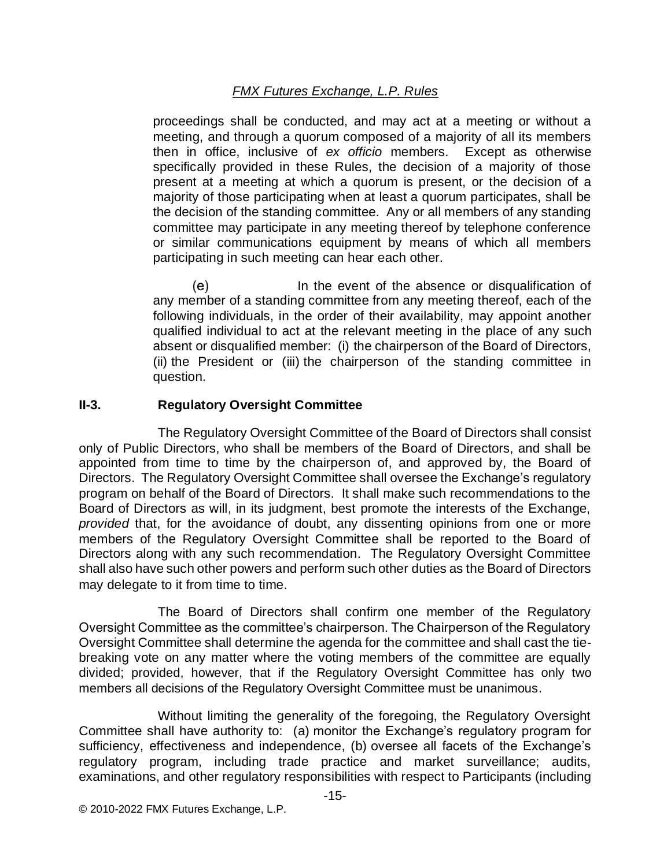proceedings shall be conducted, and may act at a meeting or without a meeting, and through a quorum composed of a majority of all its members then in office, inclusive of *ex officio* members. Except as otherwise specifically provided in these Rules, the decision of a majority of those present at a meeting at which a quorum is present, or the decision of a majority of those participating when at least a quorum participates, shall be the decision of the standing committee. Any or all members of any standing committee may participate in any meeting thereof by telephone conference or similar communications equipment by means of which all members participating in such meeting can hear each other.

In the event of the absence or disqualification of (e) any member of a standing committee from any meeting thereof, each of the following individuals, in the order of their availability, may appoint another qualified individual to act at the relevant meeting in the place of any such absent or disqualified member: (i) the chairperson of the Board of Directors, (ii) the President or (iii) the chairperson of the standing committee in question.

#### **II-3. Regulatory Oversight Committee**

The Regulatory Oversight Committee of the Board of Directors shall consist only of Public Directors, who shall be members of the Board of Directors, and shall be appointed from time to time by the chairperson of, and approved by, the Board of Directors. The Regulatory Oversight Committee shall oversee the Exchange's regulatory program on behalf of the Board of Directors. It shall make such recommendations to the Board of Directors as will, in its judgment, best promote the interests of the Exchange, *provided* that, for the avoidance of doubt, any dissenting opinions from one or more members of the Regulatory Oversight Committee shall be reported to the Board of Directors along with any such recommendation. The Regulatory Oversight Committee shall also have such other powers and perform such other duties as the Board of Directors may delegate to it from time to time.

The Board of Directors shall confirm one member of the Regulatory Oversight Committee as the committee's chairperson. The Chairperson of the Regulatory Oversight Committee shall determine the agenda for the committee and shall cast the tiebreaking vote on any matter where the voting members of the committee are equally divided; provided, however, that if the Regulatory Oversight Committee has only two members all decisions of the Regulatory Oversight Committee must be unanimous.

Without limiting the generality of the foregoing, the Regulatory Oversight Committee shall have authority to: (a) monitor the Exchange's regulatory program for sufficiency, effectiveness and independence, (b) oversee all facets of the Exchange's regulatory program, including trade practice and market surveillance; audits, examinations, and other regulatory responsibilities with respect to Participants (including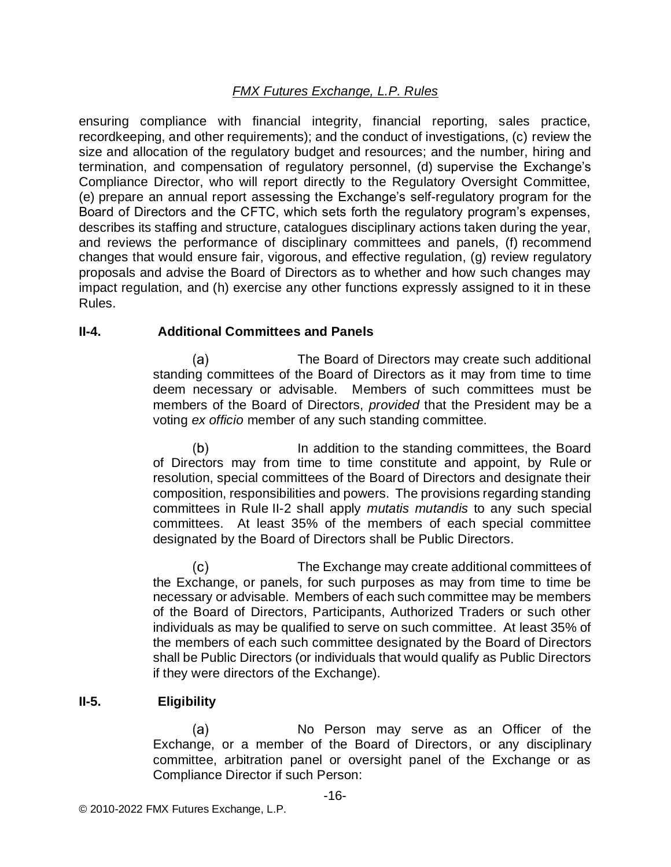ensuring compliance with financial integrity, financial reporting, sales practice, recordkeeping, and other requirements); and the conduct of investigations, (c) review the size and allocation of the regulatory budget and resources; and the number, hiring and termination, and compensation of regulatory personnel, (d) supervise the Exchange's Compliance Director, who will report directly to the Regulatory Oversight Committee, (e) prepare an annual report assessing the Exchange's self-regulatory program for the Board of Directors and the CFTC, which sets forth the regulatory program's expenses, describes its staffing and structure, catalogues disciplinary actions taken during the year, and reviews the performance of disciplinary committees and panels, (f) recommend changes that would ensure fair, vigorous, and effective regulation, (g) review regulatory proposals and advise the Board of Directors as to whether and how such changes may impact regulation, and (h) exercise any other functions expressly assigned to it in these Rules.

#### **II-4. Additional Committees and Panels**

The Board of Directors may create such additional (a) standing committees of the Board of Directors as it may from time to time deem necessary or advisable. Members of such committees must be members of the Board of Directors, *provided* that the President may be a voting *ex officio* member of any such standing committee.

 $(b)$ In addition to the standing committees, the Board of Directors may from time to time constitute and appoint, by Rule or resolution, special committees of the Board of Directors and designate their composition, responsibilities and powers. The provisions regarding standing committees in Rule II-2 shall apply *mutatis mutandis* to any such special committees. At least 35% of the members of each special committee designated by the Board of Directors shall be Public Directors.

 $(c)$ The Exchange may create additional committees of the Exchange, or panels, for such purposes as may from time to time be necessary or advisable. Members of each such committee may be members of the Board of Directors, Participants, Authorized Traders or such other individuals as may be qualified to serve on such committee. At least 35% of the members of each such committee designated by the Board of Directors shall be Public Directors (or individuals that would qualify as Public Directors if they were directors of the Exchange).

## **II-5. Eligibility**

No Person may serve as an Officer of the  $(a)$ Exchange, or a member of the Board of Directors, or any disciplinary committee, arbitration panel or oversight panel of the Exchange or as Compliance Director if such Person: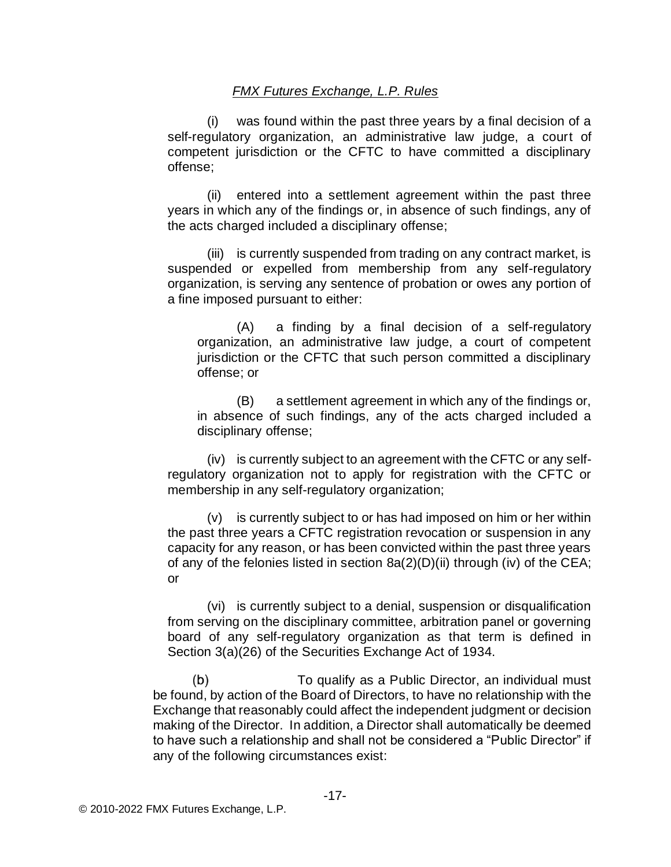(i) was found within the past three years by a final decision of a self-regulatory organization, an administrative law judge, a court of competent jurisdiction or the CFTC to have committed a disciplinary offense;

(ii) entered into a settlement agreement within the past three years in which any of the findings or, in absence of such findings, any of the acts charged included a disciplinary offense;

(iii) is currently suspended from trading on any contract market, is suspended or expelled from membership from any self-regulatory organization, is serving any sentence of probation or owes any portion of a fine imposed pursuant to either:

(A) a finding by a final decision of a self-regulatory organization, an administrative law judge, a court of competent jurisdiction or the CFTC that such person committed a disciplinary offense; or

(B) a settlement agreement in which any of the findings or, in absence of such findings, any of the acts charged included a disciplinary offense;

(iv) is currently subject to an agreement with the CFTC or any selfregulatory organization not to apply for registration with the CFTC or membership in any self-regulatory organization;

(v) is currently subject to or has had imposed on him or her within the past three years a CFTC registration revocation or suspension in any capacity for any reason, or has been convicted within the past three years of any of the felonies listed in section 8a(2)(D)(ii) through (iv) of the CEA; or

(vi) is currently subject to a denial, suspension or disqualification from serving on the disciplinary committee, arbitration panel or governing board of any self-regulatory organization as that term is defined in Section 3(a)(26) of the Securities Exchange Act of 1934.

 $(b)$ To qualify as a Public Director, an individual must be found, by action of the Board of Directors, to have no relationship with the Exchange that reasonably could affect the independent judgment or decision making of the Director. In addition, a Director shall automatically be deemed to have such a relationship and shall not be considered a "Public Director" if any of the following circumstances exist: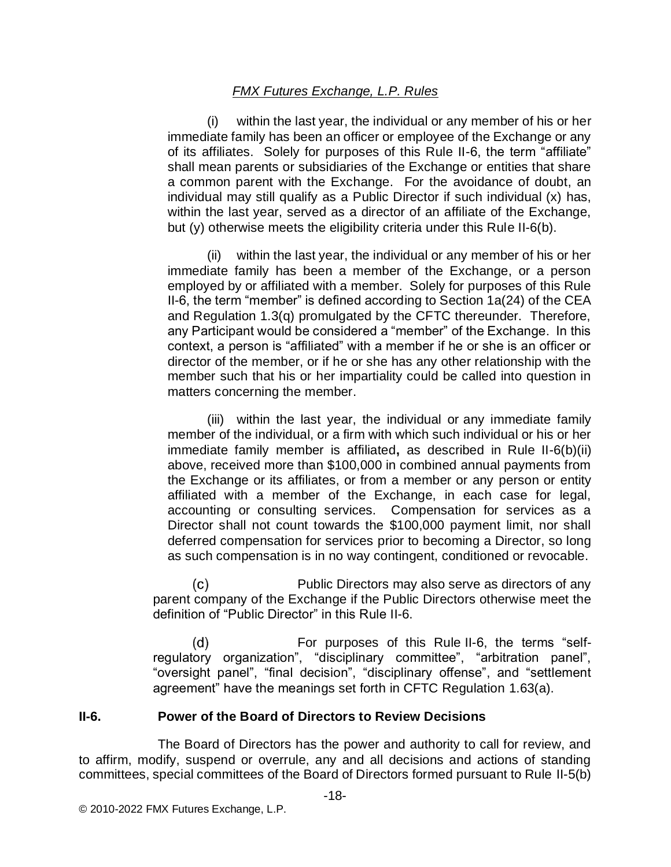(i) within the last year, the individual or any member of his or her immediate family has been an officer or employee of the Exchange or any of its affiliates. Solely for purposes of this Rule II-6, the term "affiliate" shall mean parents or subsidiaries of the Exchange or entities that share a common parent with the Exchange. For the avoidance of doubt, an individual may still qualify as a Public Director if such individual (x) has, within the last year, served as a director of an affiliate of the Exchange, but (y) otherwise meets the eligibility criteria under this Rule II-6(b).

(ii) within the last year, the individual or any member of his or her immediate family has been a member of the Exchange, or a person employed by or affiliated with a member. Solely for purposes of this Rule II-6, the term "member" is defined according to Section 1a(24) of the CEA and Regulation 1.3(q) promulgated by the CFTC thereunder. Therefore, any Participant would be considered a "member" of the Exchange. In this context, a person is "affiliated" with a member if he or she is an officer or director of the member, or if he or she has any other relationship with the member such that his or her impartiality could be called into question in matters concerning the member.

(iii) within the last year, the individual or any immediate family member of the individual, or a firm with which such individual or his or her immediate family member is affiliated**,** as described in Rule II-6(b)(ii) above, received more than \$100,000 in combined annual payments from the Exchange or its affiliates, or from a member or any person or entity affiliated with a member of the Exchange, in each case for legal, accounting or consulting services. Compensation for services as a Director shall not count towards the \$100,000 payment limit, nor shall deferred compensation for services prior to becoming a Director, so long as such compensation is in no way contingent, conditioned or revocable.

 $(c)$ Public Directors may also serve as directors of any parent company of the Exchange if the Public Directors otherwise meet the definition of "Public Director" in this Rule II-6.

(d) For purposes of this Rule II-6, the terms "selfregulatory organization", "disciplinary committee", "arbitration panel", "oversight panel", "final decision", "disciplinary offense", and "settlement agreement" have the meanings set forth in CFTC Regulation 1.63(a).

## **II-6. Power of the Board of Directors to Review Decisions**

The Board of Directors has the power and authority to call for review, and to affirm, modify, suspend or overrule, any and all decisions and actions of standing committees, special committees of the Board of Directors formed pursuant to Rule II-5(b)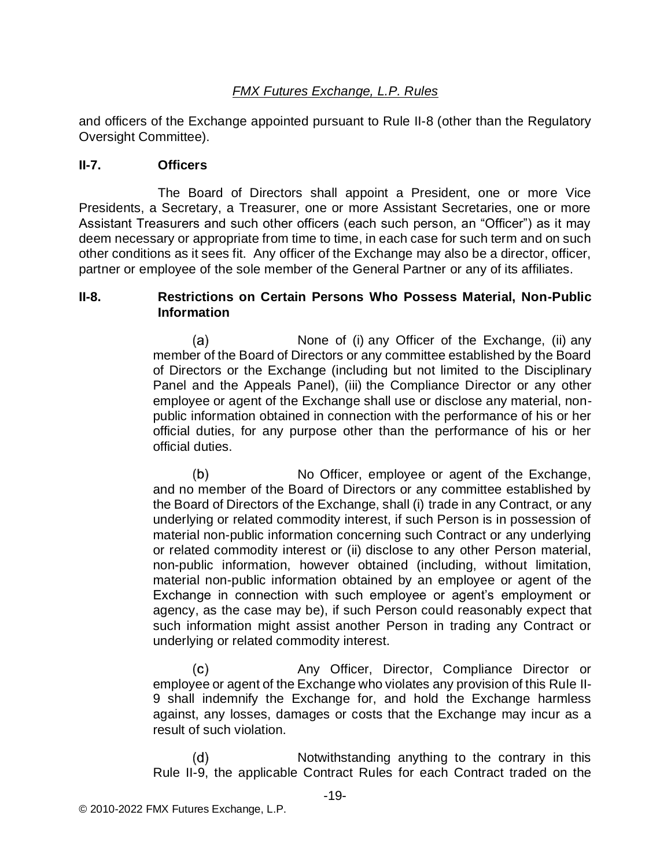and officers of the Exchange appointed pursuant to Rule II-8 (other than the Regulatory Oversight Committee).

#### **II-7. Officers**

The Board of Directors shall appoint a President, one or more Vice Presidents, a Secretary, a Treasurer, one or more Assistant Secretaries, one or more Assistant Treasurers and such other officers (each such person, an "Officer") as it may deem necessary or appropriate from time to time, in each case for such term and on such other conditions as it sees fit. Any officer of the Exchange may also be a director, officer, partner or employee of the sole member of the General Partner or any of its affiliates.

#### **II-8. Restrictions on Certain Persons Who Possess Material, Non-Public Information**

(a) None of (i) any Officer of the Exchange, (ii) any member of the Board of Directors or any committee established by the Board of Directors or the Exchange (including but not limited to the Disciplinary Panel and the Appeals Panel), (iii) the Compliance Director or any other employee or agent of the Exchange shall use or disclose any material, nonpublic information obtained in connection with the performance of his or her official duties, for any purpose other than the performance of his or her official duties.

No Officer, employee or agent of the Exchange,  $(b)$ and no member of the Board of Directors or any committee established by the Board of Directors of the Exchange, shall (i) trade in any Contract, or any underlying or related commodity interest, if such Person is in possession of material non-public information concerning such Contract or any underlying or related commodity interest or (ii) disclose to any other Person material, non-public information, however obtained (including, without limitation, material non-public information obtained by an employee or agent of the Exchange in connection with such employee or agent's employment or agency, as the case may be), if such Person could reasonably expect that such information might assist another Person in trading any Contract or underlying or related commodity interest.

 $(c)$ Any Officer, Director, Compliance Director or employee or agent of the Exchange who violates any provision of this Rule II-9 shall indemnify the Exchange for, and hold the Exchange harmless against, any losses, damages or costs that the Exchange may incur as a result of such violation.

 $(d)$ Notwithstanding anything to the contrary in this Rule II-9, the applicable Contract Rules for each Contract traded on the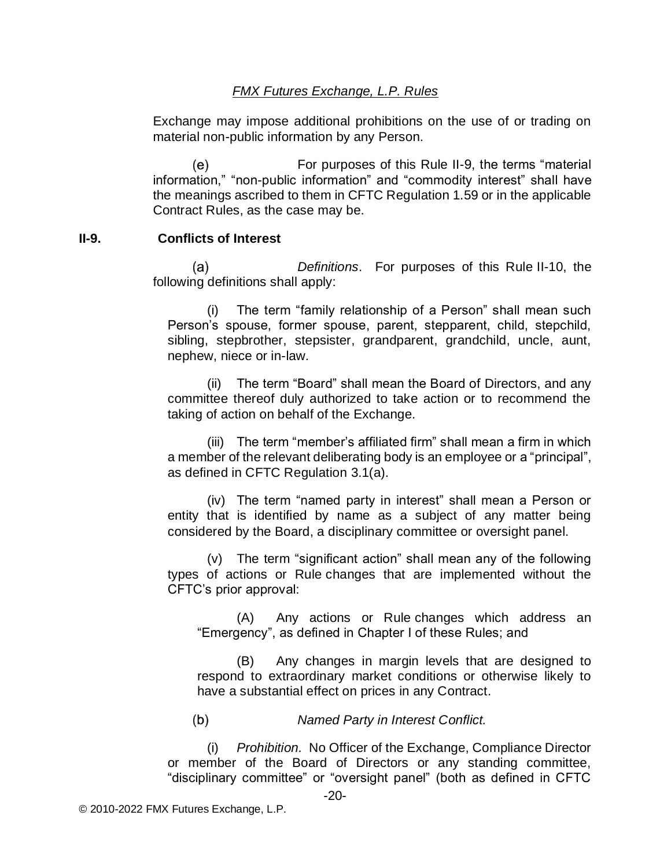Exchange may impose additional prohibitions on the use of or trading on material non-public information by any Person.

(e) For purposes of this Rule II-9, the terms "material information," "non-public information" and "commodity interest" shall have the meanings ascribed to them in CFTC Regulation 1.59 or in the applicable Contract Rules, as the case may be.

#### **II-9. Conflicts of Interest**

*Definitions*. For purposes of this Rule II-10, the (a) following definitions shall apply:

(i) The term "family relationship of a Person" shall mean such Person's spouse, former spouse, parent, stepparent, child, stepchild, sibling, stepbrother, stepsister, grandparent, grandchild, uncle, aunt, nephew, niece or in-law.

(ii) The term "Board" shall mean the Board of Directors, and any committee thereof duly authorized to take action or to recommend the taking of action on behalf of the Exchange.

(iii) The term "member's affiliated firm" shall mean a firm in which a member of the relevant deliberating body is an employee or a "principal", as defined in CFTC Regulation 3.1(a).

(iv) The term "named party in interest" shall mean a Person or entity that is identified by name as a subject of any matter being considered by the Board, a disciplinary committee or oversight panel.

(v) The term "significant action" shall mean any of the following types of actions or Rule changes that are implemented without the CFTC's prior approval:

(A) Any actions or Rule changes which address an "Emergency", as defined in Chapter I of these Rules; and

(B) Any changes in margin levels that are designed to respond to extraordinary market conditions or otherwise likely to have a substantial effect on prices in any Contract.

 $(b)$ *Named Party in Interest Conflict.*

(i) *Prohibition.* No Officer of the Exchange, Compliance Director or member of the Board of Directors or any standing committee, "disciplinary committee" or "oversight panel" (both as defined in CFTC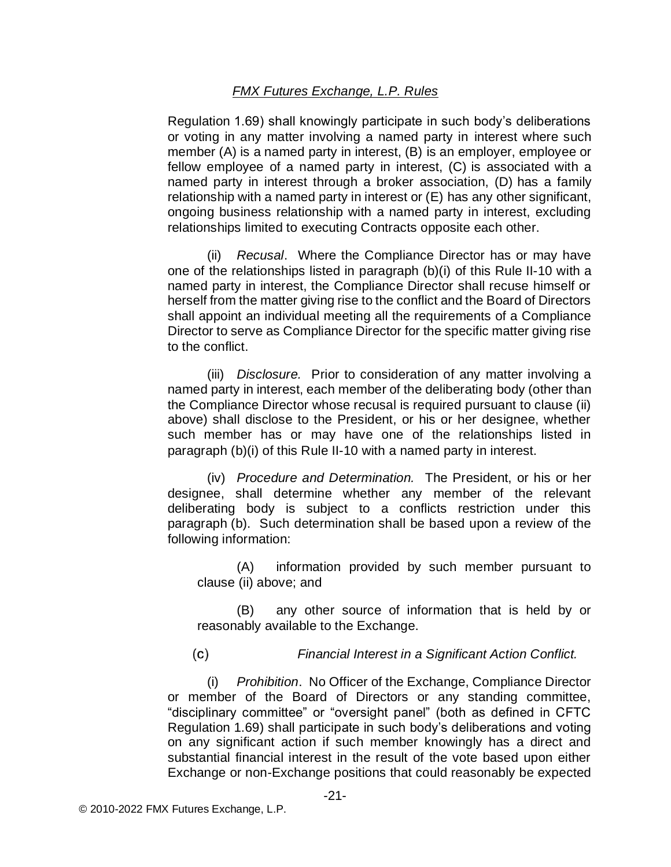Regulation 1.69) shall knowingly participate in such body's deliberations or voting in any matter involving a named party in interest where such member (A) is a named party in interest, (B) is an employer, employee or fellow employee of a named party in interest, (C) is associated with a named party in interest through a broker association, (D) has a family relationship with a named party in interest or (E) has any other significant, ongoing business relationship with a named party in interest, excluding relationships limited to executing Contracts opposite each other.

(ii) *Recusal*. Where the Compliance Director has or may have one of the relationships listed in paragraph (b)(i) of this Rule II-10 with a named party in interest, the Compliance Director shall recuse himself or herself from the matter giving rise to the conflict and the Board of Directors shall appoint an individual meeting all the requirements of a Compliance Director to serve as Compliance Director for the specific matter giving rise to the conflict.

(iii) *Disclosure.* Prior to consideration of any matter involving a named party in interest, each member of the deliberating body (other than the Compliance Director whose recusal is required pursuant to clause (ii) above) shall disclose to the President, or his or her designee, whether such member has or may have one of the relationships listed in paragraph (b)(i) of this Rule II-10 with a named party in interest.

(iv) *Procedure and Determination.* The President, or his or her designee, shall determine whether any member of the relevant deliberating body is subject to a conflicts restriction under this paragraph (b). Such determination shall be based upon a review of the following information:

(A) information provided by such member pursuant to clause (ii) above; and

(B) any other source of information that is held by or reasonably available to the Exchange.

 $(c)$ *Financial Interest in a Significant Action Conflict.*

(i) *Prohibition*. No Officer of the Exchange, Compliance Director or member of the Board of Directors or any standing committee, "disciplinary committee" or "oversight panel" (both as defined in CFTC Regulation 1.69) shall participate in such body's deliberations and voting on any significant action if such member knowingly has a direct and substantial financial interest in the result of the vote based upon either Exchange or non-Exchange positions that could reasonably be expected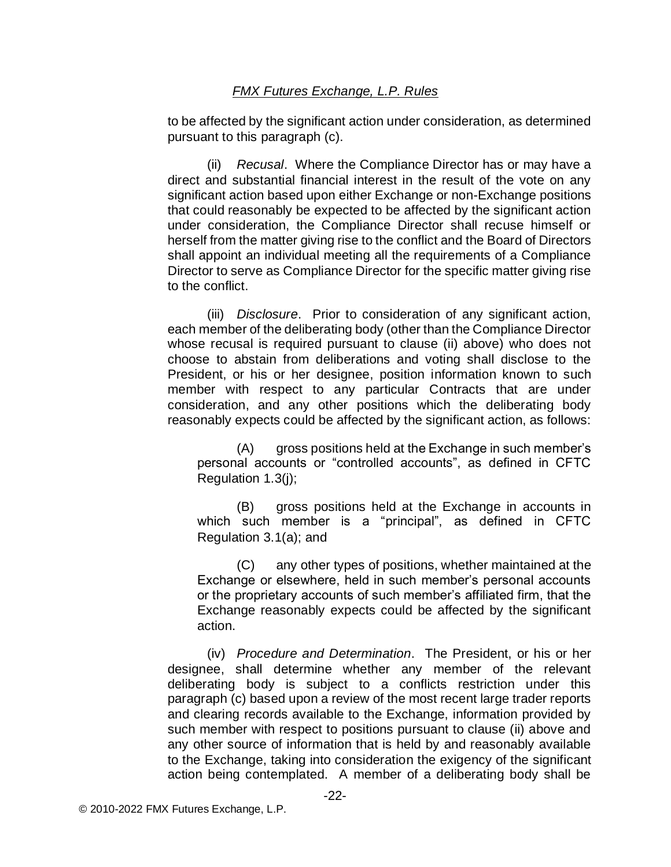to be affected by the significant action under consideration, as determined pursuant to this paragraph (c).

(ii) *Recusal*. Where the Compliance Director has or may have a direct and substantial financial interest in the result of the vote on any significant action based upon either Exchange or non-Exchange positions that could reasonably be expected to be affected by the significant action under consideration, the Compliance Director shall recuse himself or herself from the matter giving rise to the conflict and the Board of Directors shall appoint an individual meeting all the requirements of a Compliance Director to serve as Compliance Director for the specific matter giving rise to the conflict.

(iii) *Disclosure*. Prior to consideration of any significant action, each member of the deliberating body (other than the Compliance Director whose recusal is required pursuant to clause (ii) above) who does not choose to abstain from deliberations and voting shall disclose to the President, or his or her designee, position information known to such member with respect to any particular Contracts that are under consideration, and any other positions which the deliberating body reasonably expects could be affected by the significant action, as follows:

(A) gross positions held at the Exchange in such member's personal accounts or "controlled accounts", as defined in CFTC Regulation 1.3(j);

(B) gross positions held at the Exchange in accounts in which such member is a "principal", as defined in CFTC Regulation 3.1(a); and

(C) any other types of positions, whether maintained at the Exchange or elsewhere, held in such member's personal accounts or the proprietary accounts of such member's affiliated firm, that the Exchange reasonably expects could be affected by the significant action.

(iv) *Procedure and Determination*. The President, or his or her designee, shall determine whether any member of the relevant deliberating body is subject to a conflicts restriction under this paragraph (c) based upon a review of the most recent large trader reports and clearing records available to the Exchange, information provided by such member with respect to positions pursuant to clause (ii) above and any other source of information that is held by and reasonably available to the Exchange, taking into consideration the exigency of the significant action being contemplated. A member of a deliberating body shall be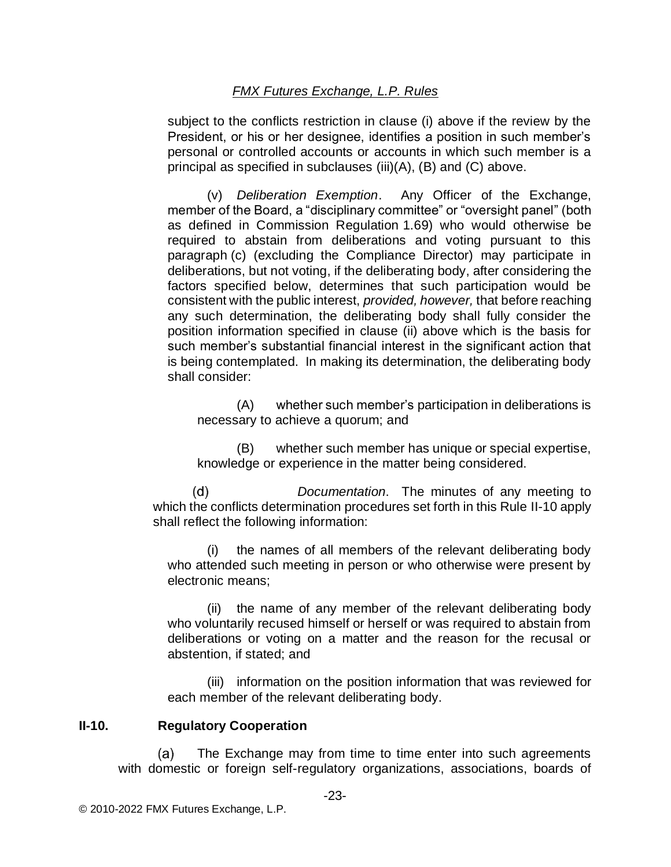subject to the conflicts restriction in clause (i) above if the review by the President, or his or her designee, identifies a position in such member's personal or controlled accounts or accounts in which such member is a principal as specified in subclauses (iii)(A), (B) and (C) above.

(v) *Deliberation Exemption*. Any Officer of the Exchange, member of the Board, a "disciplinary committee" or "oversight panel" (both as defined in Commission Regulation 1.69) who would otherwise be required to abstain from deliberations and voting pursuant to this paragraph (c) (excluding the Compliance Director) may participate in deliberations, but not voting, if the deliberating body, after considering the factors specified below, determines that such participation would be consistent with the public interest, *provided, however,* that before reaching any such determination, the deliberating body shall fully consider the position information specified in clause (ii) above which is the basis for such member's substantial financial interest in the significant action that is being contemplated. In making its determination, the deliberating body shall consider:

(A) whether such member's participation in deliberations is necessary to achieve a quorum; and

(B) whether such member has unique or special expertise, knowledge or experience in the matter being considered.

*Documentation*. The minutes of any meeting to  $(d)$ which the conflicts determination procedures set forth in this Rule II-10 apply shall reflect the following information:

(i) the names of all members of the relevant deliberating body who attended such meeting in person or who otherwise were present by electronic means;

(ii) the name of any member of the relevant deliberating body who voluntarily recused himself or herself or was required to abstain from deliberations or voting on a matter and the reason for the recusal or abstention, if stated; and

(iii) information on the position information that was reviewed for each member of the relevant deliberating body.

## **II-10. Regulatory Cooperation**

The Exchange may from time to time enter into such agreements  $(a)$ with domestic or foreign self-regulatory organizations, associations, boards of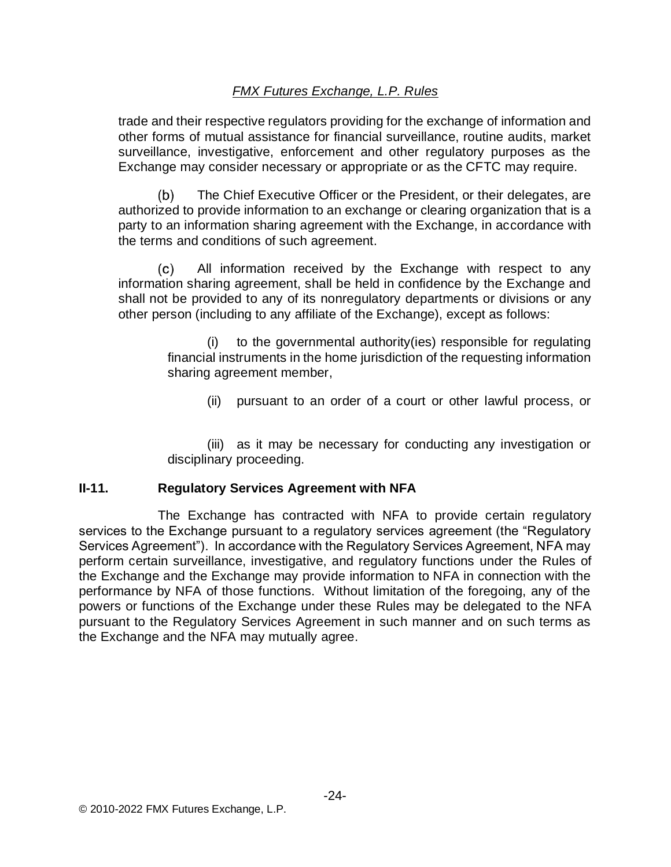trade and their respective regulators providing for the exchange of information and other forms of mutual assistance for financial surveillance, routine audits, market surveillance, investigative, enforcement and other regulatory purposes as the Exchange may consider necessary or appropriate or as the CFTC may require.

The Chief Executive Officer or the President, or their delegates, are  $(b)$ authorized to provide information to an exchange or clearing organization that is a party to an information sharing agreement with the Exchange, in accordance with the terms and conditions of such agreement.

 $(c)$ All information received by the Exchange with respect to any information sharing agreement, shall be held in confidence by the Exchange and shall not be provided to any of its nonregulatory departments or divisions or any other person (including to any affiliate of the Exchange), except as follows:

> (i) to the governmental authority(ies) responsible for regulating financial instruments in the home jurisdiction of the requesting information sharing agreement member,

(ii) pursuant to an order of a court or other lawful process, or

(iii) as it may be necessary for conducting any investigation or disciplinary proceeding.

## **II-11. Regulatory Services Agreement with NFA**

The Exchange has contracted with NFA to provide certain regulatory services to the Exchange pursuant to a regulatory services agreement (the "Regulatory Services Agreement"). In accordance with the Regulatory Services Agreement, NFA may perform certain surveillance, investigative, and regulatory functions under the Rules of the Exchange and the Exchange may provide information to NFA in connection with the performance by NFA of those functions. Without limitation of the foregoing, any of the powers or functions of the Exchange under these Rules may be delegated to the NFA pursuant to the Regulatory Services Agreement in such manner and on such terms as the Exchange and the NFA may mutually agree.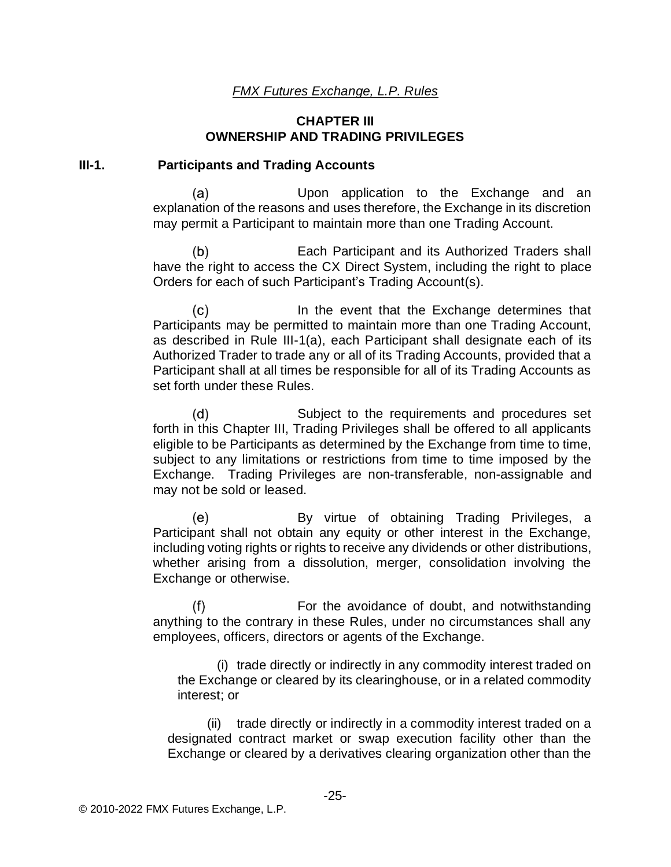#### **CHAPTER III OWNERSHIP AND TRADING PRIVILEGES**

#### **III-1. Participants and Trading Accounts**

(a) Upon application to the Exchange and an explanation of the reasons and uses therefore, the Exchange in its discretion may permit a Participant to maintain more than one Trading Account.

 $(b)$ Each Participant and its Authorized Traders shall have the right to access the CX Direct System, including the right to place Orders for each of such Participant's Trading Account(s).

 $(c)$ In the event that the Exchange determines that Participants may be permitted to maintain more than one Trading Account, as described in Rule III-1(a), each Participant shall designate each of its Authorized Trader to trade any or all of its Trading Accounts, provided that a Participant shall at all times be responsible for all of its Trading Accounts as set forth under these Rules.

 $(d)$ Subject to the requirements and procedures set forth in this Chapter III, Trading Privileges shall be offered to all applicants eligible to be Participants as determined by the Exchange from time to time, subject to any limitations or restrictions from time to time imposed by the Exchange. Trading Privileges are non-transferable, non-assignable and may not be sold or leased.

(e) By virtue of obtaining Trading Privileges, a Participant shall not obtain any equity or other interest in the Exchange, including voting rights or rights to receive any dividends or other distributions, whether arising from a dissolution, merger, consolidation involving the Exchange or otherwise.

 $(f)$ For the avoidance of doubt, and notwithstanding anything to the contrary in these Rules, under no circumstances shall any employees, officers, directors or agents of the Exchange.

(i) trade directly or indirectly in any commodity interest traded on the Exchange or cleared by its clearinghouse, or in a related commodity interest; or

(ii) trade directly or indirectly in a commodity interest traded on a designated contract market or swap execution facility other than the Exchange or cleared by a derivatives clearing organization other than the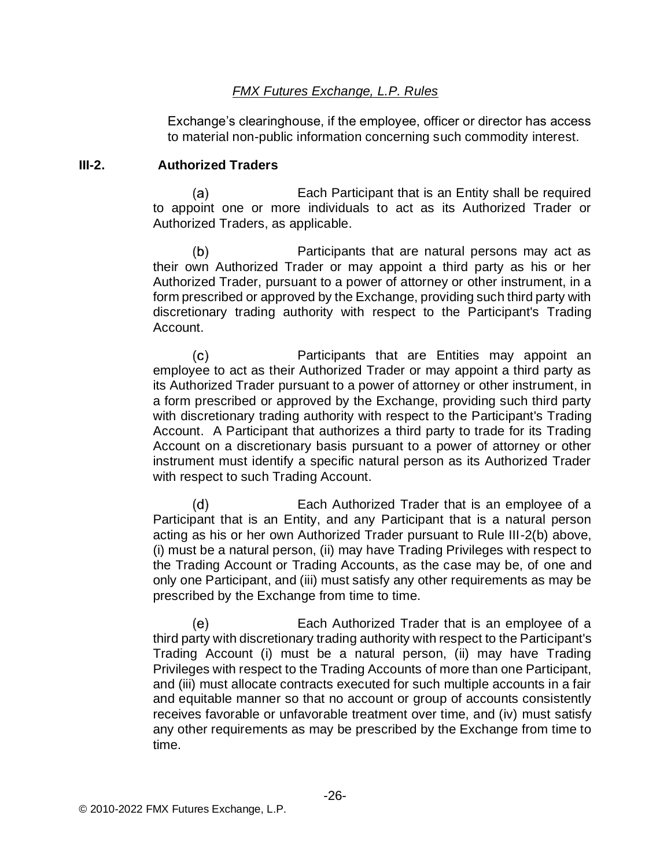Exchange's clearinghouse, if the employee, officer or director has access to material non-public information concerning such commodity interest.

#### **III-2. Authorized Traders**

 $(a)$ Each Participant that is an Entity shall be required to appoint one or more individuals to act as its Authorized Trader or Authorized Traders, as applicable.

 $(b)$ Participants that are natural persons may act as their own Authorized Trader or may appoint a third party as his or her Authorized Trader, pursuant to a power of attorney or other instrument, in a form prescribed or approved by the Exchange, providing such third party with discretionary trading authority with respect to the Participant's Trading Account.

 $(c)$ Participants that are Entities may appoint an employee to act as their Authorized Trader or may appoint a third party as its Authorized Trader pursuant to a power of attorney or other instrument, in a form prescribed or approved by the Exchange, providing such third party with discretionary trading authority with respect to the Participant's Trading Account. A Participant that authorizes a third party to trade for its Trading Account on a discretionary basis pursuant to a power of attorney or other instrument must identify a specific natural person as its Authorized Trader with respect to such Trading Account.

 $(d)$ Each Authorized Trader that is an employee of a Participant that is an Entity, and any Participant that is a natural person acting as his or her own Authorized Trader pursuant to Rule III-2(b) above, (i) must be a natural person, (ii) may have Trading Privileges with respect to the Trading Account or Trading Accounts, as the case may be, of one and only one Participant, and (iii) must satisfy any other requirements as may be prescribed by the Exchange from time to time.

 $(e)$ Each Authorized Trader that is an employee of a third party with discretionary trading authority with respect to the Participant's Trading Account (i) must be a natural person, (ii) may have Trading Privileges with respect to the Trading Accounts of more than one Participant, and (iii) must allocate contracts executed for such multiple accounts in a fair and equitable manner so that no account or group of accounts consistently receives favorable or unfavorable treatment over time, and (iv) must satisfy any other requirements as may be prescribed by the Exchange from time to time.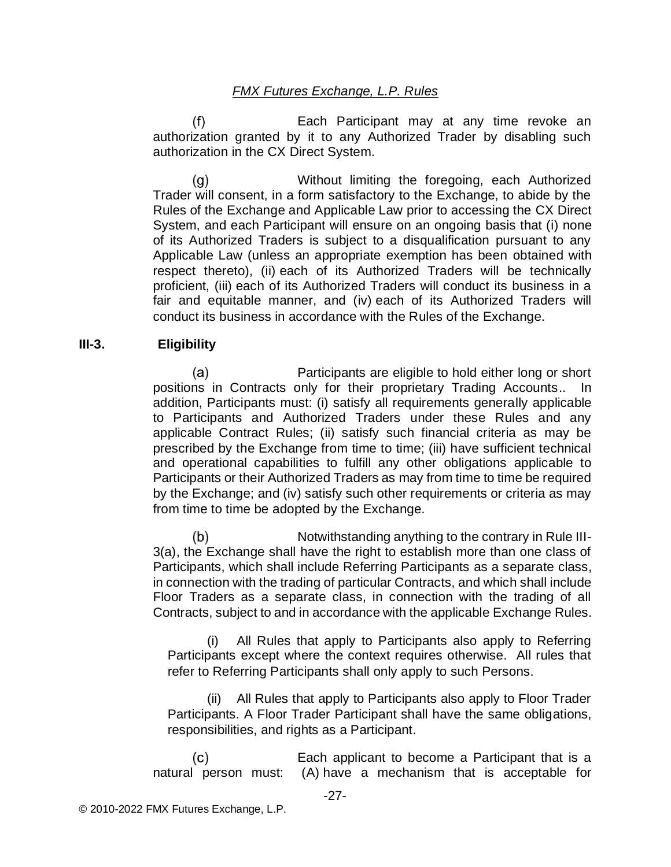$(f)$ Each Participant may at any time revoke an authorization granted by it to any Authorized Trader by disabling such authorization in the CX Direct System.

Without limiting the foregoing, each Authorized (g) Trader will consent, in a form satisfactory to the Exchange, to abide by the Rules of the Exchange and Applicable Law prior to accessing the CX Direct System, and each Participant will ensure on an ongoing basis that (i) none of its Authorized Traders is subject to a disqualification pursuant to any Applicable Law (unless an appropriate exemption has been obtained with respect thereto), (ii) each of its Authorized Traders will be technically proficient, (iii) each of its Authorized Traders will conduct its business in a fair and equitable manner, and (iv) each of its Authorized Traders will conduct its business in accordance with the Rules of the Exchange.

#### **III-3. Eligibility**

 $(a)$ Participants are eligible to hold either long or short positions in Contracts only for their proprietary Trading Accounts.. In addition, Participants must: (i) satisfy all requirements generally applicable to Participants and Authorized Traders under these Rules and any applicable Contract Rules; (ii) satisfy such financial criteria as may be prescribed by the Exchange from time to time; (iii) have sufficient technical and operational capabilities to fulfill any other obligations applicable to Participants or their Authorized Traders as may from time to time be required by the Exchange; and (iv) satisfy such other requirements or criteria as may from time to time be adopted by the Exchange.

 $(b)$ Notwithstanding anything to the contrary in Rule III-3(a), the Exchange shall have the right to establish more than one class of Participants, which shall include Referring Participants as a separate class, in connection with the trading of particular Contracts, and which shall include Floor Traders as a separate class, in connection with the trading of all Contracts, subject to and in accordance with the applicable Exchange Rules.

All Rules that apply to Participants also apply to Referring Participants except where the context requires otherwise. All rules that refer to Referring Participants shall only apply to such Persons.

(ii) All Rules that apply to Participants also apply to Floor Trader Participants. A Floor Trader Participant shall have the same obligations, responsibilities, and rights as a Participant.

Each applicant to become a Participant that is a  $(c)$ natural person must: (A) have a mechanism that is acceptable for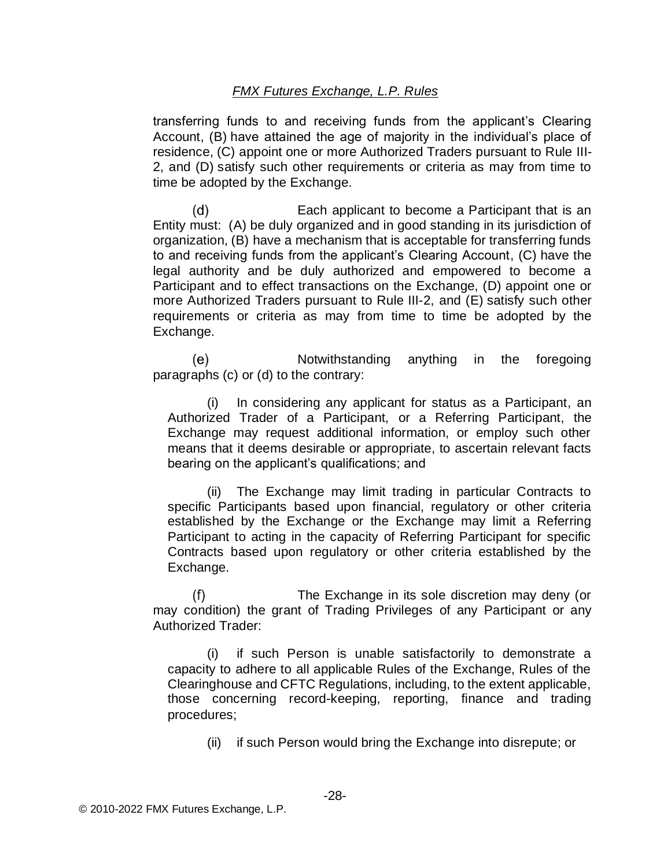transferring funds to and receiving funds from the applicant's Clearing Account, (B) have attained the age of majority in the individual's place of residence, (C) appoint one or more Authorized Traders pursuant to Rule III-2, and (D) satisfy such other requirements or criteria as may from time to time be adopted by the Exchange.

 $(d)$ Each applicant to become a Participant that is an Entity must: (A) be duly organized and in good standing in its jurisdiction of organization, (B) have a mechanism that is acceptable for transferring funds to and receiving funds from the applicant's Clearing Account, (C) have the legal authority and be duly authorized and empowered to become a Participant and to effect transactions on the Exchange, (D) appoint one or more Authorized Traders pursuant to Rule III-2, and (E) satisfy such other requirements or criteria as may from time to time be adopted by the Exchange.

Notwithstanding anything in the foregoing (e) paragraphs (c) or (d) to the contrary:

(i) In considering any applicant for status as a Participant, an Authorized Trader of a Participant, or a Referring Participant, the Exchange may request additional information, or employ such other means that it deems desirable or appropriate, to ascertain relevant facts bearing on the applicant's qualifications; and

(ii) The Exchange may limit trading in particular Contracts to specific Participants based upon financial, regulatory or other criteria established by the Exchange or the Exchange may limit a Referring Participant to acting in the capacity of Referring Participant for specific Contracts based upon regulatory or other criteria established by the Exchange.

The Exchange in its sole discretion may deny (or  $(f)$ may condition) the grant of Trading Privileges of any Participant or any Authorized Trader:

(i) if such Person is unable satisfactorily to demonstrate a capacity to adhere to all applicable Rules of the Exchange, Rules of the Clearinghouse and CFTC Regulations, including, to the extent applicable, those concerning record-keeping, reporting, finance and trading procedures;

(ii) if such Person would bring the Exchange into disrepute; or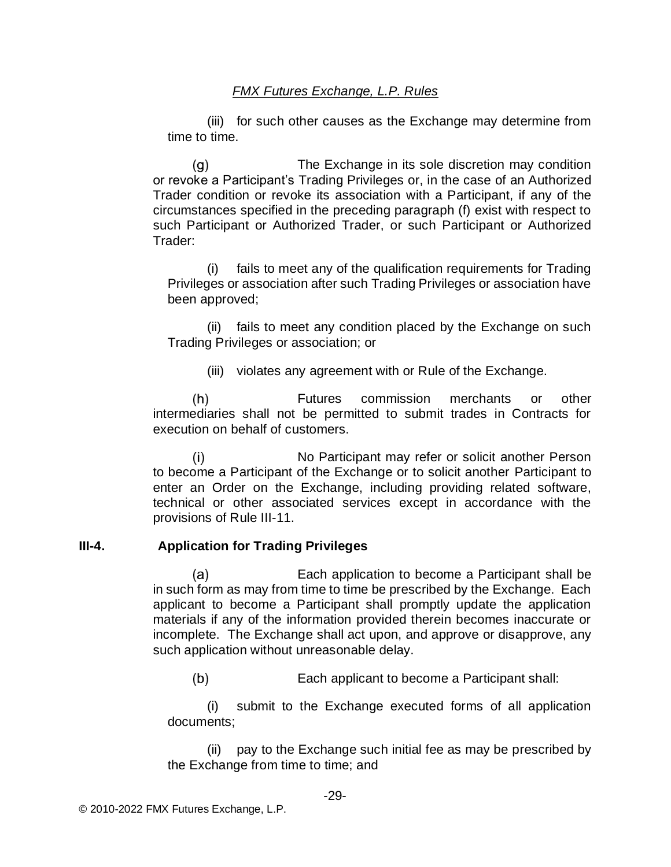(iii) for such other causes as the Exchange may determine from time to time.

(g) The Exchange in its sole discretion may condition or revoke a Participant's Trading Privileges or, in the case of an Authorized Trader condition or revoke its association with a Participant, if any of the circumstances specified in the preceding paragraph (f) exist with respect to such Participant or Authorized Trader, or such Participant or Authorized Trader:

(i) fails to meet any of the qualification requirements for Trading Privileges or association after such Trading Privileges or association have been approved;

(ii) fails to meet any condition placed by the Exchange on such Trading Privileges or association; or

(iii) violates any agreement with or Rule of the Exchange.

 $(h)$ Futures commission merchants or other intermediaries shall not be permitted to submit trades in Contracts for execution on behalf of customers.

No Participant may refer or solicit another Person  $(i)$ to become a Participant of the Exchange or to solicit another Participant to enter an Order on the Exchange, including providing related software, technical or other associated services except in accordance with the provisions of Rule III-11.

## **III-4. Application for Trading Privileges**

Each application to become a Participant shall be  $(a)$ in such form as may from time to time be prescribed by the Exchange. Each applicant to become a Participant shall promptly update the application materials if any of the information provided therein becomes inaccurate or incomplete. The Exchange shall act upon, and approve or disapprove, any such application without unreasonable delay.

 $(b)$ Each applicant to become a Participant shall:

(i) submit to the Exchange executed forms of all application documents;

(ii) pay to the Exchange such initial fee as may be prescribed by the Exchange from time to time; and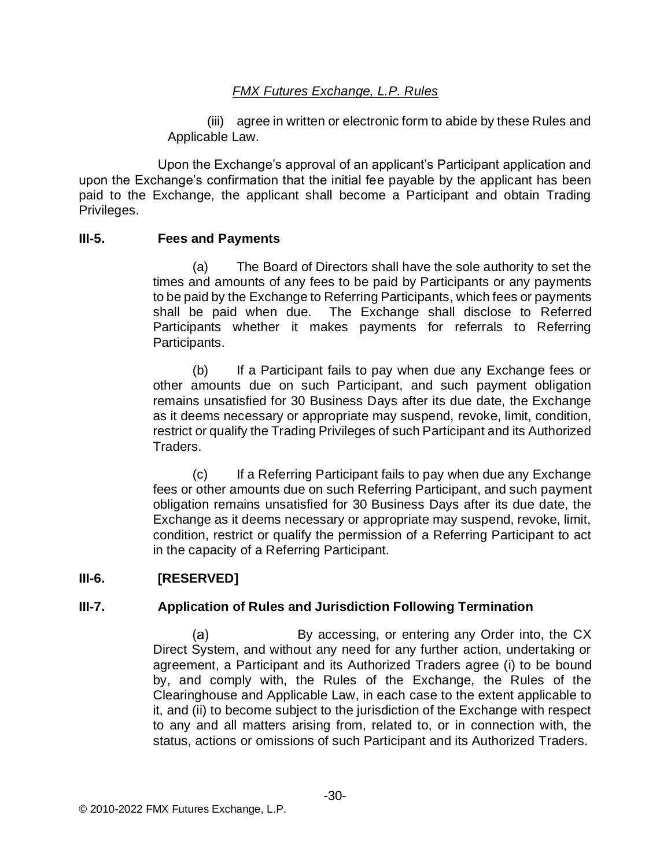(iii) agree in written or electronic form to abide by these Rules and Applicable Law.

Upon the Exchange's approval of an applicant's Participant application and upon the Exchange's confirmation that the initial fee payable by the applicant has been paid to the Exchange, the applicant shall become a Participant and obtain Trading Privileges.

#### **III-5. Fees and Payments**

(a) The Board of Directors shall have the sole authority to set the times and amounts of any fees to be paid by Participants or any payments to be paid by the Exchange to Referring Participants, which fees or payments shall be paid when due. The Exchange shall disclose to Referred Participants whether it makes payments for referrals to Referring Participants.

(b) If a Participant fails to pay when due any Exchange fees or other amounts due on such Participant, and such payment obligation remains unsatisfied for 30 Business Days after its due date, the Exchange as it deems necessary or appropriate may suspend, revoke, limit, condition, restrict or qualify the Trading Privileges of such Participant and its Authorized Traders.

(c) If a Referring Participant fails to pay when due any Exchange fees or other amounts due on such Referring Participant, and such payment obligation remains unsatisfied for 30 Business Days after its due date, the Exchange as it deems necessary or appropriate may suspend, revoke, limit, condition, restrict or qualify the permission of a Referring Participant to act in the capacity of a Referring Participant.

## **III-6. [RESERVED]**

## **III-7. Application of Rules and Jurisdiction Following Termination**

 $(a)$ By accessing, or entering any Order into, the CX Direct System, and without any need for any further action, undertaking or agreement, a Participant and its Authorized Traders agree (i) to be bound by, and comply with, the Rules of the Exchange, the Rules of the Clearinghouse and Applicable Law, in each case to the extent applicable to it, and (ii) to become subject to the jurisdiction of the Exchange with respect to any and all matters arising from, related to, or in connection with, the status, actions or omissions of such Participant and its Authorized Traders.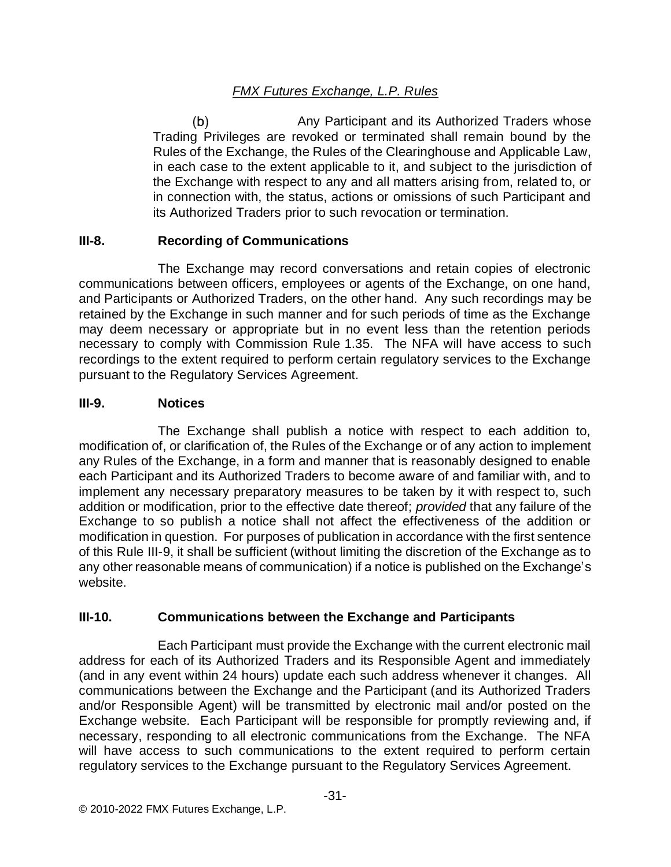Any Participant and its Authorized Traders whose  $(b)$ Trading Privileges are revoked or terminated shall remain bound by the Rules of the Exchange, the Rules of the Clearinghouse and Applicable Law, in each case to the extent applicable to it, and subject to the jurisdiction of the Exchange with respect to any and all matters arising from, related to, or in connection with, the status, actions or omissions of such Participant and its Authorized Traders prior to such revocation or termination.

## **III-8. Recording of Communications**

The Exchange may record conversations and retain copies of electronic communications between officers, employees or agents of the Exchange, on one hand, and Participants or Authorized Traders, on the other hand. Any such recordings may be retained by the Exchange in such manner and for such periods of time as the Exchange may deem necessary or appropriate but in no event less than the retention periods necessary to comply with Commission Rule 1.35. The NFA will have access to such recordings to the extent required to perform certain regulatory services to the Exchange pursuant to the Regulatory Services Agreement.

## **III-9. Notices**

The Exchange shall publish a notice with respect to each addition to, modification of, or clarification of, the Rules of the Exchange or of any action to implement any Rules of the Exchange, in a form and manner that is reasonably designed to enable each Participant and its Authorized Traders to become aware of and familiar with, and to implement any necessary preparatory measures to be taken by it with respect to, such addition or modification, prior to the effective date thereof; *provided* that any failure of the Exchange to so publish a notice shall not affect the effectiveness of the addition or modification in question. For purposes of publication in accordance with the first sentence of this Rule III-9, it shall be sufficient (without limiting the discretion of the Exchange as to any other reasonable means of communication) if a notice is published on the Exchange's website.

# **III-10. Communications between the Exchange and Participants**

Each Participant must provide the Exchange with the current electronic mail address for each of its Authorized Traders and its Responsible Agent and immediately (and in any event within 24 hours) update each such address whenever it changes. All communications between the Exchange and the Participant (and its Authorized Traders and/or Responsible Agent) will be transmitted by electronic mail and/or posted on the Exchange website. Each Participant will be responsible for promptly reviewing and, if necessary, responding to all electronic communications from the Exchange. The NFA will have access to such communications to the extent required to perform certain regulatory services to the Exchange pursuant to the Regulatory Services Agreement.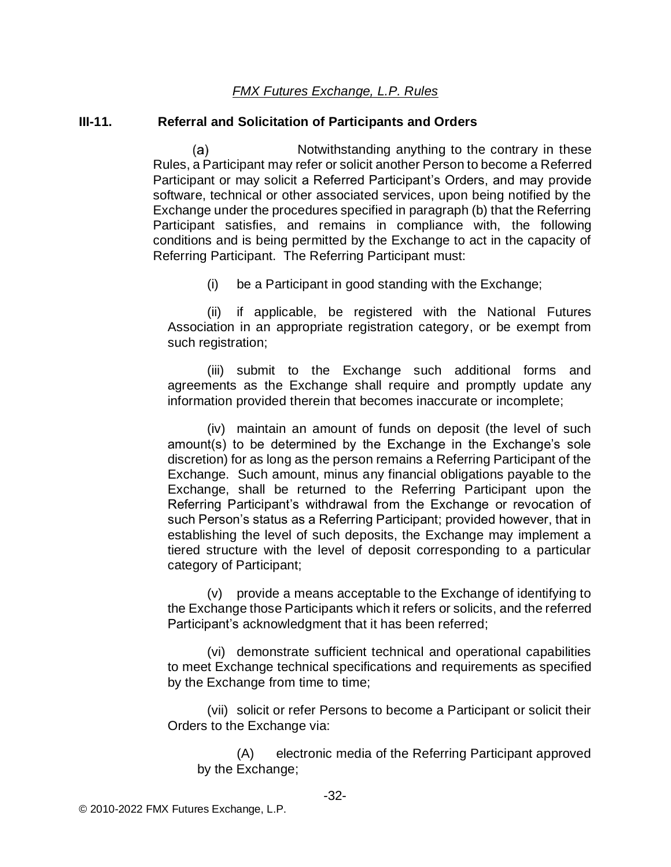#### **III-11. Referral and Solicitation of Participants and Orders**

 $(a)$ Notwithstanding anything to the contrary in these Rules, a Participant may refer or solicit another Person to become a Referred Participant or may solicit a Referred Participant's Orders, and may provide software, technical or other associated services, upon being notified by the Exchange under the procedures specified in paragraph (b) that the Referring Participant satisfies, and remains in compliance with, the following conditions and is being permitted by the Exchange to act in the capacity of Referring Participant. The Referring Participant must:

(i) be a Participant in good standing with the Exchange;

(ii) if applicable, be registered with the National Futures Association in an appropriate registration category, or be exempt from such registration;

(iii) submit to the Exchange such additional forms and agreements as the Exchange shall require and promptly update any information provided therein that becomes inaccurate or incomplete;

(iv) maintain an amount of funds on deposit (the level of such amount(s) to be determined by the Exchange in the Exchange's sole discretion) for as long as the person remains a Referring Participant of the Exchange. Such amount, minus any financial obligations payable to the Exchange, shall be returned to the Referring Participant upon the Referring Participant's withdrawal from the Exchange or revocation of such Person's status as a Referring Participant; provided however, that in establishing the level of such deposits, the Exchange may implement a tiered structure with the level of deposit corresponding to a particular category of Participant;

(v) provide a means acceptable to the Exchange of identifying to the Exchange those Participants which it refers or solicits, and the referred Participant's acknowledgment that it has been referred;

(vi) demonstrate sufficient technical and operational capabilities to meet Exchange technical specifications and requirements as specified by the Exchange from time to time;

(vii) solicit or refer Persons to become a Participant or solicit their Orders to the Exchange via:

(A) electronic media of the Referring Participant approved by the Exchange;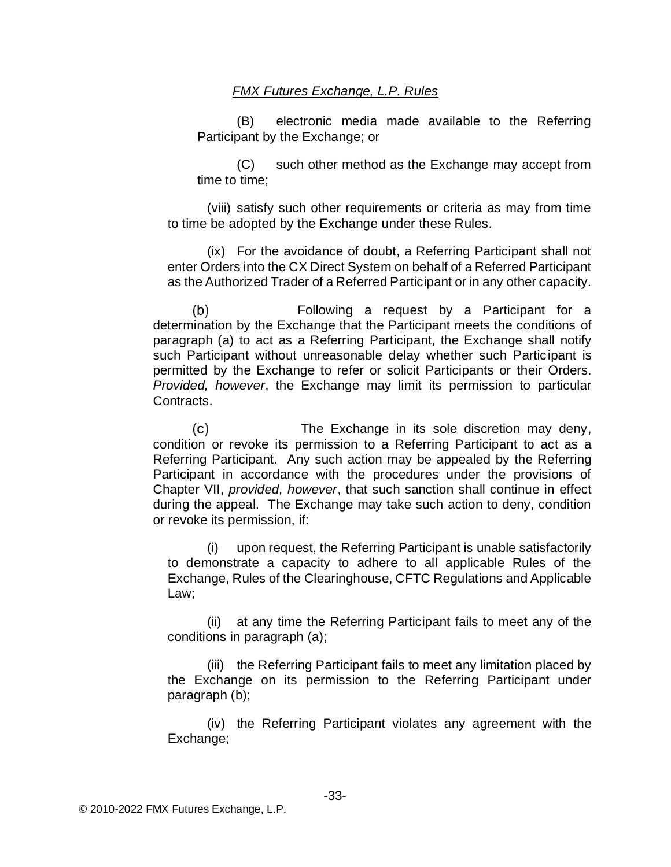(B) electronic media made available to the Referring Participant by the Exchange; or

(C) such other method as the Exchange may accept from time to time;

(viii) satisfy such other requirements or criteria as may from time to time be adopted by the Exchange under these Rules.

(ix) For the avoidance of doubt, a Referring Participant shall not enter Orders into the CX Direct System on behalf of a Referred Participant as the Authorized Trader of a Referred Participant or in any other capacity.

Following a request by a Participant for a  $(b)$ determination by the Exchange that the Participant meets the conditions of paragraph (a) to act as a Referring Participant, the Exchange shall notify such Participant without unreasonable delay whether such Participant is permitted by the Exchange to refer or solicit Participants or their Orders. *Provided, however*, the Exchange may limit its permission to particular Contracts.

 $(c)$ The Exchange in its sole discretion may deny, condition or revoke its permission to a Referring Participant to act as a Referring Participant. Any such action may be appealed by the Referring Participant in accordance with the procedures under the provisions of Chapter VII, *provided, however*, that such sanction shall continue in effect during the appeal. The Exchange may take such action to deny, condition or revoke its permission, if:

(i) upon request, the Referring Participant is unable satisfactorily to demonstrate a capacity to adhere to all applicable Rules of the Exchange, Rules of the Clearinghouse, CFTC Regulations and Applicable Law;

(ii) at any time the Referring Participant fails to meet any of the conditions in paragraph (a);

(iii) the Referring Participant fails to meet any limitation placed by the Exchange on its permission to the Referring Participant under paragraph (b);

(iv) the Referring Participant violates any agreement with the Exchange;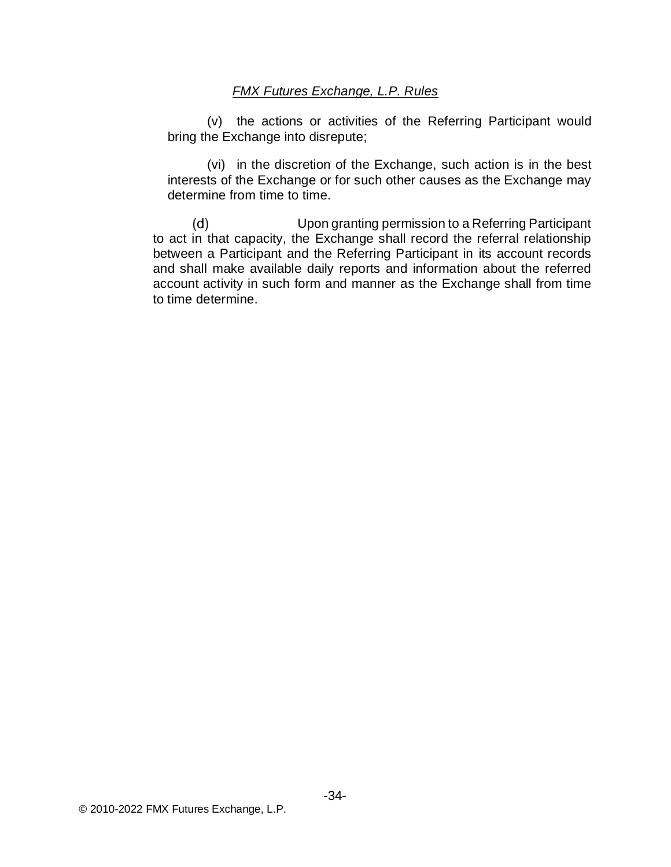(v) the actions or activities of the Referring Participant would bring the Exchange into disrepute;

(vi) in the discretion of the Exchange, such action is in the best interests of the Exchange or for such other causes as the Exchange may determine from time to time.

 $(d)$ Upon granting permission to a Referring Participant to act in that capacity, the Exchange shall record the referral relationship between a Participant and the Referring Participant in its account records and shall make available daily reports and information about the referred account activity in such form and manner as the Exchange shall from time to time determine.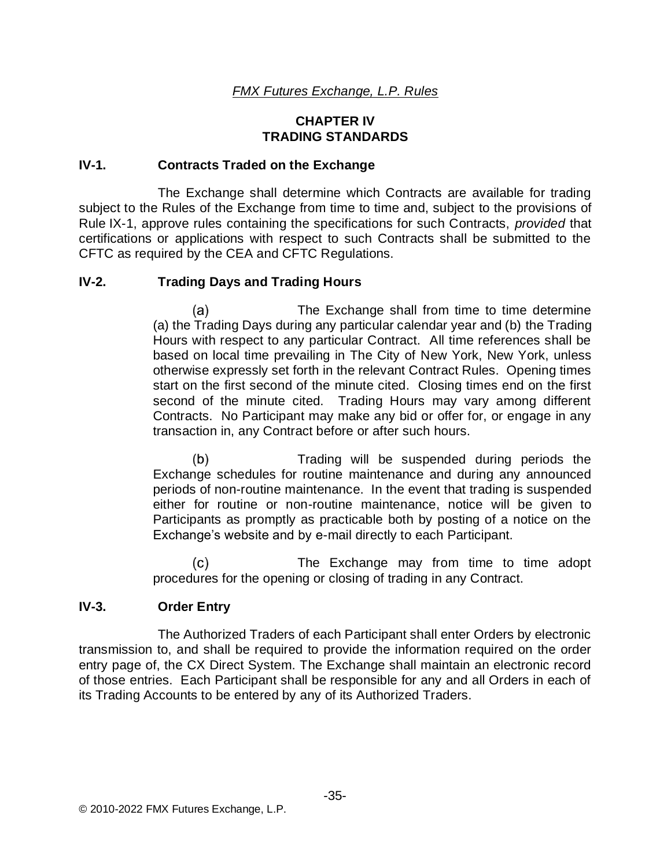### **CHAPTER IV TRADING STANDARDS**

### **IV-1. Contracts Traded on the Exchange**

The Exchange shall determine which Contracts are available for trading subject to the Rules of the Exchange from time to time and, subject to the provisions of Rule IX-1, approve rules containing the specifications for such Contracts, *provided* that certifications or applications with respect to such Contracts shall be submitted to the CFTC as required by the CEA and CFTC Regulations.

### **IV-2. Trading Days and Trading Hours**

The Exchange shall from time to time determine (a) (a) the Trading Days during any particular calendar year and (b) the Trading Hours with respect to any particular Contract. All time references shall be based on local time prevailing in The City of New York, New York, unless otherwise expressly set forth in the relevant Contract Rules. Opening times start on the first second of the minute cited. Closing times end on the first second of the minute cited. Trading Hours may vary among different Contracts. No Participant may make any bid or offer for, or engage in any transaction in, any Contract before or after such hours.

 $(b)$ Trading will be suspended during periods the Exchange schedules for routine maintenance and during any announced periods of non-routine maintenance. In the event that trading is suspended either for routine or non-routine maintenance, notice will be given to Participants as promptly as practicable both by posting of a notice on the Exchange's website and by e-mail directly to each Participant.

 $(c)$ The Exchange may from time to time adopt procedures for the opening or closing of trading in any Contract.

### **IV-3. Order Entry**

The Authorized Traders of each Participant shall enter Orders by electronic transmission to, and shall be required to provide the information required on the order entry page of, the CX Direct System. The Exchange shall maintain an electronic record of those entries. Each Participant shall be responsible for any and all Orders in each of its Trading Accounts to be entered by any of its Authorized Traders.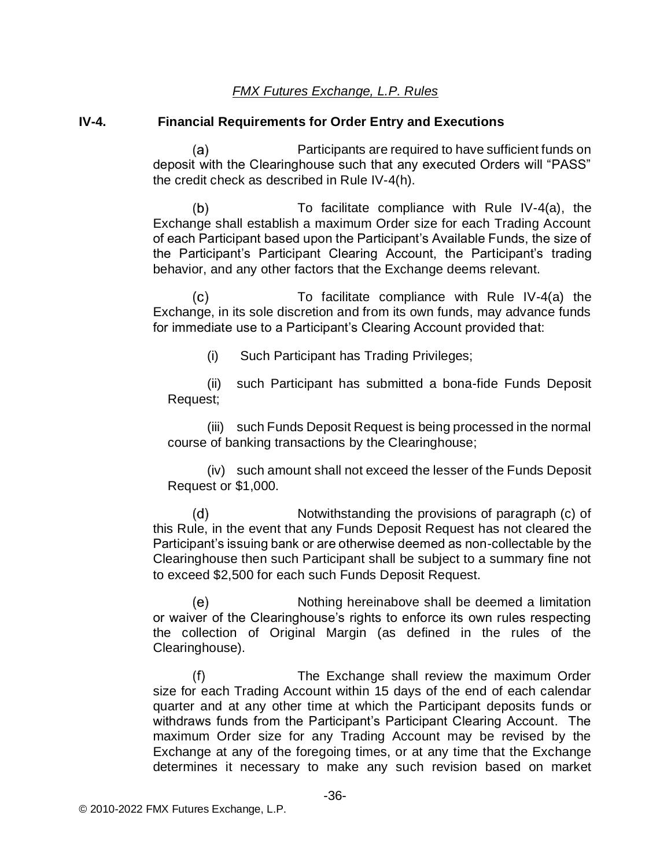#### **IV-4. Financial Requirements for Order Entry and Executions**

 $(a)$ Participants are required to have sufficient funds on deposit with the Clearinghouse such that any executed Orders will "PASS" the credit check as described in Rule IV-4(h).

 $(b)$ To facilitate compliance with Rule IV-4(a), the Exchange shall establish a maximum Order size for each Trading Account of each Participant based upon the Participant's Available Funds, the size of the Participant's Participant Clearing Account, the Participant's trading behavior, and any other factors that the Exchange deems relevant.

 $(c)$ To facilitate compliance with Rule IV-4(a) the Exchange, in its sole discretion and from its own funds, may advance funds for immediate use to a Participant's Clearing Account provided that:

(i) Such Participant has Trading Privileges;

(ii) such Participant has submitted a bona-fide Funds Deposit Request;

(iii) such Funds Deposit Request is being processed in the normal course of banking transactions by the Clearinghouse;

(iv) such amount shall not exceed the lesser of the Funds Deposit Request or \$1,000.

 $(d)$ Notwithstanding the provisions of paragraph (c) of this Rule, in the event that any Funds Deposit Request has not cleared the Participant's issuing bank or are otherwise deemed as non-collectable by the Clearinghouse then such Participant shall be subject to a summary fine not to exceed \$2,500 for each such Funds Deposit Request.

(e) Nothing hereinabove shall be deemed a limitation or waiver of the Clearinghouse's rights to enforce its own rules respecting the collection of Original Margin (as defined in the rules of the Clearinghouse).

 $(f)$ The Exchange shall review the maximum Order size for each Trading Account within 15 days of the end of each calendar quarter and at any other time at which the Participant deposits funds or withdraws funds from the Participant's Participant Clearing Account. The maximum Order size for any Trading Account may be revised by the Exchange at any of the foregoing times, or at any time that the Exchange determines it necessary to make any such revision based on market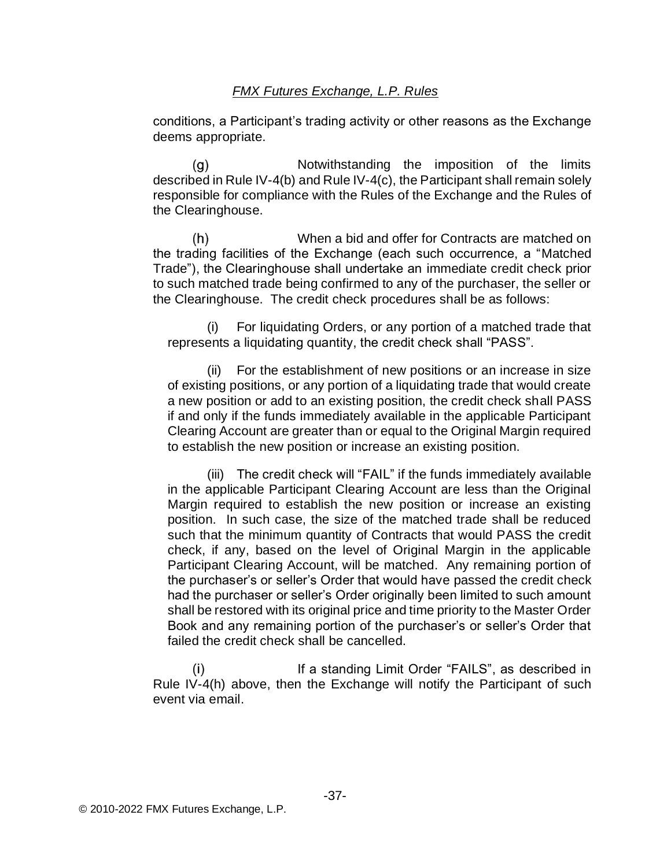conditions, a Participant's trading activity or other reasons as the Exchange deems appropriate.

 $(g)$ Notwithstanding the imposition of the limits described in Rule IV-4(b) and Rule IV-4(c), the Participant shall remain solely responsible for compliance with the Rules of the Exchange and the Rules of the Clearinghouse.

 $(h)$ When a bid and offer for Contracts are matched on the trading facilities of the Exchange (each such occurrence, a "Matched Trade"), the Clearinghouse shall undertake an immediate credit check prior to such matched trade being confirmed to any of the purchaser, the seller or the Clearinghouse. The credit check procedures shall be as follows:

(i) For liquidating Orders, or any portion of a matched trade that represents a liquidating quantity, the credit check shall "PASS".

(ii) For the establishment of new positions or an increase in size of existing positions, or any portion of a liquidating trade that would create a new position or add to an existing position, the credit check shall PASS if and only if the funds immediately available in the applicable Participant Clearing Account are greater than or equal to the Original Margin required to establish the new position or increase an existing position.

(iii) The credit check will "FAIL" if the funds immediately available in the applicable Participant Clearing Account are less than the Original Margin required to establish the new position or increase an existing position. In such case, the size of the matched trade shall be reduced such that the minimum quantity of Contracts that would PASS the credit check, if any, based on the level of Original Margin in the applicable Participant Clearing Account, will be matched. Any remaining portion of the purchaser's or seller's Order that would have passed the credit check had the purchaser or seller's Order originally been limited to such amount shall be restored with its original price and time priority to the Master Order Book and any remaining portion of the purchaser's or seller's Order that failed the credit check shall be cancelled.

If a standing Limit Order "FAILS", as described in  $(i)$ Rule IV-4(h) above, then the Exchange will notify the Participant of such event via email.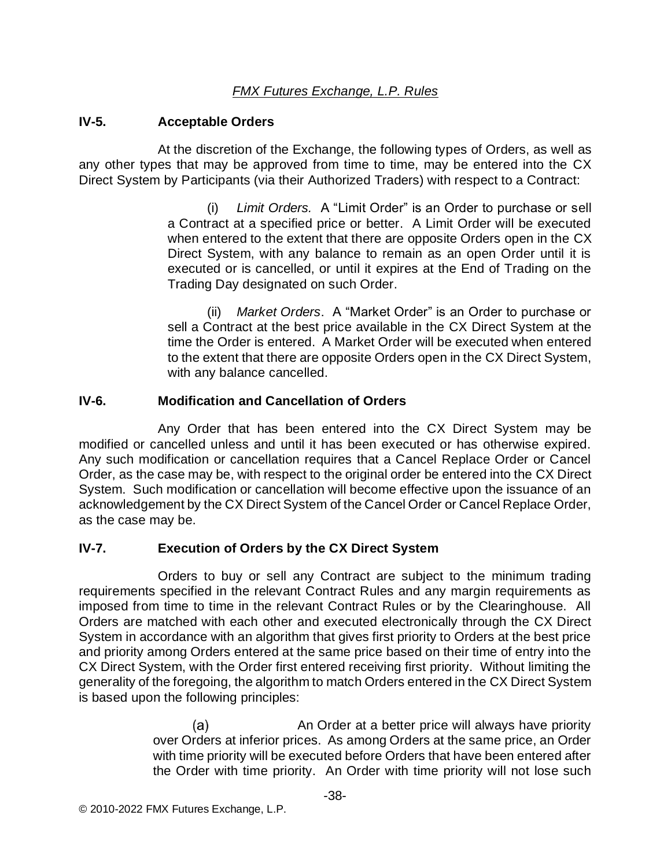### **IV-5. Acceptable Orders**

At the discretion of the Exchange, the following types of Orders, as well as any other types that may be approved from time to time, may be entered into the CX Direct System by Participants (via their Authorized Traders) with respect to a Contract:

> (i) *Limit Orders.* A "Limit Order" is an Order to purchase or sell a Contract at a specified price or better. A Limit Order will be executed when entered to the extent that there are opposite Orders open in the CX Direct System, with any balance to remain as an open Order until it is executed or is cancelled, or until it expires at the End of Trading on the Trading Day designated on such Order.

> (ii) *Market Orders*. A "Market Order" is an Order to purchase or sell a Contract at the best price available in the CX Direct System at the time the Order is entered. A Market Order will be executed when entered to the extent that there are opposite Orders open in the CX Direct System, with any balance cancelled.

## **IV-6. Modification and Cancellation of Orders**

Any Order that has been entered into the CX Direct System may be modified or cancelled unless and until it has been executed or has otherwise expired. Any such modification or cancellation requires that a Cancel Replace Order or Cancel Order, as the case may be, with respect to the original order be entered into the CX Direct System. Such modification or cancellation will become effective upon the issuance of an acknowledgement by the CX Direct System of the Cancel Order or Cancel Replace Order, as the case may be.

## **IV-7. Execution of Orders by the CX Direct System**

Orders to buy or sell any Contract are subject to the minimum trading requirements specified in the relevant Contract Rules and any margin requirements as imposed from time to time in the relevant Contract Rules or by the Clearinghouse. All Orders are matched with each other and executed electronically through the CX Direct System in accordance with an algorithm that gives first priority to Orders at the best price and priority among Orders entered at the same price based on their time of entry into the CX Direct System, with the Order first entered receiving first priority. Without limiting the generality of the foregoing, the algorithm to match Orders entered in the CX Direct System is based upon the following principles:

> $(a)$ An Order at a better price will always have priority over Orders at inferior prices. As among Orders at the same price, an Order with time priority will be executed before Orders that have been entered after the Order with time priority. An Order with time priority will not lose such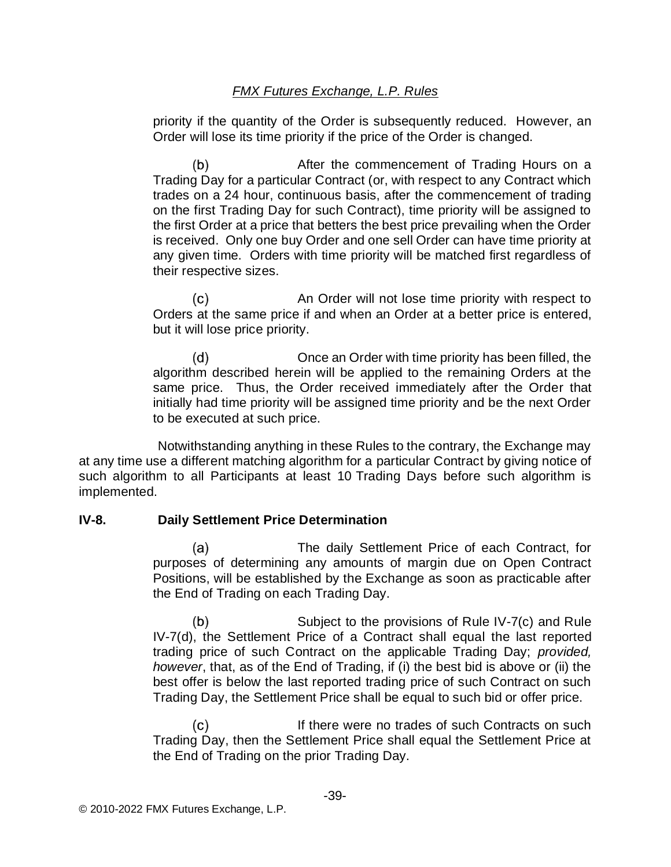priority if the quantity of the Order is subsequently reduced. However, an Order will lose its time priority if the price of the Order is changed.

 $(b)$ After the commencement of Trading Hours on a Trading Day for a particular Contract (or, with respect to any Contract which trades on a 24 hour, continuous basis, after the commencement of trading on the first Trading Day for such Contract), time priority will be assigned to the first Order at a price that betters the best price prevailing when the Order is received. Only one buy Order and one sell Order can have time priority at any given time. Orders with time priority will be matched first regardless of their respective sizes.

 $(c)$ An Order will not lose time priority with respect to Orders at the same price if and when an Order at a better price is entered, but it will lose price priority.

 $(d)$ Once an Order with time priority has been filled, the algorithm described herein will be applied to the remaining Orders at the same price. Thus, the Order received immediately after the Order that initially had time priority will be assigned time priority and be the next Order to be executed at such price.

Notwithstanding anything in these Rules to the contrary, the Exchange may at any time use a different matching algorithm for a particular Contract by giving notice of such algorithm to all Participants at least 10 Trading Days before such algorithm is implemented.

### **IV-8. Daily Settlement Price Determination**

The daily Settlement Price of each Contract, for  $(a)$ purposes of determining any amounts of margin due on Open Contract Positions, will be established by the Exchange as soon as practicable after the End of Trading on each Trading Day.

Subject to the provisions of Rule IV-7(c) and Rule  $(b)$ IV-7(d), the Settlement Price of a Contract shall equal the last reported trading price of such Contract on the applicable Trading Day; *provided, however*, that, as of the End of Trading, if (i) the best bid is above or (ii) the best offer is below the last reported trading price of such Contract on such Trading Day, the Settlement Price shall be equal to such bid or offer price.

 $(c)$ If there were no trades of such Contracts on such Trading Day, then the Settlement Price shall equal the Settlement Price at the End of Trading on the prior Trading Day.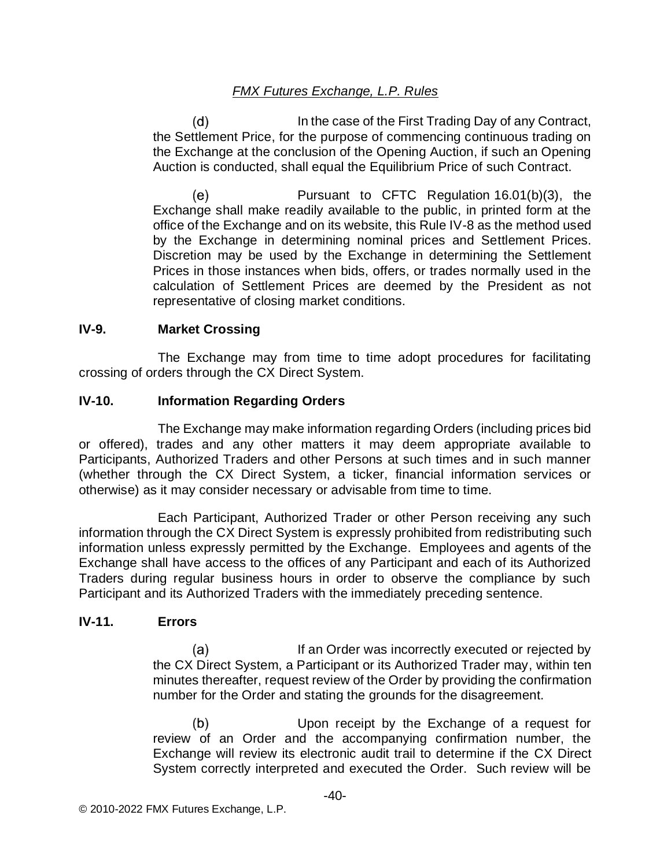In the case of the First Trading Day of any Contract,  $(d)$ the Settlement Price, for the purpose of commencing continuous trading on the Exchange at the conclusion of the Opening Auction, if such an Opening Auction is conducted, shall equal the Equilibrium Price of such Contract.

(e) Pursuant to CFTC Regulation 16.01(b)(3), the Exchange shall make readily available to the public, in printed form at the office of the Exchange and on its website, this Rule IV-8 as the method used by the Exchange in determining nominal prices and Settlement Prices. Discretion may be used by the Exchange in determining the Settlement Prices in those instances when bids, offers, or trades normally used in the calculation of Settlement Prices are deemed by the President as not representative of closing market conditions.

### **IV-9. Market Crossing**

The Exchange may from time to time adopt procedures for facilitating crossing of orders through the CX Direct System.

### **IV-10. Information Regarding Orders**

The Exchange may make information regarding Orders (including prices bid or offered), trades and any other matters it may deem appropriate available to Participants, Authorized Traders and other Persons at such times and in such manner (whether through the CX Direct System, a ticker, financial information services or otherwise) as it may consider necessary or advisable from time to time.

Each Participant, Authorized Trader or other Person receiving any such information through the CX Direct System is expressly prohibited from redistributing such information unless expressly permitted by the Exchange. Employees and agents of the Exchange shall have access to the offices of any Participant and each of its Authorized Traders during regular business hours in order to observe the compliance by such Participant and its Authorized Traders with the immediately preceding sentence.

### **IV-11. Errors**

 $(a)$ If an Order was incorrectly executed or rejected by the CX Direct System, a Participant or its Authorized Trader may, within ten minutes thereafter, request review of the Order by providing the confirmation number for the Order and stating the grounds for the disagreement.

 $(b)$ Upon receipt by the Exchange of a request for review of an Order and the accompanying confirmation number, the Exchange will review its electronic audit trail to determine if the CX Direct System correctly interpreted and executed the Order. Such review will be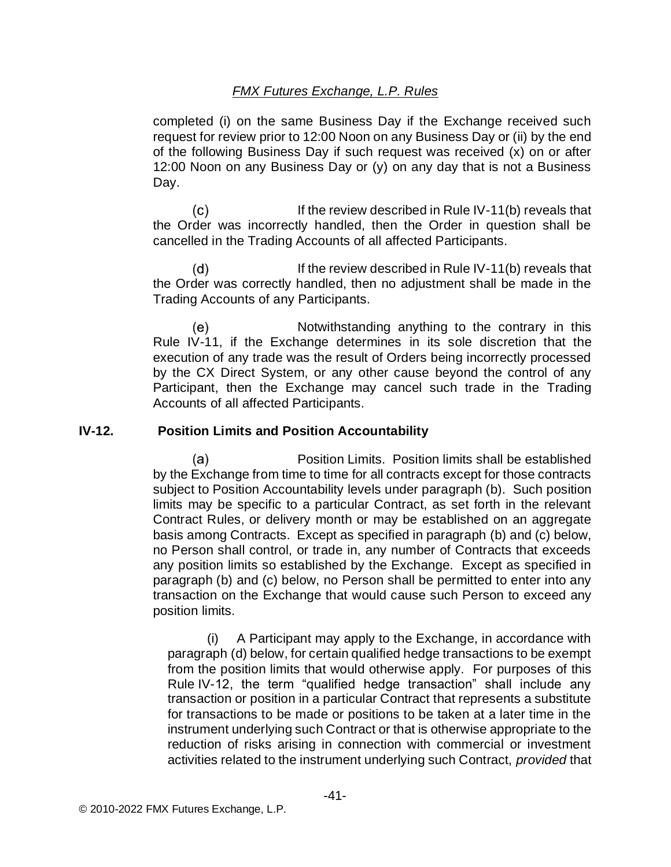completed (i) on the same Business Day if the Exchange received such request for review prior to 12:00 Noon on any Business Day or (ii) by the end of the following Business Day if such request was received (x) on or after 12:00 Noon on any Business Day or (y) on any day that is not a Business Day.

 $(c)$ If the review described in Rule IV-11(b) reveals that the Order was incorrectly handled, then the Order in question shall be cancelled in the Trading Accounts of all affected Participants.

 $(d)$ If the review described in Rule IV-11(b) reveals that the Order was correctly handled, then no adjustment shall be made in the Trading Accounts of any Participants.

(e) Notwithstanding anything to the contrary in this Rule IV-11, if the Exchange determines in its sole discretion that the execution of any trade was the result of Orders being incorrectly processed by the CX Direct System, or any other cause beyond the control of any Participant, then the Exchange may cancel such trade in the Trading Accounts of all affected Participants.

#### **IV-12. Position Limits and Position Accountability**

Position Limits. Position limits shall be established (a) by the Exchange from time to time for all contracts except for those contracts subject to Position Accountability levels under paragraph (b). Such position limits may be specific to a particular Contract, as set forth in the relevant Contract Rules, or delivery month or may be established on an aggregate basis among Contracts. Except as specified in paragraph (b) and (c) below, no Person shall control, or trade in, any number of Contracts that exceeds any position limits so established by the Exchange. Except as specified in paragraph (b) and (c) below, no Person shall be permitted to enter into any transaction on the Exchange that would cause such Person to exceed any position limits.

(i) A Participant may apply to the Exchange, in accordance with paragraph (d) below, for certain qualified hedge transactions to be exempt from the position limits that would otherwise apply. For purposes of this Rule IV-12, the term "qualified hedge transaction" shall include any transaction or position in a particular Contract that represents a substitute for transactions to be made or positions to be taken at a later time in the instrument underlying such Contract or that is otherwise appropriate to the reduction of risks arising in connection with commercial or investment activities related to the instrument underlying such Contract, *provided* that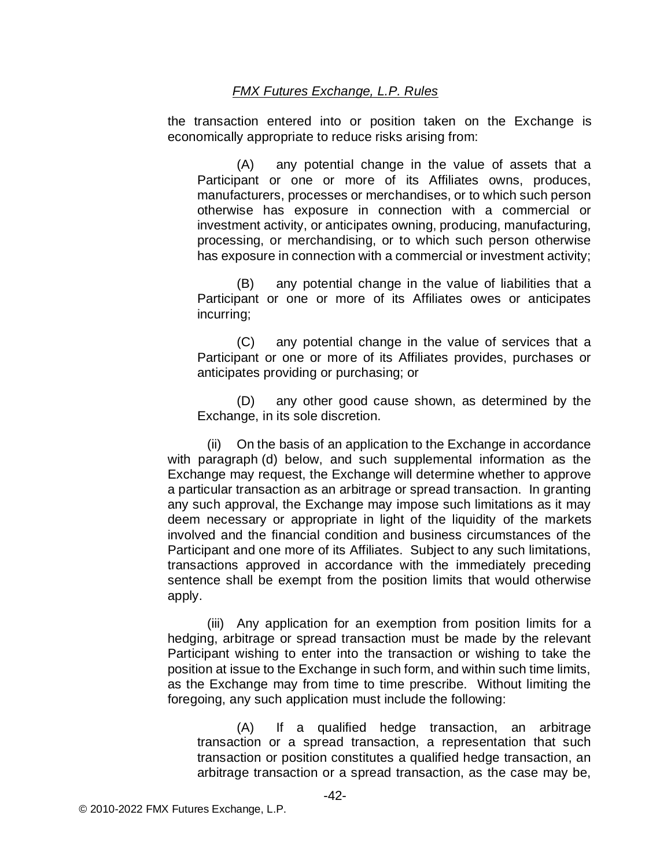the transaction entered into or position taken on the Exchange is economically appropriate to reduce risks arising from:

(A) any potential change in the value of assets that a Participant or one or more of its Affiliates owns, produces, manufacturers, processes or merchandises, or to which such person otherwise has exposure in connection with a commercial or investment activity, or anticipates owning, producing, manufacturing, processing, or merchandising, or to which such person otherwise has exposure in connection with a commercial or investment activity;

(B) any potential change in the value of liabilities that a Participant or one or more of its Affiliates owes or anticipates incurring;

(C) any potential change in the value of services that a Participant or one or more of its Affiliates provides, purchases or anticipates providing or purchasing; or

(D) any other good cause shown, as determined by the Exchange, in its sole discretion.

(ii) On the basis of an application to the Exchange in accordance with paragraph (d) below, and such supplemental information as the Exchange may request, the Exchange will determine whether to approve a particular transaction as an arbitrage or spread transaction. In granting any such approval, the Exchange may impose such limitations as it may deem necessary or appropriate in light of the liquidity of the markets involved and the financial condition and business circumstances of the Participant and one more of its Affiliates. Subject to any such limitations, transactions approved in accordance with the immediately preceding sentence shall be exempt from the position limits that would otherwise apply.

(iii) Any application for an exemption from position limits for a hedging, arbitrage or spread transaction must be made by the relevant Participant wishing to enter into the transaction or wishing to take the position at issue to the Exchange in such form, and within such time limits, as the Exchange may from time to time prescribe. Without limiting the foregoing, any such application must include the following:

(A) If a qualified hedge transaction, an arbitrage transaction or a spread transaction, a representation that such transaction or position constitutes a qualified hedge transaction, an arbitrage transaction or a spread transaction, as the case may be,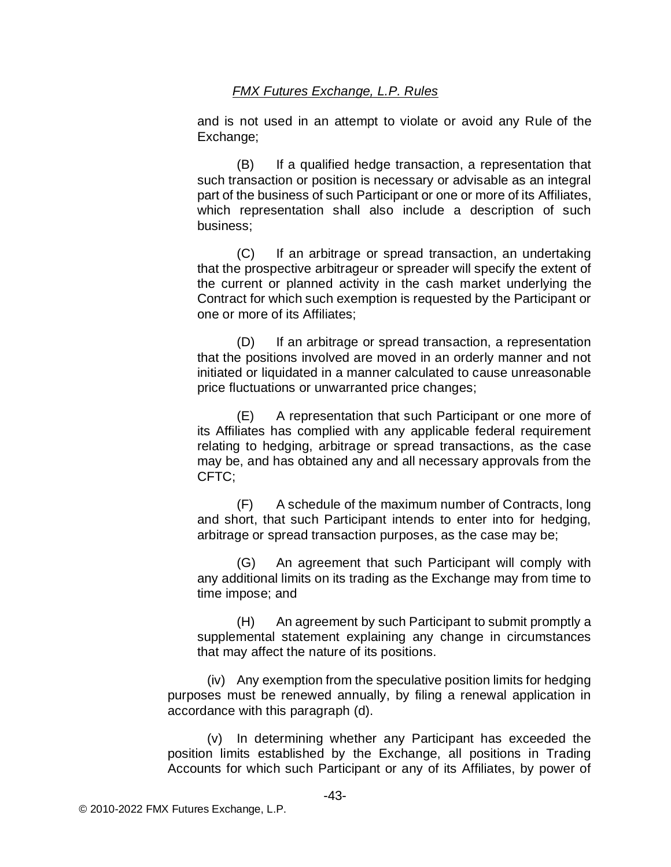and is not used in an attempt to violate or avoid any Rule of the Exchange;

(B) If a qualified hedge transaction, a representation that such transaction or position is necessary or advisable as an integral part of the business of such Participant or one or more of its Affiliates, which representation shall also include a description of such business;

(C) If an arbitrage or spread transaction, an undertaking that the prospective arbitrageur or spreader will specify the extent of the current or planned activity in the cash market underlying the Contract for which such exemption is requested by the Participant or one or more of its Affiliates;

(D) If an arbitrage or spread transaction, a representation that the positions involved are moved in an orderly manner and not initiated or liquidated in a manner calculated to cause unreasonable price fluctuations or unwarranted price changes;

(E) A representation that such Participant or one more of its Affiliates has complied with any applicable federal requirement relating to hedging, arbitrage or spread transactions, as the case may be, and has obtained any and all necessary approvals from the CFTC;

(F) A schedule of the maximum number of Contracts, long and short, that such Participant intends to enter into for hedging, arbitrage or spread transaction purposes, as the case may be;

(G) An agreement that such Participant will comply with any additional limits on its trading as the Exchange may from time to time impose; and

(H) An agreement by such Participant to submit promptly a supplemental statement explaining any change in circumstances that may affect the nature of its positions.

(iv) Any exemption from the speculative position limits for hedging purposes must be renewed annually, by filing a renewal application in accordance with this paragraph (d).

(v) In determining whether any Participant has exceeded the position limits established by the Exchange, all positions in Trading Accounts for which such Participant or any of its Affiliates, by power of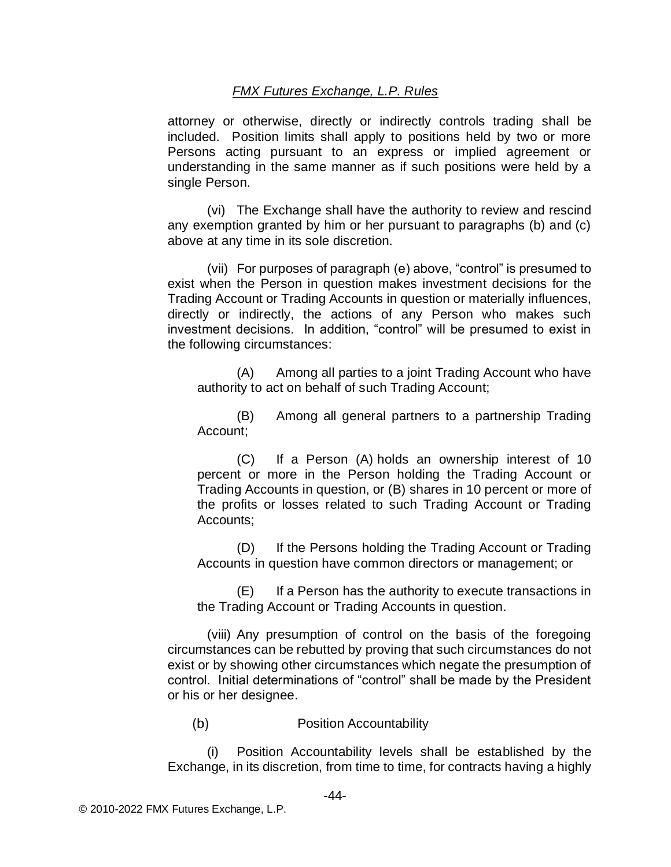attorney or otherwise, directly or indirectly controls trading shall be included. Position limits shall apply to positions held by two or more Persons acting pursuant to an express or implied agreement or understanding in the same manner as if such positions were held by a single Person.

(vi) The Exchange shall have the authority to review and rescind any exemption granted by him or her pursuant to paragraphs (b) and (c) above at any time in its sole discretion.

(vii) For purposes of paragraph (e) above, "control" is presumed to exist when the Person in question makes investment decisions for the Trading Account or Trading Accounts in question or materially influences, directly or indirectly, the actions of any Person who makes such investment decisions. In addition, "control" will be presumed to exist in the following circumstances:

(A) Among all parties to a joint Trading Account who have authority to act on behalf of such Trading Account;

(B) Among all general partners to a partnership Trading Account;

(C) If a Person (A) holds an ownership interest of 10 percent or more in the Person holding the Trading Account or Trading Accounts in question, or (B) shares in 10 percent or more of the profits or losses related to such Trading Account or Trading Accounts;

(D) If the Persons holding the Trading Account or Trading Accounts in question have common directors or management; or

(E) If a Person has the authority to execute transactions in the Trading Account or Trading Accounts in question.

(viii) Any presumption of control on the basis of the foregoing circumstances can be rebutted by proving that such circumstances do not exist or by showing other circumstances which negate the presumption of control. Initial determinations of "control" shall be made by the President or his or her designee.

 $(b)$ Position Accountability

(i) Position Accountability levels shall be established by the Exchange, in its discretion, from time to time, for contracts having a highly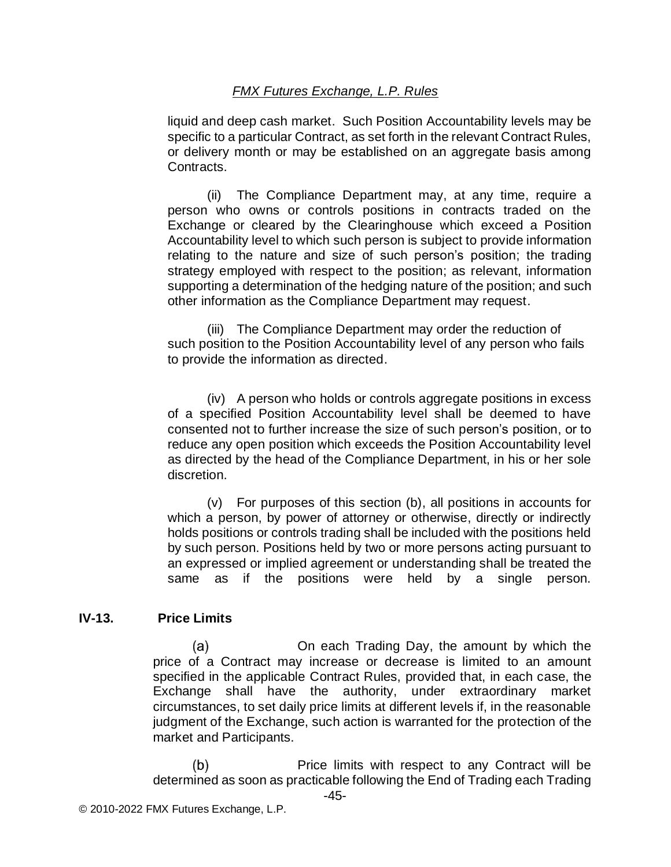liquid and deep cash market. Such Position Accountability levels may be specific to a particular Contract, as set forth in the relevant Contract Rules, or delivery month or may be established on an aggregate basis among Contracts.

(ii) The Compliance Department may, at any time, require a person who owns or controls positions in contracts traded on the Exchange or cleared by the Clearinghouse which exceed a Position Accountability level to which such person is subject to provide information relating to the nature and size of such person's position; the trading strategy employed with respect to the position; as relevant, information supporting a determination of the hedging nature of the position; and such other information as the Compliance Department may request.

(iii) The Compliance Department may order the reduction of such position to the Position Accountability level of any person who fails to provide the information as directed.

(iv) A person who holds or controls aggregate positions in excess of a specified Position Accountability level shall be deemed to have consented not to further increase the size of such person's position, or to reduce any open position which exceeds the Position Accountability level as directed by the head of the Compliance Department, in his or her sole discretion.

(v) For purposes of this section (b), all positions in accounts for which a person, by power of attorney or otherwise, directly or indirectly holds positions or controls trading shall be included with the positions held by such person. Positions held by two or more persons acting pursuant to an expressed or implied agreement or understanding shall be treated the same as if the positions were held by a single person.

### **IV-13. Price Limits**

On each Trading Day, the amount by which the (a) price of a Contract may increase or decrease is limited to an amount specified in the applicable Contract Rules, provided that, in each case, the Exchange shall have the authority, under extraordinary market circumstances, to set daily price limits at different levels if, in the reasonable judgment of the Exchange, such action is warranted for the protection of the market and Participants.

Price limits with respect to any Contract will be  $(b)$ determined as soon as practicable following the End of Trading each Trading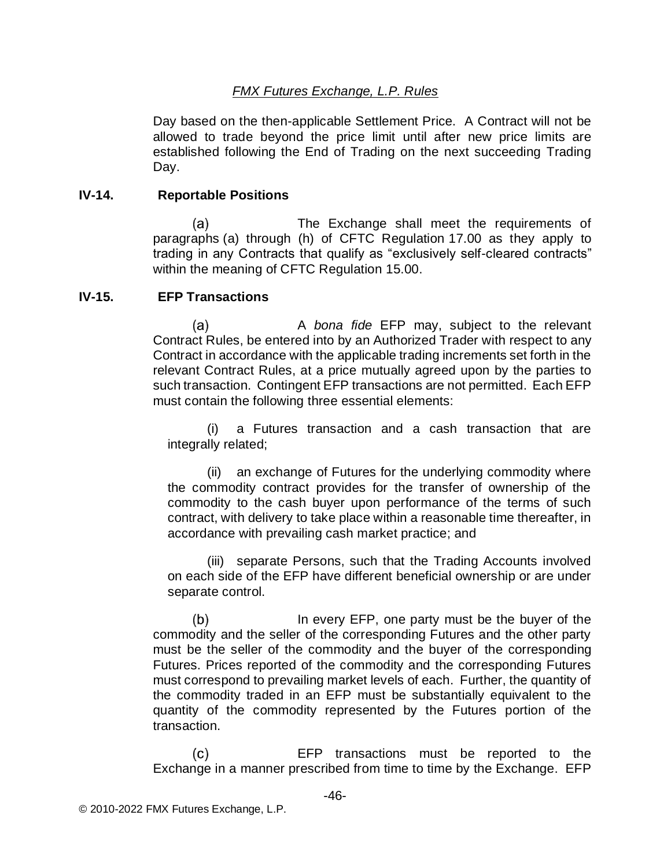Day based on the then-applicable Settlement Price. A Contract will not be allowed to trade beyond the price limit until after new price limits are established following the End of Trading on the next succeeding Trading Day.

#### **IV-14. Reportable Positions**

The Exchange shall meet the requirements of  $(a)$ paragraphs (a) through (h) of CFTC Regulation 17.00 as they apply to trading in any Contracts that qualify as "exclusively self-cleared contracts" within the meaning of CFTC Regulation 15.00.

#### **IV-15. EFP Transactions**

A *bona fide* EFP may, subject to the relevant  $(a)$ Contract Rules, be entered into by an Authorized Trader with respect to any Contract in accordance with the applicable trading increments set forth in the relevant Contract Rules, at a price mutually agreed upon by the parties to such transaction. Contingent EFP transactions are not permitted. Each EFP must contain the following three essential elements:

(i) a Futures transaction and a cash transaction that are integrally related;

(ii) an exchange of Futures for the underlying commodity where the commodity contract provides for the transfer of ownership of the commodity to the cash buyer upon performance of the terms of such contract, with delivery to take place within a reasonable time thereafter, in accordance with prevailing cash market practice; and

(iii) separate Persons, such that the Trading Accounts involved on each side of the EFP have different beneficial ownership or are under separate control.

 $(b)$ In every EFP, one party must be the buyer of the commodity and the seller of the corresponding Futures and the other party must be the seller of the commodity and the buyer of the corresponding Futures. Prices reported of the commodity and the corresponding Futures must correspond to prevailing market levels of each. Further, the quantity of the commodity traded in an EFP must be substantially equivalent to the quantity of the commodity represented by the Futures portion of the transaction.

EFP transactions must be reported to the  $(c)$ Exchange in a manner prescribed from time to time by the Exchange. EFP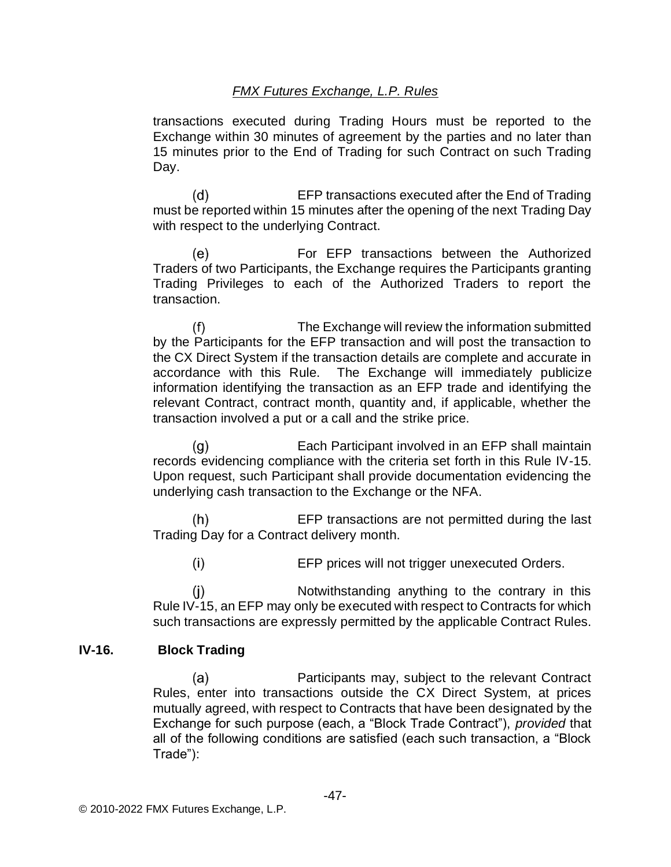transactions executed during Trading Hours must be reported to the Exchange within 30 minutes of agreement by the parties and no later than 15 minutes prior to the End of Trading for such Contract on such Trading Day.

 $(d)$ EFP transactions executed after the End of Trading must be reported within 15 minutes after the opening of the next Trading Day with respect to the underlying Contract.

For EFP transactions between the Authorized  $(e)$ Traders of two Participants, the Exchange requires the Participants granting Trading Privileges to each of the Authorized Traders to report the transaction.

 $(f)$ The Exchange will review the information submitted by the Participants for the EFP transaction and will post the transaction to the CX Direct System if the transaction details are complete and accurate in accordance with this Rule. The Exchange will immediately publicize information identifying the transaction as an EFP trade and identifying the relevant Contract, contract month, quantity and, if applicable, whether the transaction involved a put or a call and the strike price.

Each Participant involved in an EFP shall maintain  $(q)$ records evidencing compliance with the criteria set forth in this Rule IV-15. Upon request, such Participant shall provide documentation evidencing the underlying cash transaction to the Exchange or the NFA.

 $(h)$ EFP transactions are not permitted during the last Trading Day for a Contract delivery month.

 $(i)$ EFP prices will not trigger unexecuted Orders.

 $(i)$ Notwithstanding anything to the contrary in this Rule IV-15, an EFP may only be executed with respect to Contracts for which such transactions are expressly permitted by the applicable Contract Rules.

### **IV-16. Block Trading**

 $(a)$ Participants may, subject to the relevant Contract Rules, enter into transactions outside the CX Direct System, at prices mutually agreed, with respect to Contracts that have been designated by the Exchange for such purpose (each, a "Block Trade Contract"), *provided* that all of the following conditions are satisfied (each such transaction, a "Block Trade"):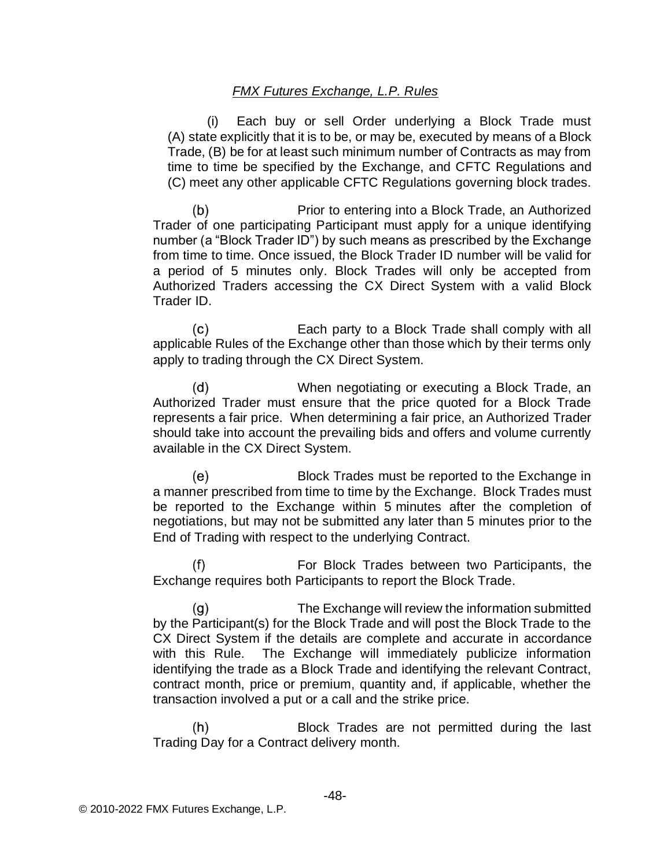(i) Each buy or sell Order underlying a Block Trade must (A) state explicitly that it is to be, or may be, executed by means of a Block Trade, (B) be for at least such minimum number of Contracts as may from time to time be specified by the Exchange, and CFTC Regulations and (C) meet any other applicable CFTC Regulations governing block trades.

 $(b)$ Prior to entering into a Block Trade, an Authorized Trader of one participating Participant must apply for a unique identifying number (a "Block Trader ID") by such means as prescribed by the Exchange from time to time. Once issued, the Block Trader ID number will be valid for a period of 5 minutes only. Block Trades will only be accepted from Authorized Traders accessing the CX Direct System with a valid Block Trader ID.

Each party to a Block Trade shall comply with all (c) applicable Rules of the Exchange other than those which by their terms only apply to trading through the CX Direct System.

When negotiating or executing a Block Trade, an (d) Authorized Trader must ensure that the price quoted for a Block Trade represents a fair price. When determining a fair price, an Authorized Trader should take into account the prevailing bids and offers and volume currently available in the CX Direct System.

(e) Block Trades must be reported to the Exchange in a manner prescribed from time to time by the Exchange. Block Trades must be reported to the Exchange within 5 minutes after the completion of negotiations, but may not be submitted any later than 5 minutes prior to the End of Trading with respect to the underlying Contract.

For Block Trades between two Participants, the  $(f)$ Exchange requires both Participants to report the Block Trade.

 $(g)$ The Exchange will review the information submitted by the Participant(s) for the Block Trade and will post the Block Trade to the CX Direct System if the details are complete and accurate in accordance with this Rule. The Exchange will immediately publicize information identifying the trade as a Block Trade and identifying the relevant Contract, contract month, price or premium, quantity and, if applicable, whether the transaction involved a put or a call and the strike price.

 $(h)$ Block Trades are not permitted during the last Trading Day for a Contract delivery month.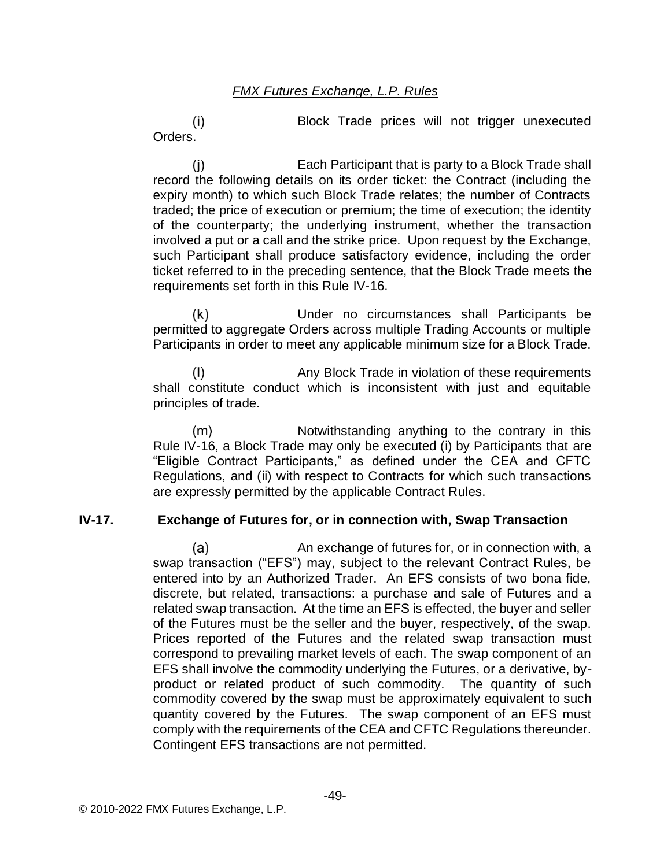Block Trade prices will not trigger unexecuted  $(i)$ Orders.

 $(i)$ Each Participant that is party to a Block Trade shall record the following details on its order ticket: the Contract (including the expiry month) to which such Block Trade relates; the number of Contracts traded; the price of execution or premium; the time of execution; the identity of the counterparty; the underlying instrument, whether the transaction involved a put or a call and the strike price. Upon request by the Exchange, such Participant shall produce satisfactory evidence, including the order ticket referred to in the preceding sentence, that the Block Trade meets the requirements set forth in this Rule IV-16.

 $(k)$ Under no circumstances shall Participants be permitted to aggregate Orders across multiple Trading Accounts or multiple Participants in order to meet any applicable minimum size for a Block Trade.

 $(1)$ Any Block Trade in violation of these requirements shall constitute conduct which is inconsistent with just and equitable principles of trade.

 $(m)$ Notwithstanding anything to the contrary in this Rule IV-16, a Block Trade may only be executed (i) by Participants that are "Eligible Contract Participants," as defined under the CEA and CFTC Regulations, and (ii) with respect to Contracts for which such transactions are expressly permitted by the applicable Contract Rules.

### **IV-17. Exchange of Futures for, or in connection with, Swap Transaction**

 $(a)$ An exchange of futures for, or in connection with, a swap transaction ("EFS") may, subject to the relevant Contract Rules, be entered into by an Authorized Trader. An EFS consists of two bona fide, discrete, but related, transactions: a purchase and sale of Futures and a related swap transaction. At the time an EFS is effected, the buyer and seller of the Futures must be the seller and the buyer, respectively, of the swap. Prices reported of the Futures and the related swap transaction must correspond to prevailing market levels of each. The swap component of an EFS shall involve the commodity underlying the Futures, or a derivative, byproduct or related product of such commodity. The quantity of such commodity covered by the swap must be approximately equivalent to such quantity covered by the Futures. The swap component of an EFS must comply with the requirements of the CEA and CFTC Regulations thereunder. Contingent EFS transactions are not permitted.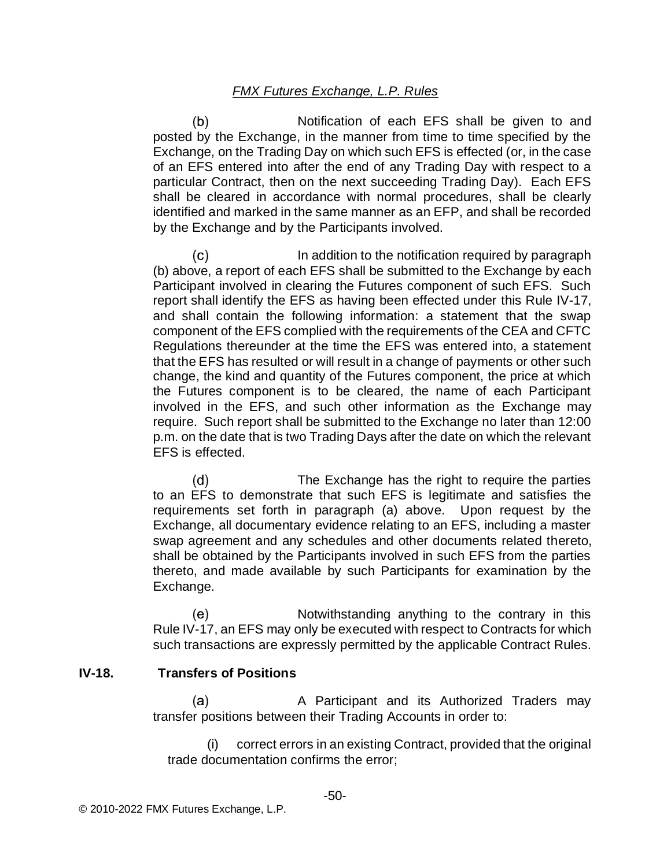$(b)$ Notification of each EFS shall be given to and posted by the Exchange, in the manner from time to time specified by the Exchange, on the Trading Day on which such EFS is effected (or, in the case of an EFS entered into after the end of any Trading Day with respect to a particular Contract, then on the next succeeding Trading Day). Each EFS shall be cleared in accordance with normal procedures, shall be clearly identified and marked in the same manner as an EFP, and shall be recorded by the Exchange and by the Participants involved.

 $(c)$ In addition to the notification required by paragraph (b) above, a report of each EFS shall be submitted to the Exchange by each Participant involved in clearing the Futures component of such EFS. Such report shall identify the EFS as having been effected under this Rule IV-17, and shall contain the following information: a statement that the swap component of the EFS complied with the requirements of the CEA and CFTC Regulations thereunder at the time the EFS was entered into, a statement that the EFS has resulted or will result in a change of payments or other such change, the kind and quantity of the Futures component, the price at which the Futures component is to be cleared, the name of each Participant involved in the EFS, and such other information as the Exchange may require. Such report shall be submitted to the Exchange no later than 12:00 p.m. on the date that is two Trading Days after the date on which the relevant EFS is effected.

 $(d)$ The Exchange has the right to require the parties to an EFS to demonstrate that such EFS is legitimate and satisfies the requirements set forth in paragraph (a) above. Upon request by the Exchange, all documentary evidence relating to an EFS, including a master swap agreement and any schedules and other documents related thereto, shall be obtained by the Participants involved in such EFS from the parties thereto, and made available by such Participants for examination by the Exchange.

Notwithstanding anything to the contrary in this (e) Rule IV-17, an EFS may only be executed with respect to Contracts for which such transactions are expressly permitted by the applicable Contract Rules.

### **IV-18. Transfers of Positions**

 $(a)$ A Participant and its Authorized Traders may transfer positions between their Trading Accounts in order to:

(i) correct errors in an existing Contract, provided that the original trade documentation confirms the error;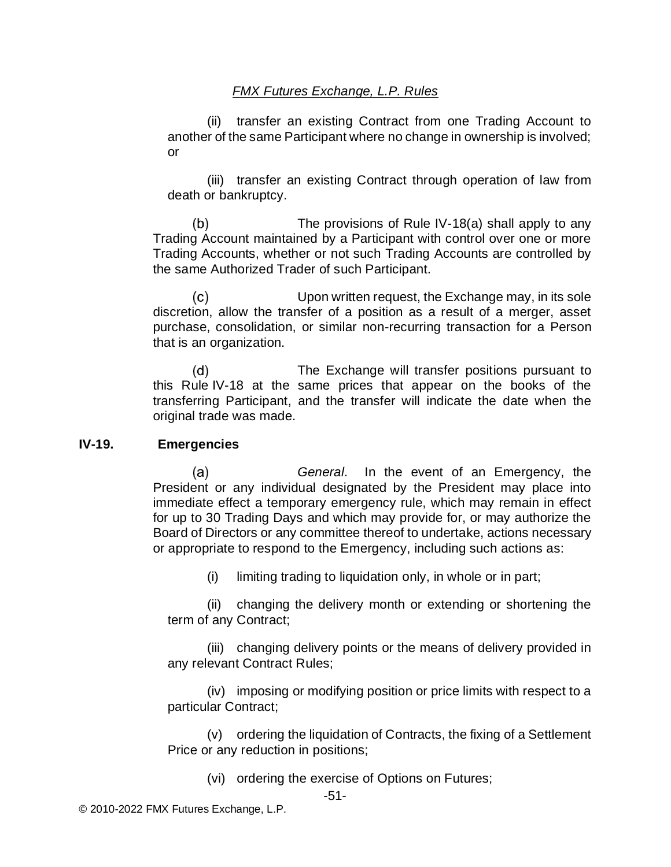(ii) transfer an existing Contract from one Trading Account to another of the same Participant where no change in ownership is involved; or

(iii) transfer an existing Contract through operation of law from death or bankruptcy.

 $(b)$ The provisions of Rule IV-18(a) shall apply to any Trading Account maintained by a Participant with control over one or more Trading Accounts, whether or not such Trading Accounts are controlled by the same Authorized Trader of such Participant.

Upon written request, the Exchange may, in its sole  $(c)$ discretion, allow the transfer of a position as a result of a merger, asset purchase, consolidation, or similar non-recurring transaction for a Person that is an organization.

 $(d)$ The Exchange will transfer positions pursuant to this Rule IV-18 at the same prices that appear on the books of the transferring Participant, and the transfer will indicate the date when the original trade was made.

#### **IV-19. Emergencies**

 $(a)$ *General*. In the event of an Emergency, the President or any individual designated by the President may place into immediate effect a temporary emergency rule, which may remain in effect for up to 30 Trading Days and which may provide for, or may authorize the Board of Directors or any committee thereof to undertake, actions necessary or appropriate to respond to the Emergency, including such actions as:

(i) limiting trading to liquidation only, in whole or in part;

(ii) changing the delivery month or extending or shortening the term of any Contract;

(iii) changing delivery points or the means of delivery provided in any relevant Contract Rules;

(iv) imposing or modifying position or price limits with respect to a particular Contract;

(v) ordering the liquidation of Contracts, the fixing of a Settlement Price or any reduction in positions;

(vi) ordering the exercise of Options on Futures;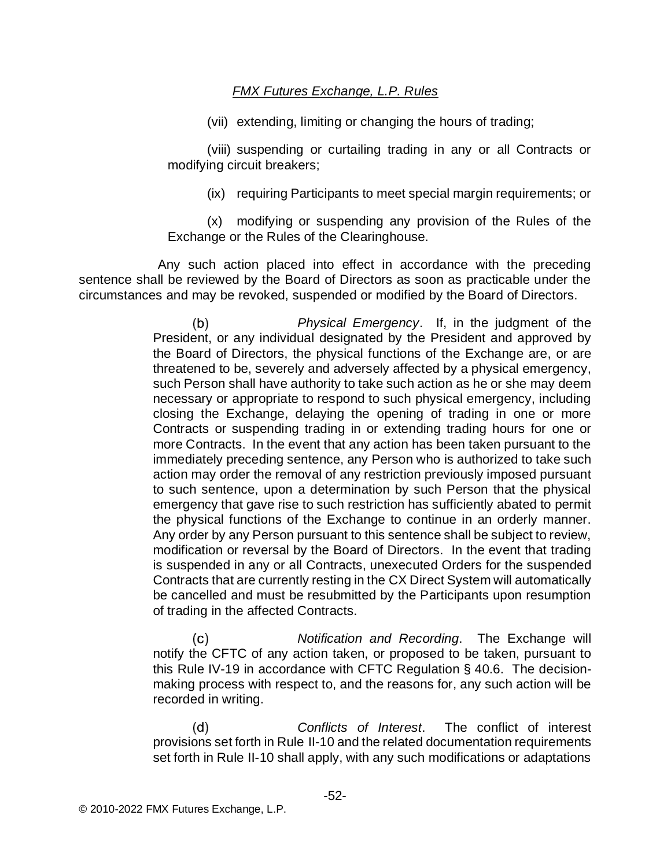(vii) extending, limiting or changing the hours of trading;

(viii) suspending or curtailing trading in any or all Contracts or modifying circuit breakers;

(ix) requiring Participants to meet special margin requirements; or

(x) modifying or suspending any provision of the Rules of the Exchange or the Rules of the Clearinghouse.

Any such action placed into effect in accordance with the preceding sentence shall be reviewed by the Board of Directors as soon as practicable under the circumstances and may be revoked, suspended or modified by the Board of Directors.

> $(b)$ *Physical Emergency*. If, in the judgment of the President, or any individual designated by the President and approved by the Board of Directors, the physical functions of the Exchange are, or are threatened to be, severely and adversely affected by a physical emergency, such Person shall have authority to take such action as he or she may deem necessary or appropriate to respond to such physical emergency, including closing the Exchange, delaying the opening of trading in one or more Contracts or suspending trading in or extending trading hours for one or more Contracts. In the event that any action has been taken pursuant to the immediately preceding sentence, any Person who is authorized to take such action may order the removal of any restriction previously imposed pursuant to such sentence, upon a determination by such Person that the physical emergency that gave rise to such restriction has sufficiently abated to permit the physical functions of the Exchange to continue in an orderly manner. Any order by any Person pursuant to this sentence shall be subject to review, modification or reversal by the Board of Directors. In the event that trading is suspended in any or all Contracts, unexecuted Orders for the suspended Contracts that are currently resting in the CX Direct System will automatically be cancelled and must be resubmitted by the Participants upon resumption of trading in the affected Contracts.

> *Notification and Recording*. The Exchange will  $(c)$ notify the CFTC of any action taken, or proposed to be taken, pursuant to this Rule IV-19 in accordance with CFTC Regulation § 40.6. The decisionmaking process with respect to, and the reasons for, any such action will be recorded in writing.

> $(d)$ *Conflicts of Interest*. The conflict of interest provisions set forth in Rule II-10 and the related documentation requirements set forth in Rule II-10 shall apply, with any such modifications or adaptations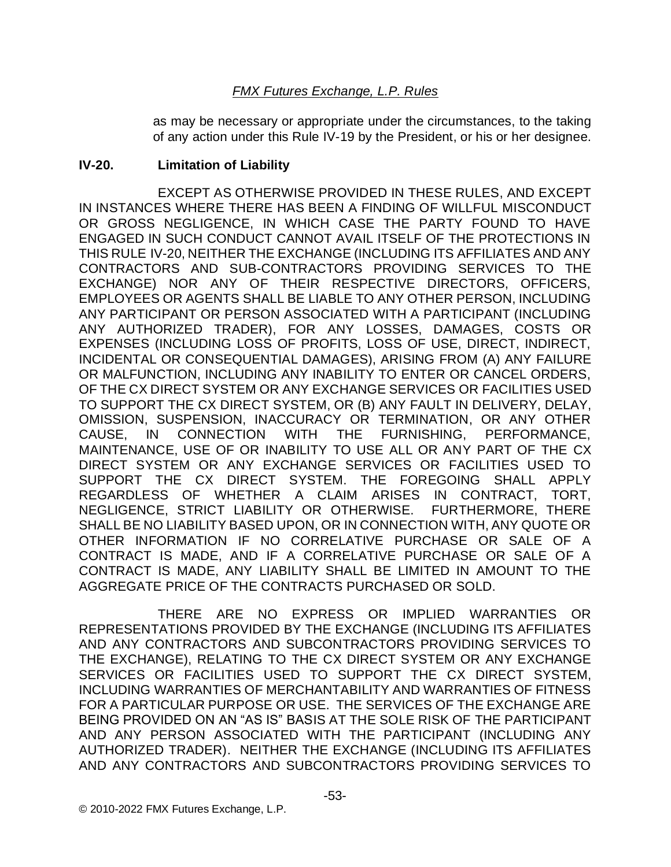as may be necessary or appropriate under the circumstances, to the taking of any action under this Rule IV-19 by the President, or his or her designee.

#### **IV-20. Limitation of Liability**

EXCEPT AS OTHERWISE PROVIDED IN THESE RULES, AND EXCEPT IN INSTANCES WHERE THERE HAS BEEN A FINDING OF WILLFUL MISCONDUCT OR GROSS NEGLIGENCE, IN WHICH CASE THE PARTY FOUND TO HAVE ENGAGED IN SUCH CONDUCT CANNOT AVAIL ITSELF OF THE PROTECTIONS IN THIS RULE IV-20, NEITHER THE EXCHANGE (INCLUDING ITS AFFILIATES AND ANY CONTRACTORS AND SUB-CONTRACTORS PROVIDING SERVICES TO THE EXCHANGE) NOR ANY OF THEIR RESPECTIVE DIRECTORS, OFFICERS, EMPLOYEES OR AGENTS SHALL BE LIABLE TO ANY OTHER PERSON, INCLUDING ANY PARTICIPANT OR PERSON ASSOCIATED WITH A PARTICIPANT (INCLUDING ANY AUTHORIZED TRADER), FOR ANY LOSSES, DAMAGES, COSTS OR EXPENSES (INCLUDING LOSS OF PROFITS, LOSS OF USE, DIRECT, INDIRECT, INCIDENTAL OR CONSEQUENTIAL DAMAGES), ARISING FROM (A) ANY FAILURE OR MALFUNCTION, INCLUDING ANY INABILITY TO ENTER OR CANCEL ORDERS, OF THE CX DIRECT SYSTEM OR ANY EXCHANGE SERVICES OR FACILITIES USED TO SUPPORT THE CX DIRECT SYSTEM, OR (B) ANY FAULT IN DELIVERY, DELAY, OMISSION, SUSPENSION, INACCURACY OR TERMINATION, OR ANY OTHER CAUSE, IN CONNECTION WITH THE FURNISHING, PERFORMANCE, MAINTENANCE, USE OF OR INABILITY TO USE ALL OR ANY PART OF THE CX DIRECT SYSTEM OR ANY EXCHANGE SERVICES OR FACILITIES USED TO SUPPORT THE CX DIRECT SYSTEM. THE FOREGOING SHALL APPLY REGARDLESS OF WHETHER A CLAIM ARISES IN CONTRACT, TORT, NEGLIGENCE, STRICT LIABILITY OR OTHERWISE. FURTHERMORE, THERE SHALL BE NO LIABILITY BASED UPON, OR IN CONNECTION WITH, ANY QUOTE OR OTHER INFORMATION IF NO CORRELATIVE PURCHASE OR SALE OF A CONTRACT IS MADE, AND IF A CORRELATIVE PURCHASE OR SALE OF A CONTRACT IS MADE, ANY LIABILITY SHALL BE LIMITED IN AMOUNT TO THE AGGREGATE PRICE OF THE CONTRACTS PURCHASED OR SOLD.

THERE ARE NO EXPRESS OR IMPLIED WARRANTIES OR REPRESENTATIONS PROVIDED BY THE EXCHANGE (INCLUDING ITS AFFILIATES AND ANY CONTRACTORS AND SUBCONTRACTORS PROVIDING SERVICES TO THE EXCHANGE), RELATING TO THE CX DIRECT SYSTEM OR ANY EXCHANGE SERVICES OR FACILITIES USED TO SUPPORT THE CX DIRECT SYSTEM, INCLUDING WARRANTIES OF MERCHANTABILITY AND WARRANTIES OF FITNESS FOR A PARTICULAR PURPOSE OR USE. THE SERVICES OF THE EXCHANGE ARE BEING PROVIDED ON AN "AS IS" BASIS AT THE SOLE RISK OF THE PARTICIPANT AND ANY PERSON ASSOCIATED WITH THE PARTICIPANT (INCLUDING ANY AUTHORIZED TRADER). NEITHER THE EXCHANGE (INCLUDING ITS AFFILIATES AND ANY CONTRACTORS AND SUBCONTRACTORS PROVIDING SERVICES TO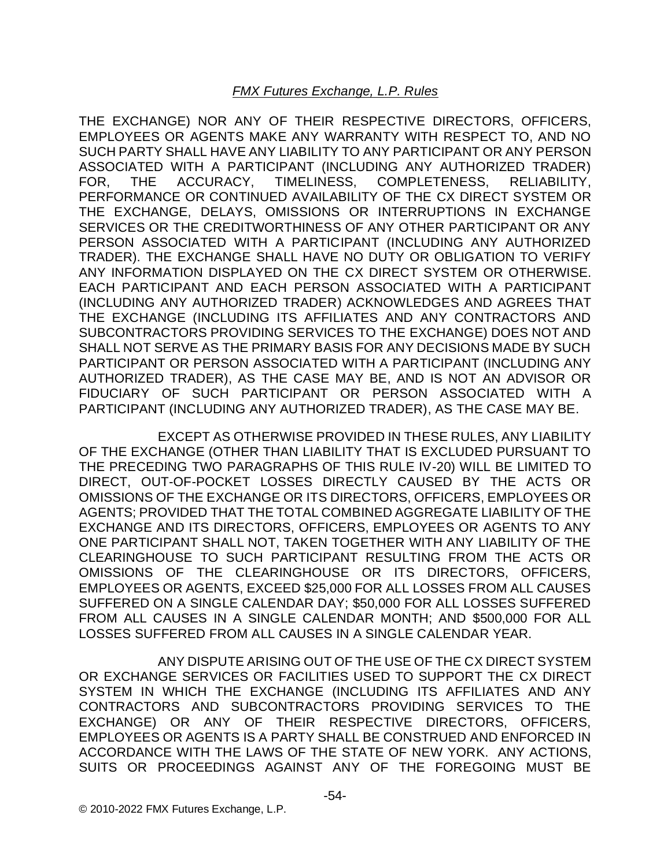THE EXCHANGE) NOR ANY OF THEIR RESPECTIVE DIRECTORS, OFFICERS, EMPLOYEES OR AGENTS MAKE ANY WARRANTY WITH RESPECT TO, AND NO SUCH PARTY SHALL HAVE ANY LIABILITY TO ANY PARTICIPANT OR ANY PERSON ASSOCIATED WITH A PARTICIPANT (INCLUDING ANY AUTHORIZED TRADER) FOR, THE ACCURACY, TIMELINESS, COMPLETENESS, RELIABILITY, PERFORMANCE OR CONTINUED AVAILABILITY OF THE CX DIRECT SYSTEM OR THE EXCHANGE, DELAYS, OMISSIONS OR INTERRUPTIONS IN EXCHANGE SERVICES OR THE CREDITWORTHINESS OF ANY OTHER PARTICIPANT OR ANY PERSON ASSOCIATED WITH A PARTICIPANT (INCLUDING ANY AUTHORIZED TRADER). THE EXCHANGE SHALL HAVE NO DUTY OR OBLIGATION TO VERIFY ANY INFORMATION DISPLAYED ON THE CX DIRECT SYSTEM OR OTHERWISE. EACH PARTICIPANT AND EACH PERSON ASSOCIATED WITH A PARTICIPANT (INCLUDING ANY AUTHORIZED TRADER) ACKNOWLEDGES AND AGREES THAT THE EXCHANGE (INCLUDING ITS AFFILIATES AND ANY CONTRACTORS AND SUBCONTRACTORS PROVIDING SERVICES TO THE EXCHANGE) DOES NOT AND SHALL NOT SERVE AS THE PRIMARY BASIS FOR ANY DECISIONS MADE BY SUCH PARTICIPANT OR PERSON ASSOCIATED WITH A PARTICIPANT (INCLUDING ANY AUTHORIZED TRADER), AS THE CASE MAY BE, AND IS NOT AN ADVISOR OR FIDUCIARY OF SUCH PARTICIPANT OR PERSON ASSOCIATED WITH A PARTICIPANT (INCLUDING ANY AUTHORIZED TRADER), AS THE CASE MAY BE.

EXCEPT AS OTHERWISE PROVIDED IN THESE RULES, ANY LIABILITY OF THE EXCHANGE (OTHER THAN LIABILITY THAT IS EXCLUDED PURSUANT TO THE PRECEDING TWO PARAGRAPHS OF THIS RULE IV-20) WILL BE LIMITED TO DIRECT, OUT-OF-POCKET LOSSES DIRECTLY CAUSED BY THE ACTS OR OMISSIONS OF THE EXCHANGE OR ITS DIRECTORS, OFFICERS, EMPLOYEES OR AGENTS; PROVIDED THAT THE TOTAL COMBINED AGGREGATE LIABILITY OF THE EXCHANGE AND ITS DIRECTORS, OFFICERS, EMPLOYEES OR AGENTS TO ANY ONE PARTICIPANT SHALL NOT, TAKEN TOGETHER WITH ANY LIABILITY OF THE CLEARINGHOUSE TO SUCH PARTICIPANT RESULTING FROM THE ACTS OR OMISSIONS OF THE CLEARINGHOUSE OR ITS DIRECTORS, OFFICERS, EMPLOYEES OR AGENTS, EXCEED \$25,000 FOR ALL LOSSES FROM ALL CAUSES SUFFERED ON A SINGLE CALENDAR DAY; \$50,000 FOR ALL LOSSES SUFFERED FROM ALL CAUSES IN A SINGLE CALENDAR MONTH; AND \$500,000 FOR ALL LOSSES SUFFERED FROM ALL CAUSES IN A SINGLE CALENDAR YEAR.

ANY DISPUTE ARISING OUT OF THE USE OF THE CX DIRECT SYSTEM OR EXCHANGE SERVICES OR FACILITIES USED TO SUPPORT THE CX DIRECT SYSTEM IN WHICH THE EXCHANGE (INCLUDING ITS AFFILIATES AND ANY CONTRACTORS AND SUBCONTRACTORS PROVIDING SERVICES TO THE EXCHANGE) OR ANY OF THEIR RESPECTIVE DIRECTORS, OFFICERS, EMPLOYEES OR AGENTS IS A PARTY SHALL BE CONSTRUED AND ENFORCED IN ACCORDANCE WITH THE LAWS OF THE STATE OF NEW YORK. ANY ACTIONS, SUITS OR PROCEEDINGS AGAINST ANY OF THE FOREGOING MUST BE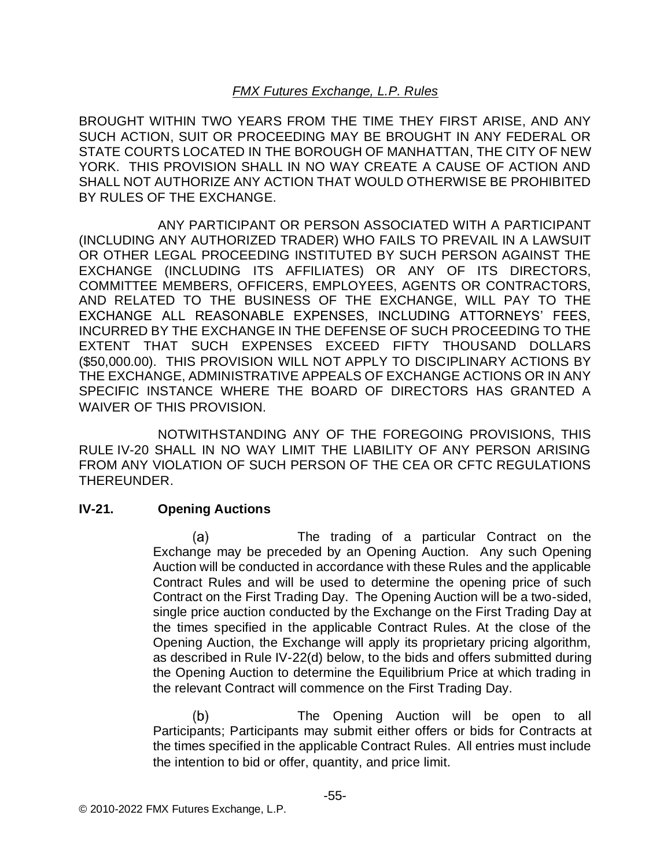BROUGHT WITHIN TWO YEARS FROM THE TIME THEY FIRST ARISE, AND ANY SUCH ACTION, SUIT OR PROCEEDING MAY BE BROUGHT IN ANY FEDERAL OR STATE COURTS LOCATED IN THE BOROUGH OF MANHATTAN, THE CITY OF NEW YORK. THIS PROVISION SHALL IN NO WAY CREATE A CAUSE OF ACTION AND SHALL NOT AUTHORIZE ANY ACTION THAT WOULD OTHERWISE BE PROHIBITED BY RULES OF THE EXCHANGE.

ANY PARTICIPANT OR PERSON ASSOCIATED WITH A PARTICIPANT (INCLUDING ANY AUTHORIZED TRADER) WHO FAILS TO PREVAIL IN A LAWSUIT OR OTHER LEGAL PROCEEDING INSTITUTED BY SUCH PERSON AGAINST THE EXCHANGE (INCLUDING ITS AFFILIATES) OR ANY OF ITS DIRECTORS, COMMITTEE MEMBERS, OFFICERS, EMPLOYEES, AGENTS OR CONTRACTORS, AND RELATED TO THE BUSINESS OF THE EXCHANGE, WILL PAY TO THE EXCHANGE ALL REASONABLE EXPENSES, INCLUDING ATTORNEYS' FEES, INCURRED BY THE EXCHANGE IN THE DEFENSE OF SUCH PROCEEDING TO THE EXTENT THAT SUCH EXPENSES EXCEED FIFTY THOUSAND DOLLARS (\$50,000.00). THIS PROVISION WILL NOT APPLY TO DISCIPLINARY ACTIONS BY THE EXCHANGE, ADMINISTRATIVE APPEALS OF EXCHANGE ACTIONS OR IN ANY SPECIFIC INSTANCE WHERE THE BOARD OF DIRECTORS HAS GRANTED A WAIVER OF THIS PROVISION.

NOTWITHSTANDING ANY OF THE FOREGOING PROVISIONS, THIS RULE IV-20 SHALL IN NO WAY LIMIT THE LIABILITY OF ANY PERSON ARISING FROM ANY VIOLATION OF SUCH PERSON OF THE CEA OR CFTC REGULATIONS THEREUNDER.

### **IV-21. Opening Auctions**

The trading of a particular Contract on the (a) Exchange may be preceded by an Opening Auction. Any such Opening Auction will be conducted in accordance with these Rules and the applicable Contract Rules and will be used to determine the opening price of such Contract on the First Trading Day. The Opening Auction will be a two-sided, single price auction conducted by the Exchange on the First Trading Day at the times specified in the applicable Contract Rules. At the close of the Opening Auction, the Exchange will apply its proprietary pricing algorithm, as described in Rule IV-22(d) below, to the bids and offers submitted during the Opening Auction to determine the Equilibrium Price at which trading in the relevant Contract will commence on the First Trading Day.

 $(b)$ The Opening Auction will be open to all Participants; Participants may submit either offers or bids for Contracts at the times specified in the applicable Contract Rules. All entries must include the intention to bid or offer, quantity, and price limit.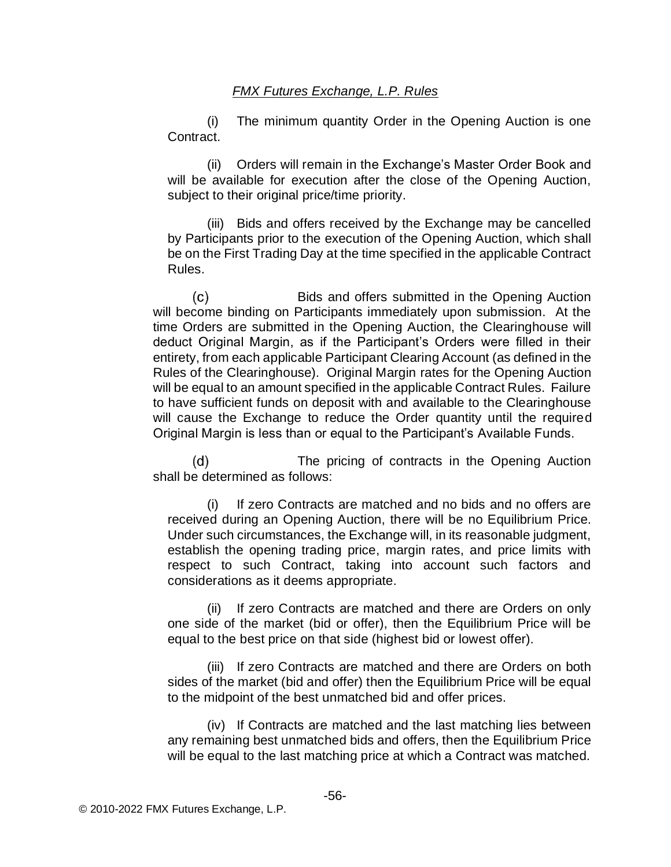(i) The minimum quantity Order in the Opening Auction is one Contract.

(ii) Orders will remain in the Exchange's Master Order Book and will be available for execution after the close of the Opening Auction, subject to their original price/time priority.

(iii) Bids and offers received by the Exchange may be cancelled by Participants prior to the execution of the Opening Auction, which shall be on the First Trading Day at the time specified in the applicable Contract Rules.

 $(c)$ Bids and offers submitted in the Opening Auction will become binding on Participants immediately upon submission. At the time Orders are submitted in the Opening Auction, the Clearinghouse will deduct Original Margin, as if the Participant's Orders were filled in their entirety, from each applicable Participant Clearing Account (as defined in the Rules of the Clearinghouse). Original Margin rates for the Opening Auction will be equal to an amount specified in the applicable Contract Rules. Failure to have sufficient funds on deposit with and available to the Clearinghouse will cause the Exchange to reduce the Order quantity until the required Original Margin is less than or equal to the Participant's Available Funds.

 $(d)$ The pricing of contracts in the Opening Auction shall be determined as follows:

(i) If zero Contracts are matched and no bids and no offers are received during an Opening Auction, there will be no Equilibrium Price. Under such circumstances, the Exchange will, in its reasonable judgment, establish the opening trading price, margin rates, and price limits with respect to such Contract, taking into account such factors and considerations as it deems appropriate.

(ii) If zero Contracts are matched and there are Orders on only one side of the market (bid or offer), then the Equilibrium Price will be equal to the best price on that side (highest bid or lowest offer).

(iii) If zero Contracts are matched and there are Orders on both sides of the market (bid and offer) then the Equilibrium Price will be equal to the midpoint of the best unmatched bid and offer prices.

(iv) If Contracts are matched and the last matching lies between any remaining best unmatched bids and offers, then the Equilibrium Price will be equal to the last matching price at which a Contract was matched.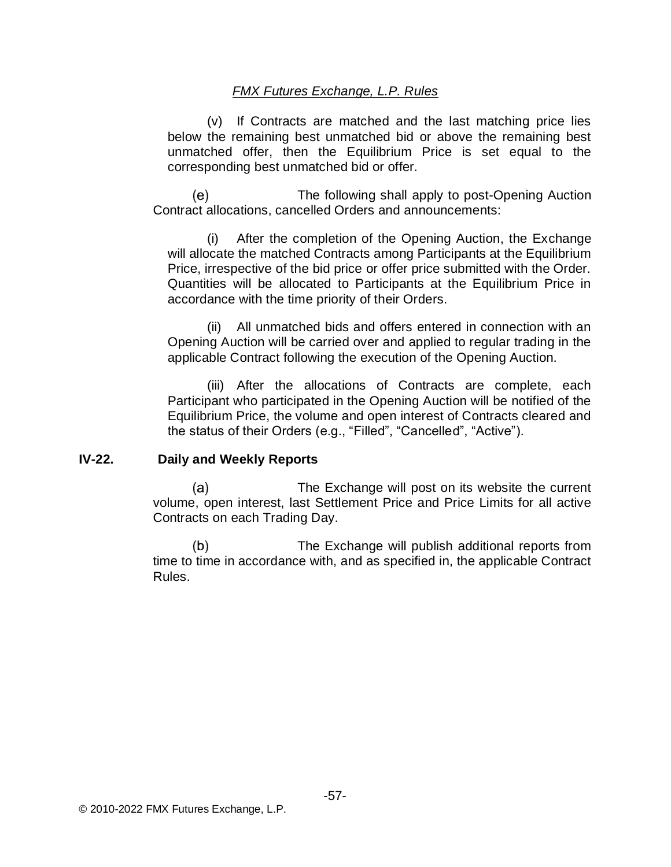(v) If Contracts are matched and the last matching price lies below the remaining best unmatched bid or above the remaining best unmatched offer, then the Equilibrium Price is set equal to the corresponding best unmatched bid or offer.

(e) The following shall apply to post-Opening Auction Contract allocations, cancelled Orders and announcements:

(i) After the completion of the Opening Auction, the Exchange will allocate the matched Contracts among Participants at the Equilibrium Price, irrespective of the bid price or offer price submitted with the Order. Quantities will be allocated to Participants at the Equilibrium Price in accordance with the time priority of their Orders.

(ii) All unmatched bids and offers entered in connection with an Opening Auction will be carried over and applied to regular trading in the applicable Contract following the execution of the Opening Auction.

(iii) After the allocations of Contracts are complete, each Participant who participated in the Opening Auction will be notified of the Equilibrium Price, the volume and open interest of Contracts cleared and the status of their Orders (e.g., "Filled", "Cancelled", "Active").

#### **IV-22. Daily and Weekly Reports**

 $(a)$ The Exchange will post on its website the current volume, open interest, last Settlement Price and Price Limits for all active Contracts on each Trading Day.

 $(b)$ The Exchange will publish additional reports from time to time in accordance with, and as specified in, the applicable Contract Rules.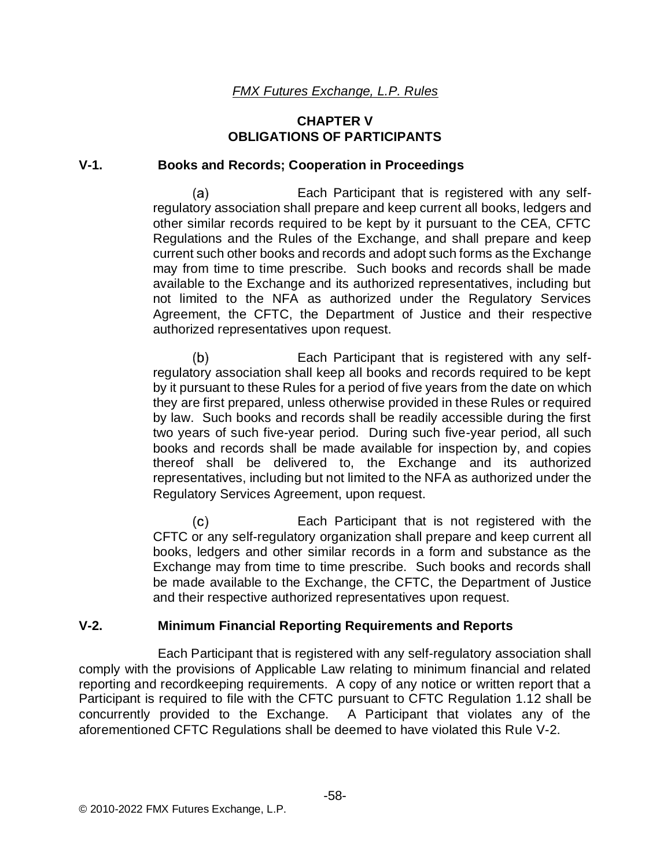### **CHAPTER V OBLIGATIONS OF PARTICIPANTS**

#### **V-1. Books and Records; Cooperation in Proceedings**

 $(a)$ Each Participant that is registered with any selfregulatory association shall prepare and keep current all books, ledgers and other similar records required to be kept by it pursuant to the CEA, CFTC Regulations and the Rules of the Exchange, and shall prepare and keep current such other books and records and adopt such forms as the Exchange may from time to time prescribe. Such books and records shall be made available to the Exchange and its authorized representatives, including but not limited to the NFA as authorized under the Regulatory Services Agreement, the CFTC, the Department of Justice and their respective authorized representatives upon request.

 $(b)$ Each Participant that is registered with any selfregulatory association shall keep all books and records required to be kept by it pursuant to these Rules for a period of five years from the date on which they are first prepared, unless otherwise provided in these Rules or required by law. Such books and records shall be readily accessible during the first two years of such five-year period. During such five-year period, all such books and records shall be made available for inspection by, and copies thereof shall be delivered to, the Exchange and its authorized representatives, including but not limited to the NFA as authorized under the Regulatory Services Agreement, upon request.

 $(c)$ Each Participant that is not registered with the CFTC or any self-regulatory organization shall prepare and keep current all books, ledgers and other similar records in a form and substance as the Exchange may from time to time prescribe. Such books and records shall be made available to the Exchange, the CFTC, the Department of Justice and their respective authorized representatives upon request.

### **V-2. Minimum Financial Reporting Requirements and Reports**

Each Participant that is registered with any self-regulatory association shall comply with the provisions of Applicable Law relating to minimum financial and related reporting and recordkeeping requirements. A copy of any notice or written report that a Participant is required to file with the CFTC pursuant to CFTC Regulation 1.12 shall be concurrently provided to the Exchange. A Participant that violates any of the aforementioned CFTC Regulations shall be deemed to have violated this Rule V-2.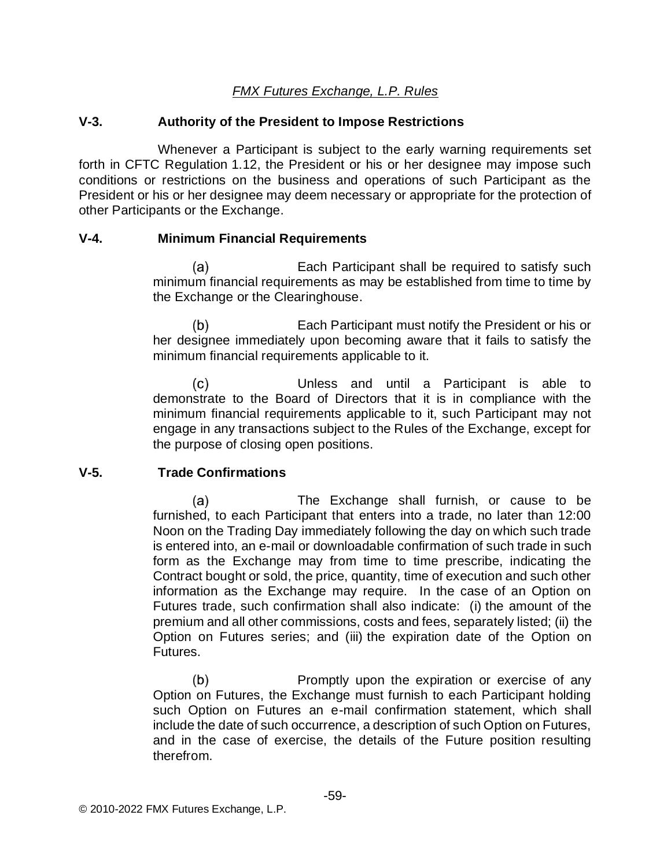#### **V-3. Authority of the President to Impose Restrictions**

Whenever a Participant is subject to the early warning requirements set forth in CFTC Regulation 1.12, the President or his or her designee may impose such conditions or restrictions on the business and operations of such Participant as the President or his or her designee may deem necessary or appropriate for the protection of other Participants or the Exchange.

#### **V-4. Minimum Financial Requirements**

 $(a)$ Each Participant shall be required to satisfy such minimum financial requirements as may be established from time to time by the Exchange or the Clearinghouse.

 $(b)$ Each Participant must notify the President or his or her designee immediately upon becoming aware that it fails to satisfy the minimum financial requirements applicable to it.

 $(c)$ Unless and until a Participant is able to demonstrate to the Board of Directors that it is in compliance with the minimum financial requirements applicable to it, such Participant may not engage in any transactions subject to the Rules of the Exchange, except for the purpose of closing open positions.

### **V-5. Trade Confirmations**

 $(a)$ The Exchange shall furnish, or cause to be furnished, to each Participant that enters into a trade, no later than 12:00 Noon on the Trading Day immediately following the day on which such trade is entered into, an e-mail or downloadable confirmation of such trade in such form as the Exchange may from time to time prescribe, indicating the Contract bought or sold, the price, quantity, time of execution and such other information as the Exchange may require. In the case of an Option on Futures trade, such confirmation shall also indicate: (i) the amount of the premium and all other commissions, costs and fees, separately listed; (ii) the Option on Futures series; and (iii) the expiration date of the Option on Futures.

 $(b)$ Promptly upon the expiration or exercise of any Option on Futures, the Exchange must furnish to each Participant holding such Option on Futures an e-mail confirmation statement, which shall include the date of such occurrence, a description of such Option on Futures, and in the case of exercise, the details of the Future position resulting therefrom.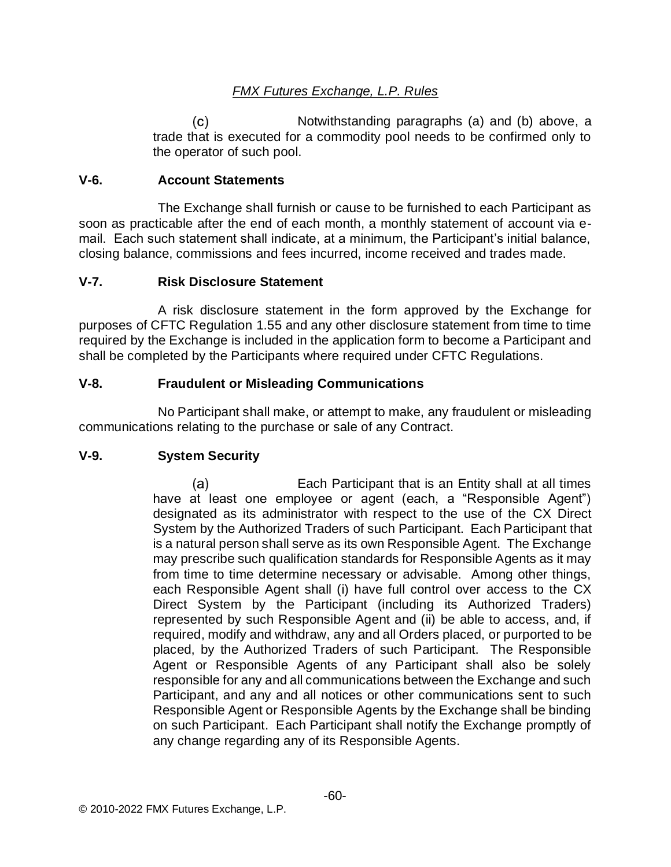Notwithstanding paragraphs (a) and (b) above, a  $(c)$ trade that is executed for a commodity pool needs to be confirmed only to the operator of such pool.

### **V-6. Account Statements**

The Exchange shall furnish or cause to be furnished to each Participant as soon as practicable after the end of each month, a monthly statement of account via email. Each such statement shall indicate, at a minimum, the Participant's initial balance, closing balance, commissions and fees incurred, income received and trades made.

### **V-7. Risk Disclosure Statement**

A risk disclosure statement in the form approved by the Exchange for purposes of CFTC Regulation 1.55 and any other disclosure statement from time to time required by the Exchange is included in the application form to become a Participant and shall be completed by the Participants where required under CFTC Regulations.

### **V-8. Fraudulent or Misleading Communications**

No Participant shall make, or attempt to make, any fraudulent or misleading communications relating to the purchase or sale of any Contract.

## **V-9. System Security**

 $(a)$ Each Participant that is an Entity shall at all times have at least one employee or agent (each, a "Responsible Agent") designated as its administrator with respect to the use of the CX Direct System by the Authorized Traders of such Participant. Each Participant that is a natural person shall serve as its own Responsible Agent. The Exchange may prescribe such qualification standards for Responsible Agents as it may from time to time determine necessary or advisable. Among other things, each Responsible Agent shall (i) have full control over access to the CX Direct System by the Participant (including its Authorized Traders) represented by such Responsible Agent and (ii) be able to access, and, if required, modify and withdraw, any and all Orders placed, or purported to be placed, by the Authorized Traders of such Participant. The Responsible Agent or Responsible Agents of any Participant shall also be solely responsible for any and all communications between the Exchange and such Participant, and any and all notices or other communications sent to such Responsible Agent or Responsible Agents by the Exchange shall be binding on such Participant. Each Participant shall notify the Exchange promptly of any change regarding any of its Responsible Agents.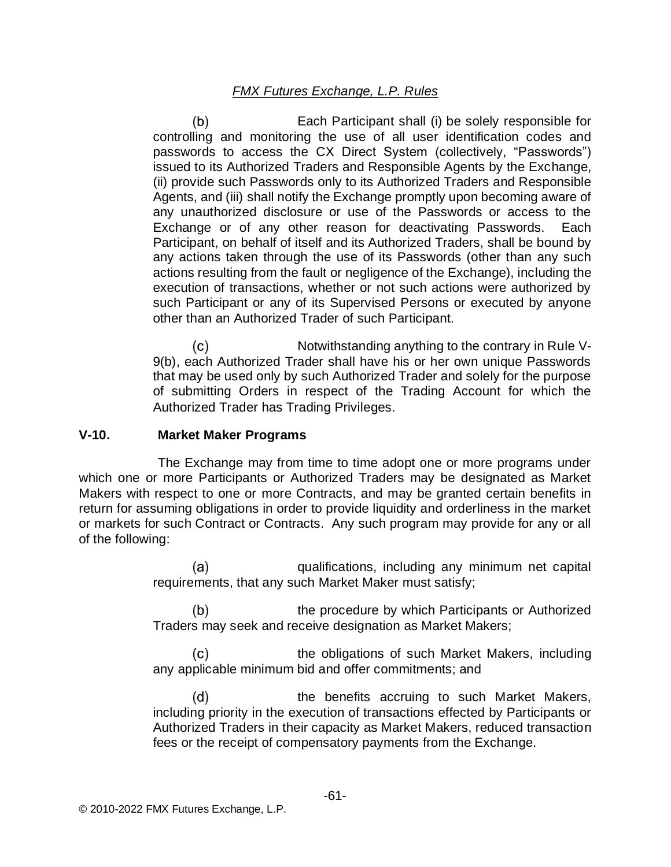$(b)$ Each Participant shall (i) be solely responsible for controlling and monitoring the use of all user identification codes and passwords to access the CX Direct System (collectively, "Passwords") issued to its Authorized Traders and Responsible Agents by the Exchange, (ii) provide such Passwords only to its Authorized Traders and Responsible Agents, and (iii) shall notify the Exchange promptly upon becoming aware of any unauthorized disclosure or use of the Passwords or access to the Exchange or of any other reason for deactivating Passwords. Each Participant, on behalf of itself and its Authorized Traders, shall be bound by any actions taken through the use of its Passwords (other than any such actions resulting from the fault or negligence of the Exchange), including the execution of transactions, whether or not such actions were authorized by such Participant or any of its Supervised Persons or executed by anyone other than an Authorized Trader of such Participant.

Notwithstanding anything to the contrary in Rule V- $(c)$ 9(b), each Authorized Trader shall have his or her own unique Passwords that may be used only by such Authorized Trader and solely for the purpose of submitting Orders in respect of the Trading Account for which the Authorized Trader has Trading Privileges.

#### **V-10. Market Maker Programs**

The Exchange may from time to time adopt one or more programs under which one or more Participants or Authorized Traders may be designated as Market Makers with respect to one or more Contracts, and may be granted certain benefits in return for assuming obligations in order to provide liquidity and orderliness in the market or markets for such Contract or Contracts. Any such program may provide for any or all of the following:

> $(a)$ qualifications, including any minimum net capital requirements, that any such Market Maker must satisfy;

> $(b)$ the procedure by which Participants or Authorized Traders may seek and receive designation as Market Makers;

> (c) the obligations of such Market Makers, including any applicable minimum bid and offer commitments; and

> $(d)$ the benefits accruing to such Market Makers, including priority in the execution of transactions effected by Participants or Authorized Traders in their capacity as Market Makers, reduced transaction fees or the receipt of compensatory payments from the Exchange.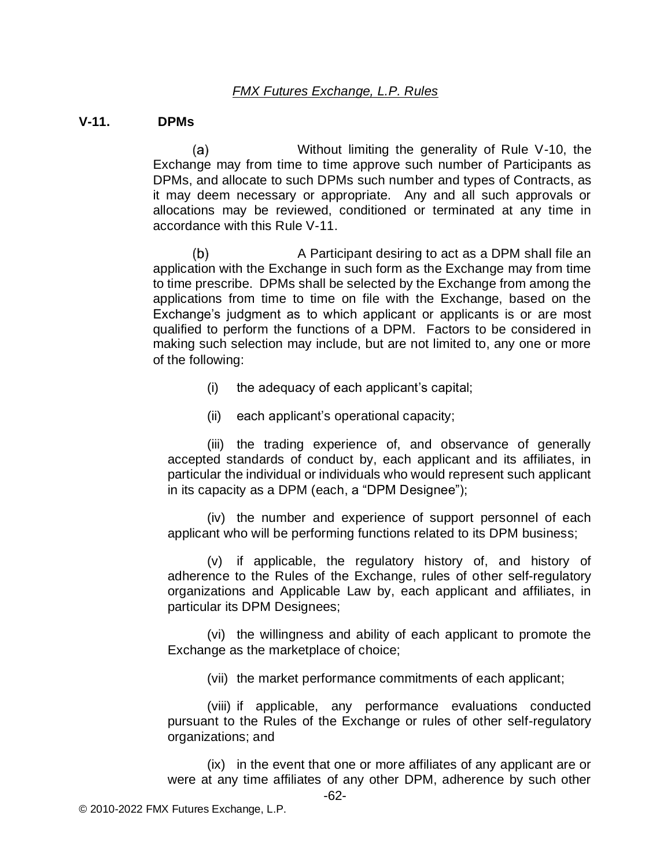#### **V-11. DPMs**

 $(a)$ Without limiting the generality of Rule V-10, the Exchange may from time to time approve such number of Participants as DPMs, and allocate to such DPMs such number and types of Contracts, as it may deem necessary or appropriate. Any and all such approvals or allocations may be reviewed, conditioned or terminated at any time in accordance with this Rule V-11.

 $(b)$ A Participant desiring to act as a DPM shall file an application with the Exchange in such form as the Exchange may from time to time prescribe. DPMs shall be selected by the Exchange from among the applications from time to time on file with the Exchange, based on the Exchange's judgment as to which applicant or applicants is or are most qualified to perform the functions of a DPM. Factors to be considered in making such selection may include, but are not limited to, any one or more of the following:

- (i) the adequacy of each applicant's capital;
- (ii) each applicant's operational capacity;

(iii) the trading experience of, and observance of generally accepted standards of conduct by, each applicant and its affiliates, in particular the individual or individuals who would represent such applicant in its capacity as a DPM (each, a "DPM Designee");

(iv) the number and experience of support personnel of each applicant who will be performing functions related to its DPM business;

(v) if applicable, the regulatory history of, and history of adherence to the Rules of the Exchange, rules of other self-regulatory organizations and Applicable Law by, each applicant and affiliates, in particular its DPM Designees;

(vi) the willingness and ability of each applicant to promote the Exchange as the marketplace of choice;

(vii) the market performance commitments of each applicant;

(viii) if applicable, any performance evaluations conducted pursuant to the Rules of the Exchange or rules of other self-regulatory organizations; and

(ix) in the event that one or more affiliates of any applicant are or were at any time affiliates of any other DPM, adherence by such other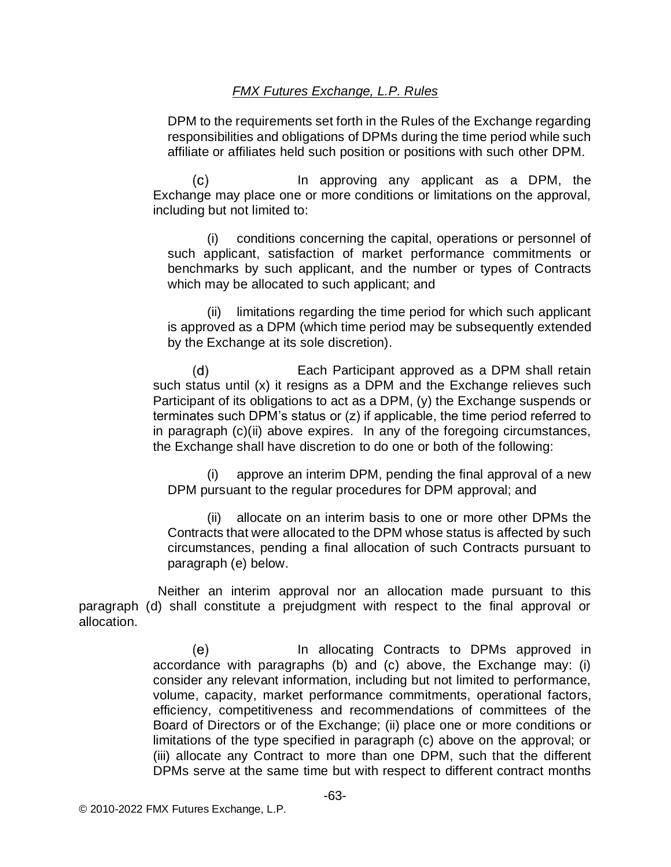DPM to the requirements set forth in the Rules of the Exchange regarding responsibilities and obligations of DPMs during the time period while such affiliate or affiliates held such position or positions with such other DPM.

 $(c)$ In approving any applicant as a DPM, the Exchange may place one or more conditions or limitations on the approval, including but not limited to:

(i) conditions concerning the capital, operations or personnel of such applicant, satisfaction of market performance commitments or benchmarks by such applicant, and the number or types of Contracts which may be allocated to such applicant; and

(ii) limitations regarding the time period for which such applicant is approved as a DPM (which time period may be subsequently extended by the Exchange at its sole discretion).

 $(d)$ Each Participant approved as a DPM shall retain such status until (x) it resigns as a DPM and the Exchange relieves such Participant of its obligations to act as a DPM, (y) the Exchange suspends or terminates such DPM's status or (z) if applicable, the time period referred to in paragraph (c)(ii) above expires. In any of the foregoing circumstances, the Exchange shall have discretion to do one or both of the following:

(i) approve an interim DPM, pending the final approval of a new DPM pursuant to the regular procedures for DPM approval; and

(ii) allocate on an interim basis to one or more other DPMs the Contracts that were allocated to the DPM whose status is affected by such circumstances, pending a final allocation of such Contracts pursuant to paragraph (e) below.

Neither an interim approval nor an allocation made pursuant to this paragraph (d) shall constitute a prejudgment with respect to the final approval or allocation.

> $(e)$ In allocating Contracts to DPMs approved in accordance with paragraphs (b) and (c) above, the Exchange may: (i) consider any relevant information, including but not limited to performance, volume, capacity, market performance commitments, operational factors, efficiency, competitiveness and recommendations of committees of the Board of Directors or of the Exchange; (ii) place one or more conditions or limitations of the type specified in paragraph (c) above on the approval; or (iii) allocate any Contract to more than one DPM, such that the different DPMs serve at the same time but with respect to different contract months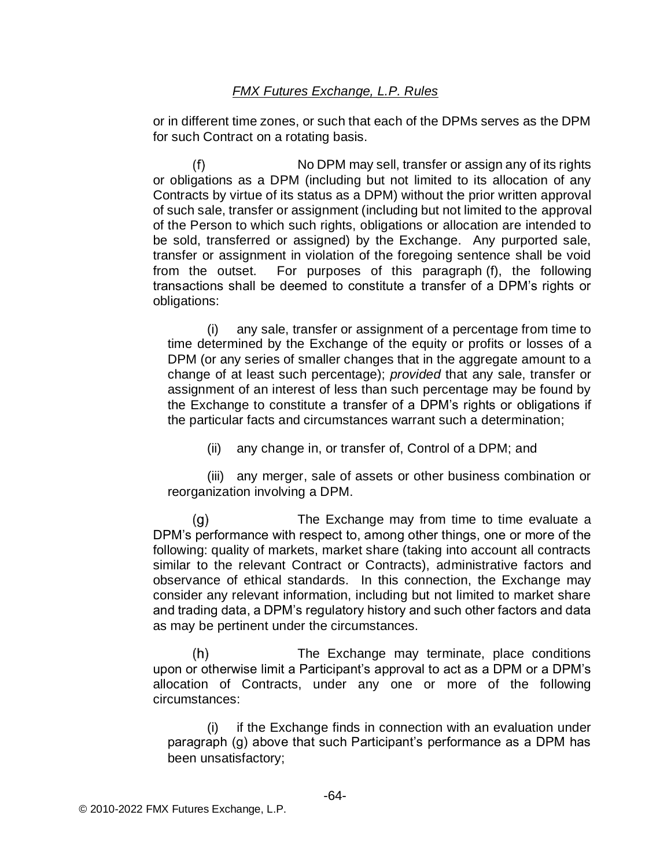or in different time zones, or such that each of the DPMs serves as the DPM for such Contract on a rotating basis.

 $(f)$ No DPM may sell, transfer or assign any of its rights or obligations as a DPM (including but not limited to its allocation of any Contracts by virtue of its status as a DPM) without the prior written approval of such sale, transfer or assignment (including but not limited to the approval of the Person to which such rights, obligations or allocation are intended to be sold, transferred or assigned) by the Exchange. Any purported sale, transfer or assignment in violation of the foregoing sentence shall be void from the outset. For purposes of this paragraph (f), the following transactions shall be deemed to constitute a transfer of a DPM's rights or obligations:

(i) any sale, transfer or assignment of a percentage from time to time determined by the Exchange of the equity or profits or losses of a DPM (or any series of smaller changes that in the aggregate amount to a change of at least such percentage); *provided* that any sale, transfer or assignment of an interest of less than such percentage may be found by the Exchange to constitute a transfer of a DPM's rights or obligations if the particular facts and circumstances warrant such a determination;

(ii) any change in, or transfer of, Control of a DPM; and

(iii) any merger, sale of assets or other business combination or reorganization involving a DPM.

 $(q)$ The Exchange may from time to time evaluate a DPM's performance with respect to, among other things, one or more of the following: quality of markets, market share (taking into account all contracts similar to the relevant Contract or Contracts), administrative factors and observance of ethical standards. In this connection, the Exchange may consider any relevant information, including but not limited to market share and trading data, a DPM's regulatory history and such other factors and data as may be pertinent under the circumstances.

 $(h)$ The Exchange may terminate, place conditions upon or otherwise limit a Participant's approval to act as a DPM or a DPM's allocation of Contracts, under any one or more of the following circumstances:

(i) if the Exchange finds in connection with an evaluation under paragraph (g) above that such Participant's performance as a DPM has been unsatisfactory;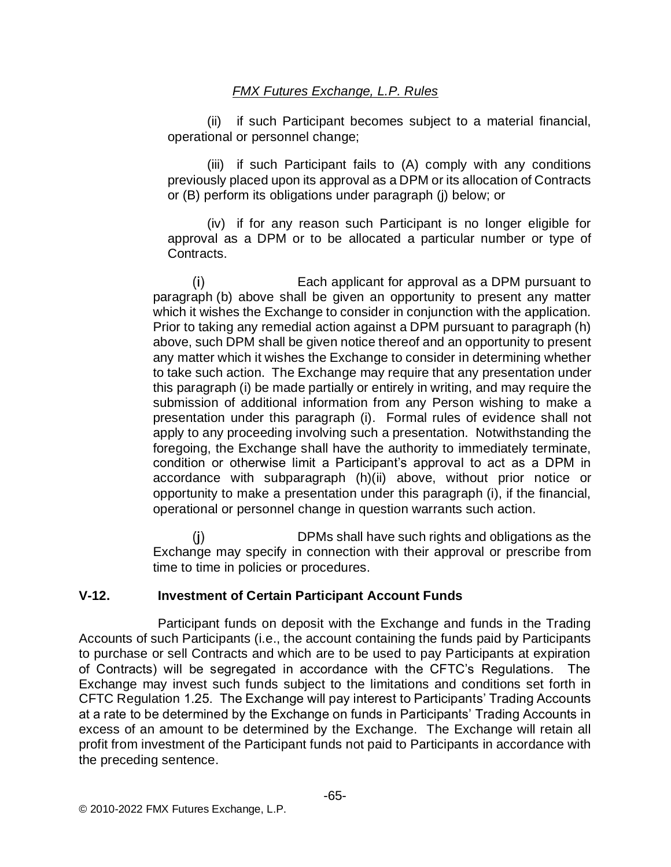(ii) if such Participant becomes subject to a material financial, operational or personnel change;

(iii) if such Participant fails to (A) comply with any conditions previously placed upon its approval as a DPM or its allocation of Contracts or (B) perform its obligations under paragraph (j) below; or

(iv) if for any reason such Participant is no longer eligible for approval as a DPM or to be allocated a particular number or type of Contracts.

 $(i)$ Each applicant for approval as a DPM pursuant to paragraph (b) above shall be given an opportunity to present any matter which it wishes the Exchange to consider in conjunction with the application. Prior to taking any remedial action against a DPM pursuant to paragraph (h) above, such DPM shall be given notice thereof and an opportunity to present any matter which it wishes the Exchange to consider in determining whether to take such action. The Exchange may require that any presentation under this paragraph (i) be made partially or entirely in writing, and may require the submission of additional information from any Person wishing to make a presentation under this paragraph (i). Formal rules of evidence shall not apply to any proceeding involving such a presentation. Notwithstanding the foregoing, the Exchange shall have the authority to immediately terminate, condition or otherwise limit a Participant's approval to act as a DPM in accordance with subparagraph (h)(ii) above, without prior notice or opportunity to make a presentation under this paragraph (i), if the financial, operational or personnel change in question warrants such action.

 $(i)$ DPMs shall have such rights and obligations as the Exchange may specify in connection with their approval or prescribe from time to time in policies or procedures.

## **V-12. Investment of Certain Participant Account Funds**

Participant funds on deposit with the Exchange and funds in the Trading Accounts of such Participants (i.e., the account containing the funds paid by Participants to purchase or sell Contracts and which are to be used to pay Participants at expiration of Contracts) will be segregated in accordance with the CFTC's Regulations. The Exchange may invest such funds subject to the limitations and conditions set forth in CFTC Regulation 1.25. The Exchange will pay interest to Participants' Trading Accounts at a rate to be determined by the Exchange on funds in Participants' Trading Accounts in excess of an amount to be determined by the Exchange. The Exchange will retain all profit from investment of the Participant funds not paid to Participants in accordance with the preceding sentence.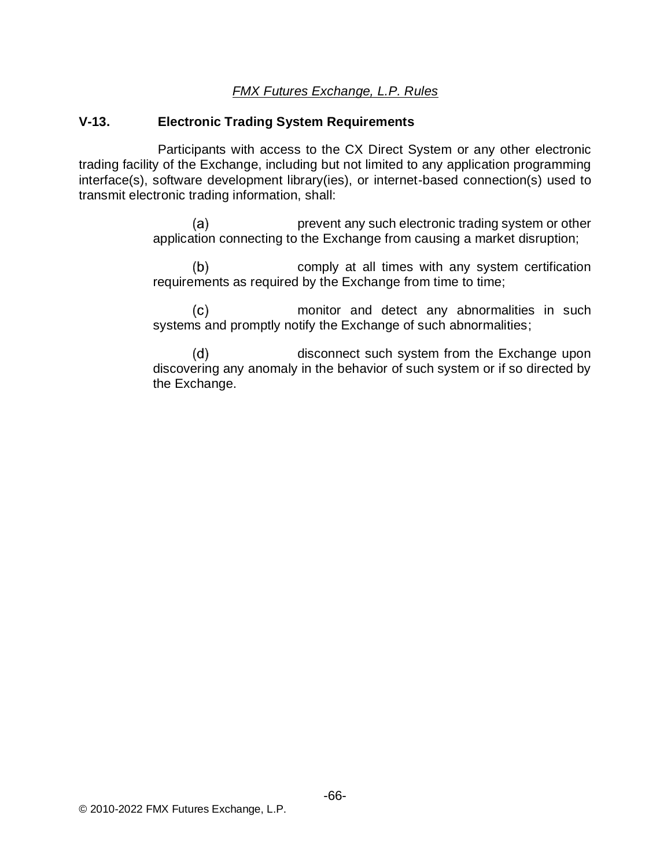#### **V-13. Electronic Trading System Requirements**

Participants with access to the CX Direct System or any other electronic trading facility of the Exchange, including but not limited to any application programming interface(s), software development library(ies), or internet-based connection(s) used to transmit electronic trading information, shall:

> prevent any such electronic trading system or other  $(a)$ application connecting to the Exchange from causing a market disruption;

> $(b)$ comply at all times with any system certification requirements as required by the Exchange from time to time;

> $(c)$ monitor and detect any abnormalities in such systems and promptly notify the Exchange of such abnormalities;

> $(d)$ disconnect such system from the Exchange upon discovering any anomaly in the behavior of such system or if so directed by the Exchange.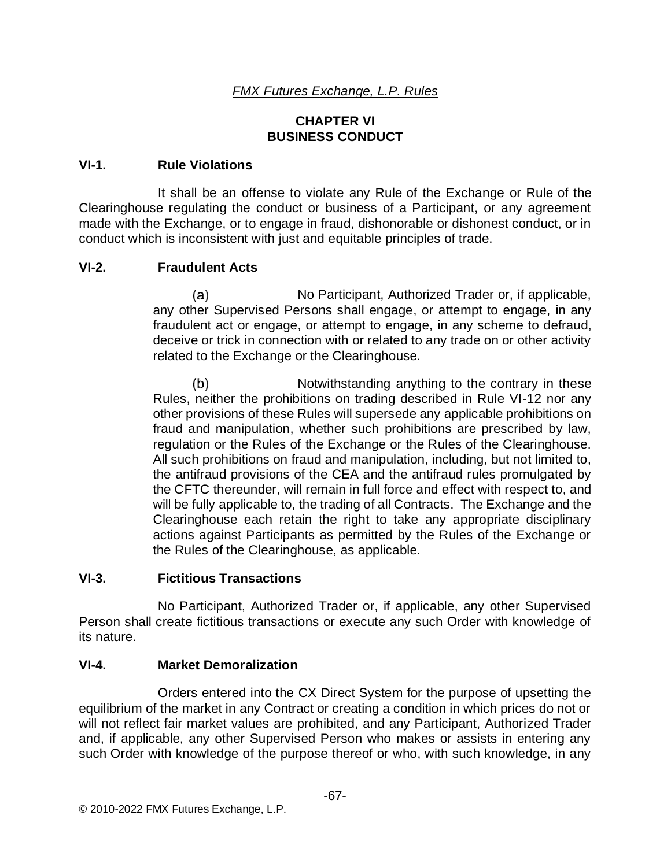### **CHAPTER VI BUSINESS CONDUCT**

#### **VI-1. Rule Violations**

It shall be an offense to violate any Rule of the Exchange or Rule of the Clearinghouse regulating the conduct or business of a Participant, or any agreement made with the Exchange, or to engage in fraud, dishonorable or dishonest conduct, or in conduct which is inconsistent with just and equitable principles of trade.

### **VI-2. Fraudulent Acts**

(a) No Participant, Authorized Trader or, if applicable, any other Supervised Persons shall engage, or attempt to engage, in any fraudulent act or engage, or attempt to engage, in any scheme to defraud, deceive or trick in connection with or related to any trade on or other activity related to the Exchange or the Clearinghouse.

 $(b)$ Notwithstanding anything to the contrary in these Rules, neither the prohibitions on trading described in Rule VI-12 nor any other provisions of these Rules will supersede any applicable prohibitions on fraud and manipulation, whether such prohibitions are prescribed by law, regulation or the Rules of the Exchange or the Rules of the Clearinghouse. All such prohibitions on fraud and manipulation, including, but not limited to, the antifraud provisions of the CEA and the antifraud rules promulgated by the CFTC thereunder, will remain in full force and effect with respect to, and will be fully applicable to, the trading of all Contracts. The Exchange and the Clearinghouse each retain the right to take any appropriate disciplinary actions against Participants as permitted by the Rules of the Exchange or the Rules of the Clearinghouse, as applicable.

#### **VI-3. Fictitious Transactions**

No Participant, Authorized Trader or, if applicable, any other Supervised Person shall create fictitious transactions or execute any such Order with knowledge of its nature.

### **VI-4. Market Demoralization**

Orders entered into the CX Direct System for the purpose of upsetting the equilibrium of the market in any Contract or creating a condition in which prices do not or will not reflect fair market values are prohibited, and any Participant, Authorized Trader and, if applicable, any other Supervised Person who makes or assists in entering any such Order with knowledge of the purpose thereof or who, with such knowledge, in any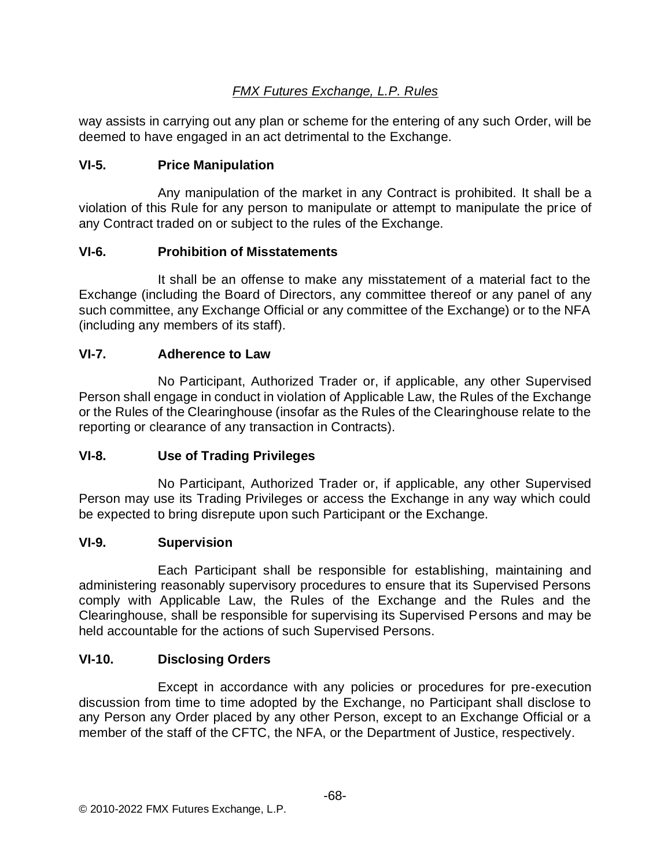way assists in carrying out any plan or scheme for the entering of any such Order, will be deemed to have engaged in an act detrimental to the Exchange.

## **VI-5. Price Manipulation**

Any manipulation of the market in any Contract is prohibited. It shall be a violation of this Rule for any person to manipulate or attempt to manipulate the price of any Contract traded on or subject to the rules of the Exchange.

## **VI-6. Prohibition of Misstatements**

It shall be an offense to make any misstatement of a material fact to the Exchange (including the Board of Directors, any committee thereof or any panel of any such committee, any Exchange Official or any committee of the Exchange) or to the NFA (including any members of its staff).

## **VI-7. Adherence to Law**

No Participant, Authorized Trader or, if applicable, any other Supervised Person shall engage in conduct in violation of Applicable Law, the Rules of the Exchange or the Rules of the Clearinghouse (insofar as the Rules of the Clearinghouse relate to the reporting or clearance of any transaction in Contracts).

## **VI-8. Use of Trading Privileges**

No Participant, Authorized Trader or, if applicable, any other Supervised Person may use its Trading Privileges or access the Exchange in any way which could be expected to bring disrepute upon such Participant or the Exchange.

## **VI-9. Supervision**

Each Participant shall be responsible for establishing, maintaining and administering reasonably supervisory procedures to ensure that its Supervised Persons comply with Applicable Law, the Rules of the Exchange and the Rules and the Clearinghouse, shall be responsible for supervising its Supervised Persons and may be held accountable for the actions of such Supervised Persons.

# **VI-10. Disclosing Orders**

Except in accordance with any policies or procedures for pre-execution discussion from time to time adopted by the Exchange, no Participant shall disclose to any Person any Order placed by any other Person, except to an Exchange Official or a member of the staff of the CFTC, the NFA, or the Department of Justice, respectively.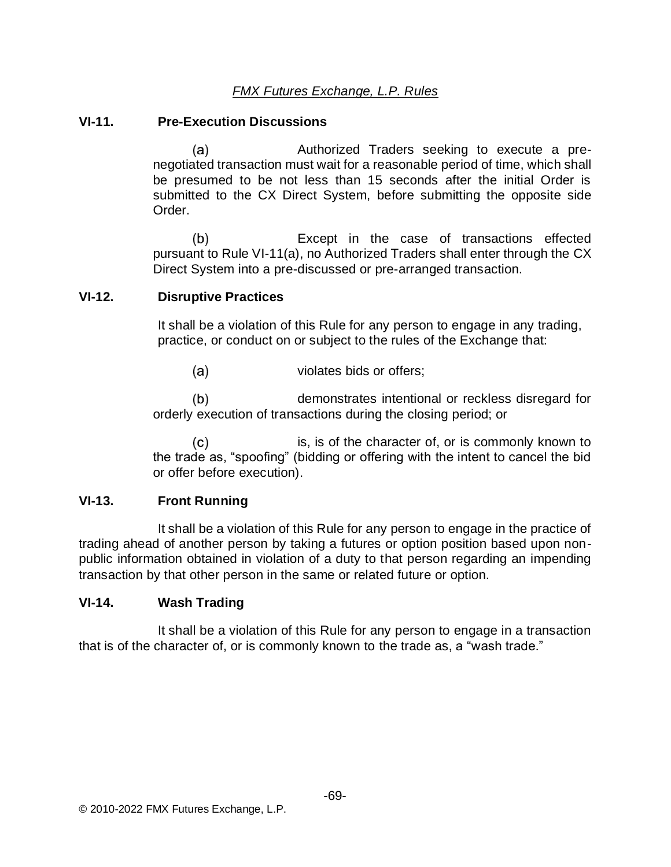### **VI-11. Pre-Execution Discussions**

 $(a)$ Authorized Traders seeking to execute a prenegotiated transaction must wait for a reasonable period of time, which shall be presumed to be not less than 15 seconds after the initial Order is submitted to the CX Direct System, before submitting the opposite side Order.

 $(b)$ Except in the case of transactions effected pursuant to Rule VI-11(a), no Authorized Traders shall enter through the CX Direct System into a pre-discussed or pre-arranged transaction.

### **VI-12. Disruptive Practices**

It shall be a violation of this Rule for any person to engage in any trading, practice, or conduct on or subject to the rules of the Exchange that:

 $(a)$ violates bids or offers;

 $(b)$ demonstrates intentional or reckless disregard for orderly execution of transactions during the closing period; or

 $(c)$ is, is of the character of, or is commonly known to the trade as, "spoofing" (bidding or offering with the intent to cancel the bid or offer before execution).

## **VI-13. Front Running**

It shall be a violation of this Rule for any person to engage in the practice of trading ahead of another person by taking a futures or option position based upon nonpublic information obtained in violation of a duty to that person regarding an impending transaction by that other person in the same or related future or option.

#### **VI-14. Wash Trading**

It shall be a violation of this Rule for any person to engage in a transaction that is of the character of, or is commonly known to the trade as, a "wash trade."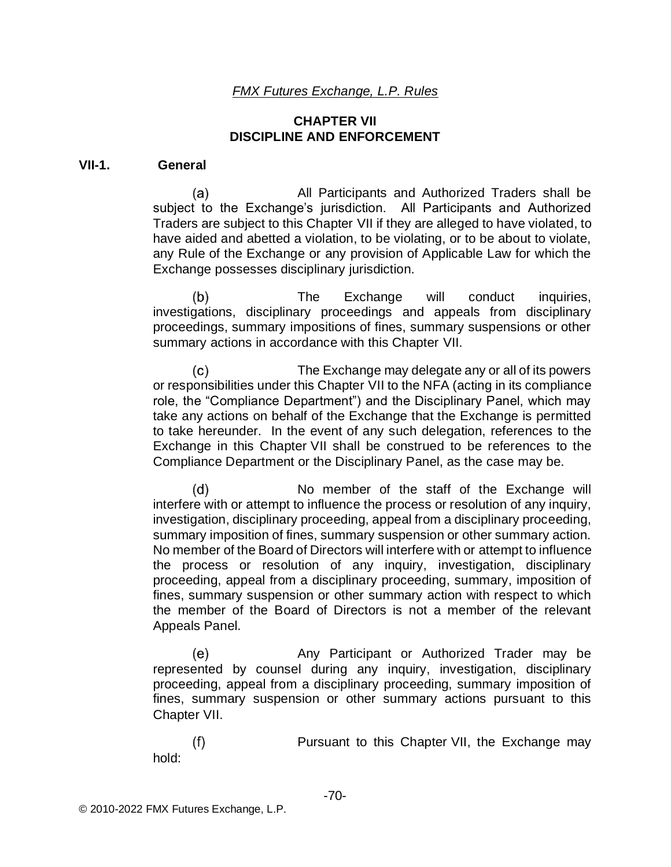### **CHAPTER VII DISCIPLINE AND ENFORCEMENT**

#### **VII-1. General**

 $(a)$ All Participants and Authorized Traders shall be subject to the Exchange's jurisdiction. All Participants and Authorized Traders are subject to this Chapter VII if they are alleged to have violated, to have aided and abetted a violation, to be violating, or to be about to violate, any Rule of the Exchange or any provision of Applicable Law for which the Exchange possesses disciplinary jurisdiction.

 $(b)$ The Exchange will conduct inquiries, investigations, disciplinary proceedings and appeals from disciplinary proceedings, summary impositions of fines, summary suspensions or other summary actions in accordance with this Chapter VII.

 $(c)$ The Exchange may delegate any or all of its powers or responsibilities under this Chapter VII to the NFA (acting in its compliance role, the "Compliance Department") and the Disciplinary Panel, which may take any actions on behalf of the Exchange that the Exchange is permitted to take hereunder. In the event of any such delegation, references to the Exchange in this Chapter VII shall be construed to be references to the Compliance Department or the Disciplinary Panel, as the case may be.

 $(d)$ No member of the staff of the Exchange will interfere with or attempt to influence the process or resolution of any inquiry, investigation, disciplinary proceeding, appeal from a disciplinary proceeding, summary imposition of fines, summary suspension or other summary action. No member of the Board of Directors will interfere with or attempt to influence the process or resolution of any inquiry, investigation, disciplinary proceeding, appeal from a disciplinary proceeding, summary, imposition of fines, summary suspension or other summary action with respect to which the member of the Board of Directors is not a member of the relevant Appeals Panel.

(e) Any Participant or Authorized Trader may be represented by counsel during any inquiry, investigation, disciplinary proceeding, appeal from a disciplinary proceeding, summary imposition of fines, summary suspension or other summary actions pursuant to this Chapter VII.

 $(f)$ Pursuant to this Chapter VII, the Exchange may hold: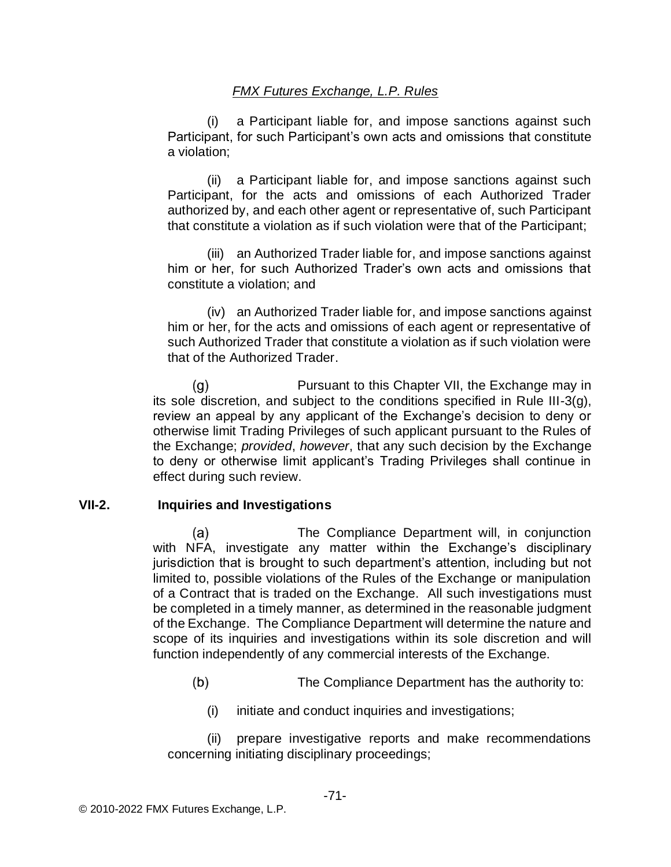(i) a Participant liable for, and impose sanctions against such Participant, for such Participant's own acts and omissions that constitute a violation;

(ii) a Participant liable for, and impose sanctions against such Participant, for the acts and omissions of each Authorized Trader authorized by, and each other agent or representative of, such Participant that constitute a violation as if such violation were that of the Participant;

(iii) an Authorized Trader liable for, and impose sanctions against him or her, for such Authorized Trader's own acts and omissions that constitute a violation; and

(iv) an Authorized Trader liable for, and impose sanctions against him or her, for the acts and omissions of each agent or representative of such Authorized Trader that constitute a violation as if such violation were that of the Authorized Trader.

 $(q)$ Pursuant to this Chapter VII, the Exchange may in its sole discretion, and subject to the conditions specified in Rule III-3(g), review an appeal by any applicant of the Exchange's decision to deny or otherwise limit Trading Privileges of such applicant pursuant to the Rules of the Exchange; *provided*, *however*, that any such decision by the Exchange to deny or otherwise limit applicant's Trading Privileges shall continue in effect during such review.

## **VII-2. Inquiries and Investigations**

 $(a)$ The Compliance Department will, in conjunction with NFA, investigate any matter within the Exchange's disciplinary jurisdiction that is brought to such department's attention, including but not limited to, possible violations of the Rules of the Exchange or manipulation of a Contract that is traded on the Exchange. All such investigations must be completed in a timely manner, as determined in the reasonable judgment of the Exchange. The Compliance Department will determine the nature and scope of its inquiries and investigations within its sole discretion and will function independently of any commercial interests of the Exchange.

- $(b)$ The Compliance Department has the authority to:
	- (i) initiate and conduct inquiries and investigations;

(ii) prepare investigative reports and make recommendations concerning initiating disciplinary proceedings;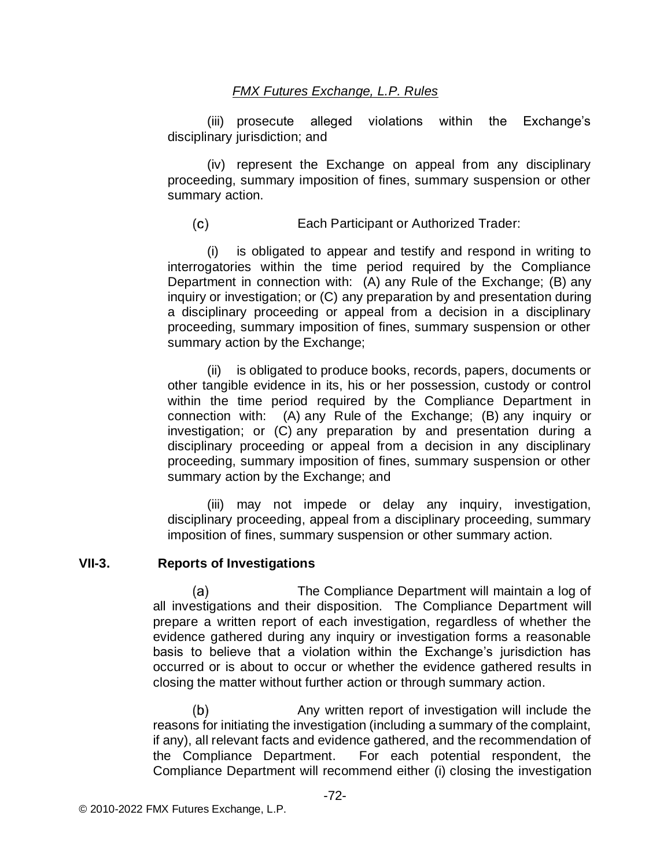(iii) prosecute alleged violations within the Exchange's disciplinary jurisdiction; and

(iv) represent the Exchange on appeal from any disciplinary proceeding, summary imposition of fines, summary suspension or other summary action.

 $(c)$ Each Participant or Authorized Trader:

(i) is obligated to appear and testify and respond in writing to interrogatories within the time period required by the Compliance Department in connection with: (A) any Rule of the Exchange; (B) any inquiry or investigation; or (C) any preparation by and presentation during a disciplinary proceeding or appeal from a decision in a disciplinary proceeding, summary imposition of fines, summary suspension or other summary action by the Exchange;

(ii) is obligated to produce books, records, papers, documents or other tangible evidence in its, his or her possession, custody or control within the time period required by the Compliance Department in connection with: (A) any Rule of the Exchange; (B) any inquiry or investigation; or (C) any preparation by and presentation during a disciplinary proceeding or appeal from a decision in any disciplinary proceeding, summary imposition of fines, summary suspension or other summary action by the Exchange; and

(iii) may not impede or delay any inquiry, investigation, disciplinary proceeding, appeal from a disciplinary proceeding, summary imposition of fines, summary suspension or other summary action.

#### **VII-3. Reports of Investigations**

 $(a)$ The Compliance Department will maintain a log of all investigations and their disposition. The Compliance Department will prepare a written report of each investigation, regardless of whether the evidence gathered during any inquiry or investigation forms a reasonable basis to believe that a violation within the Exchange's jurisdiction has occurred or is about to occur or whether the evidence gathered results in closing the matter without further action or through summary action.

Any written report of investigation will include the  $(b)$ reasons for initiating the investigation (including a summary of the complaint, if any), all relevant facts and evidence gathered, and the recommendation of the Compliance Department. For each potential respondent, the Compliance Department will recommend either (i) closing the investigation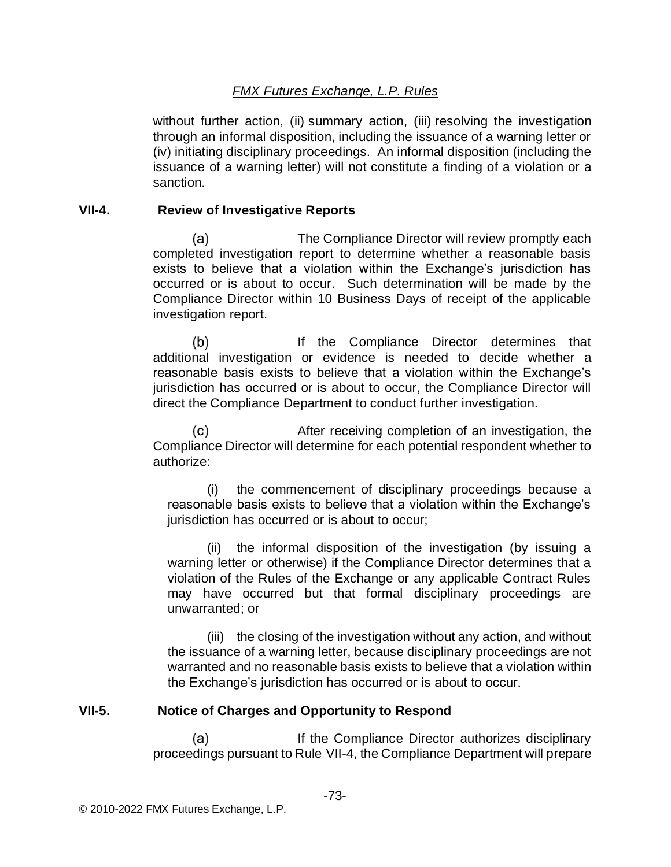without further action, (ii) summary action, (iii) resolving the investigation through an informal disposition, including the issuance of a warning letter or (iv) initiating disciplinary proceedings. An informal disposition (including the issuance of a warning letter) will not constitute a finding of a violation or a sanction.

### **VII-4. Review of Investigative Reports**

(a) The Compliance Director will review promptly each completed investigation report to determine whether a reasonable basis exists to believe that a violation within the Exchange's jurisdiction has occurred or is about to occur. Such determination will be made by the Compliance Director within 10 Business Days of receipt of the applicable investigation report.

 $(b)$ If the Compliance Director determines that additional investigation or evidence is needed to decide whether a reasonable basis exists to believe that a violation within the Exchange's jurisdiction has occurred or is about to occur, the Compliance Director will direct the Compliance Department to conduct further investigation.

 $(c)$ After receiving completion of an investigation, the Compliance Director will determine for each potential respondent whether to authorize:

(i) the commencement of disciplinary proceedings because a reasonable basis exists to believe that a violation within the Exchange's jurisdiction has occurred or is about to occur;

the informal disposition of the investigation (by issuing a warning letter or otherwise) if the Compliance Director determines that a violation of the Rules of the Exchange or any applicable Contract Rules may have occurred but that formal disciplinary proceedings are unwarranted; or

(iii) the closing of the investigation without any action, and without the issuance of a warning letter, because disciplinary proceedings are not warranted and no reasonable basis exists to believe that a violation within the Exchange's jurisdiction has occurred or is about to occur.

#### **VII-5. Notice of Charges and Opportunity to Respond**

 $(a)$ If the Compliance Director authorizes disciplinary proceedings pursuant to Rule VII-4, the Compliance Department will prepare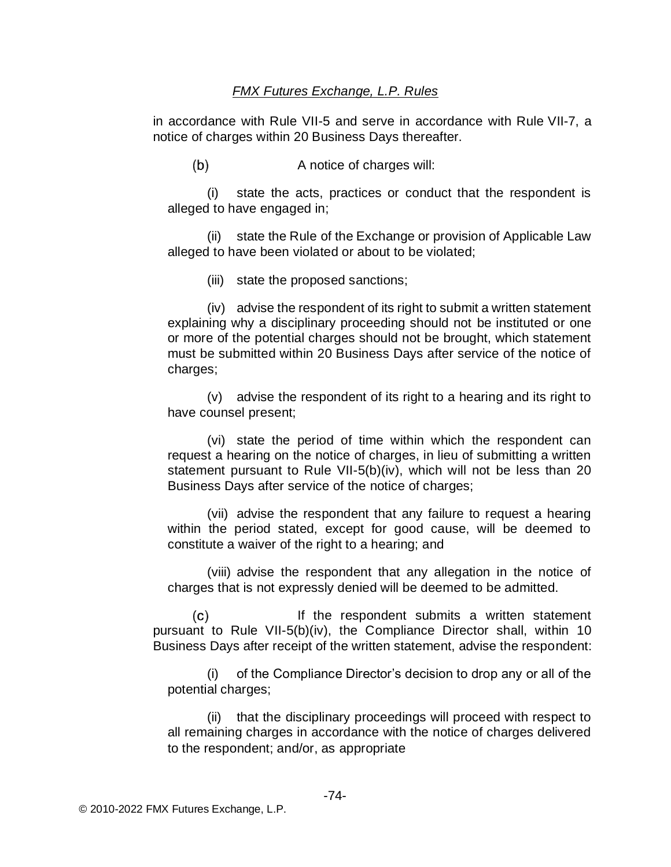in accordance with Rule VII-5 and serve in accordance with Rule VII-7, a notice of charges within 20 Business Days thereafter.

 $(b)$ A notice of charges will:

(i) state the acts, practices or conduct that the respondent is alleged to have engaged in;

(ii) state the Rule of the Exchange or provision of Applicable Law alleged to have been violated or about to be violated;

(iii) state the proposed sanctions;

(iv) advise the respondent of its right to submit a written statement explaining why a disciplinary proceeding should not be instituted or one or more of the potential charges should not be brought, which statement must be submitted within 20 Business Days after service of the notice of charges;

(v) advise the respondent of its right to a hearing and its right to have counsel present;

(vi) state the period of time within which the respondent can request a hearing on the notice of charges, in lieu of submitting a written statement pursuant to Rule VII-5(b)(iv), which will not be less than 20 Business Days after service of the notice of charges;

(vii) advise the respondent that any failure to request a hearing within the period stated, except for good cause, will be deemed to constitute a waiver of the right to a hearing; and

(viii) advise the respondent that any allegation in the notice of charges that is not expressly denied will be deemed to be admitted.

 $(c)$ If the respondent submits a written statement pursuant to Rule VII-5(b)(iv), the Compliance Director shall, within 10 Business Days after receipt of the written statement, advise the respondent:

(i) of the Compliance Director's decision to drop any or all of the potential charges;

(ii) that the disciplinary proceedings will proceed with respect to all remaining charges in accordance with the notice of charges delivered to the respondent; and/or, as appropriate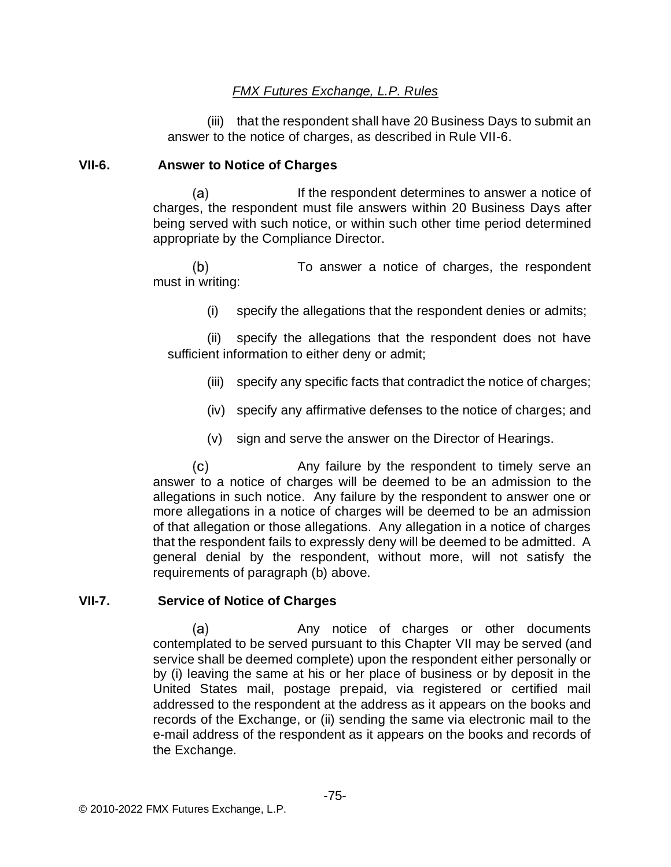(iii) that the respondent shall have 20 Business Days to submit an answer to the notice of charges, as described in Rule VII-6.

### **VII-6. Answer to Notice of Charges**

(a) If the respondent determines to answer a notice of charges, the respondent must file answers within 20 Business Days after being served with such notice, or within such other time period determined appropriate by the Compliance Director.

To answer a notice of charges, the respondent  $(b)$ must in writing:

(i) specify the allegations that the respondent denies or admits;

(ii) specify the allegations that the respondent does not have sufficient information to either deny or admit;

- (iii) specify any specific facts that contradict the notice of charges;
- (iv) specify any affirmative defenses to the notice of charges; and
- (v) sign and serve the answer on the Director of Hearings.

 $(c)$ Any failure by the respondent to timely serve an answer to a notice of charges will be deemed to be an admission to the allegations in such notice. Any failure by the respondent to answer one or more allegations in a notice of charges will be deemed to be an admission of that allegation or those allegations. Any allegation in a notice of charges that the respondent fails to expressly deny will be deemed to be admitted. A general denial by the respondent, without more, will not satisfy the requirements of paragraph (b) above.

## **VII-7. Service of Notice of Charges**

 $(a)$ Any notice of charges or other documents contemplated to be served pursuant to this Chapter VII may be served (and service shall be deemed complete) upon the respondent either personally or by (i) leaving the same at his or her place of business or by deposit in the United States mail, postage prepaid, via registered or certified mail addressed to the respondent at the address as it appears on the books and records of the Exchange, or (ii) sending the same via electronic mail to the e-mail address of the respondent as it appears on the books and records of the Exchange.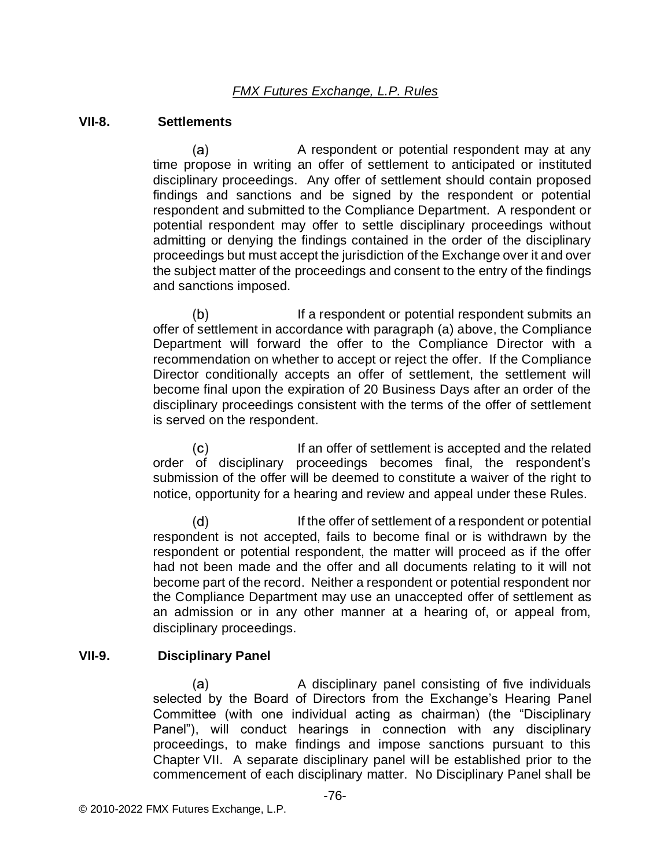#### **VII-8. Settlements**

 $(a)$ A respondent or potential respondent may at any time propose in writing an offer of settlement to anticipated or instituted disciplinary proceedings. Any offer of settlement should contain proposed findings and sanctions and be signed by the respondent or potential respondent and submitted to the Compliance Department. A respondent or potential respondent may offer to settle disciplinary proceedings without admitting or denying the findings contained in the order of the disciplinary proceedings but must accept the jurisdiction of the Exchange over it and over the subject matter of the proceedings and consent to the entry of the findings and sanctions imposed.

 $(b)$ If a respondent or potential respondent submits an offer of settlement in accordance with paragraph (a) above, the Compliance Department will forward the offer to the Compliance Director with a recommendation on whether to accept or reject the offer. If the Compliance Director conditionally accepts an offer of settlement, the settlement will become final upon the expiration of 20 Business Days after an order of the disciplinary proceedings consistent with the terms of the offer of settlement is served on the respondent.

 $(c)$ If an offer of settlement is accepted and the related order of disciplinary proceedings becomes final, the respondent's submission of the offer will be deemed to constitute a waiver of the right to notice, opportunity for a hearing and review and appeal under these Rules.

 $(d)$ If the offer of settlement of a respondent or potential respondent is not accepted, fails to become final or is withdrawn by the respondent or potential respondent, the matter will proceed as if the offer had not been made and the offer and all documents relating to it will not become part of the record. Neither a respondent or potential respondent nor the Compliance Department may use an unaccepted offer of settlement as an admission or in any other manner at a hearing of, or appeal from, disciplinary proceedings.

#### **VII-9. Disciplinary Panel**

A disciplinary panel consisting of five individuals (a) selected by the Board of Directors from the Exchange's Hearing Panel Committee (with one individual acting as chairman) (the "Disciplinary Panel"), will conduct hearings in connection with any disciplinary proceedings, to make findings and impose sanctions pursuant to this Chapter VII. A separate disciplinary panel will be established prior to the commencement of each disciplinary matter. No Disciplinary Panel shall be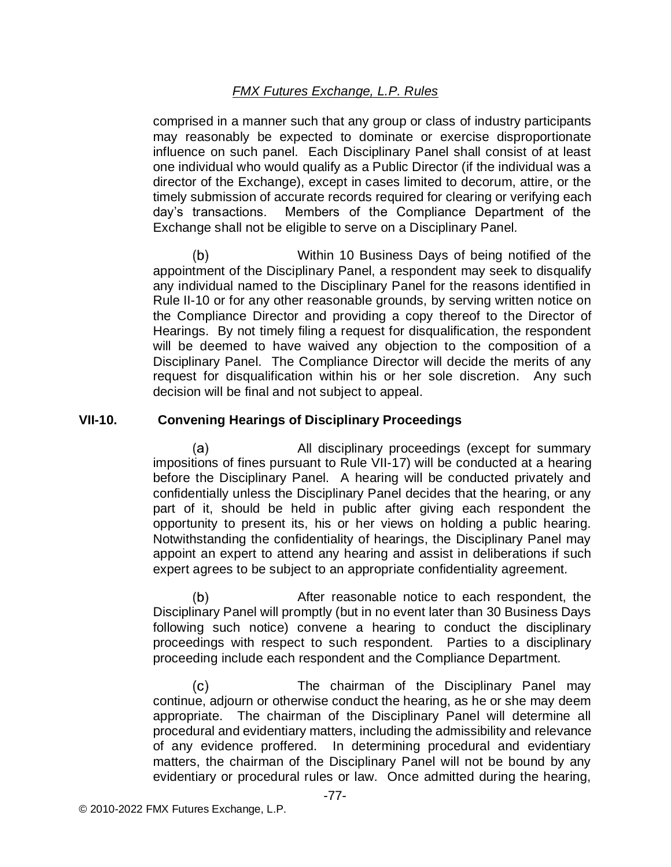comprised in a manner such that any group or class of industry participants may reasonably be expected to dominate or exercise disproportionate influence on such panel. Each Disciplinary Panel shall consist of at least one individual who would qualify as a Public Director (if the individual was a director of the Exchange), except in cases limited to decorum, attire, or the timely submission of accurate records required for clearing or verifying each day's transactions. Members of the Compliance Department of the Exchange shall not be eligible to serve on a Disciplinary Panel.

 $(b)$ Within 10 Business Days of being notified of the appointment of the Disciplinary Panel, a respondent may seek to disqualify any individual named to the Disciplinary Panel for the reasons identified in Rule II-10 or for any other reasonable grounds, by serving written notice on the Compliance Director and providing a copy thereof to the Director of Hearings. By not timely filing a request for disqualification, the respondent will be deemed to have waived any objection to the composition of a Disciplinary Panel. The Compliance Director will decide the merits of any request for disqualification within his or her sole discretion. Any such decision will be final and not subject to appeal.

## **VII-10. Convening Hearings of Disciplinary Proceedings**

(a) All disciplinary proceedings (except for summary impositions of fines pursuant to Rule VII-17) will be conducted at a hearing before the Disciplinary Panel. A hearing will be conducted privately and confidentially unless the Disciplinary Panel decides that the hearing, or any part of it, should be held in public after giving each respondent the opportunity to present its, his or her views on holding a public hearing. Notwithstanding the confidentiality of hearings, the Disciplinary Panel may appoint an expert to attend any hearing and assist in deliberations if such expert agrees to be subject to an appropriate confidentiality agreement.

After reasonable notice to each respondent, the (b) Disciplinary Panel will promptly (but in no event later than 30 Business Days following such notice) convene a hearing to conduct the disciplinary proceedings with respect to such respondent. Parties to a disciplinary proceeding include each respondent and the Compliance Department.

 $(c)$ The chairman of the Disciplinary Panel may continue, adjourn or otherwise conduct the hearing, as he or she may deem appropriate. The chairman of the Disciplinary Panel will determine all procedural and evidentiary matters, including the admissibility and relevance of any evidence proffered. In determining procedural and evidentiary matters, the chairman of the Disciplinary Panel will not be bound by any evidentiary or procedural rules or law. Once admitted during the hearing,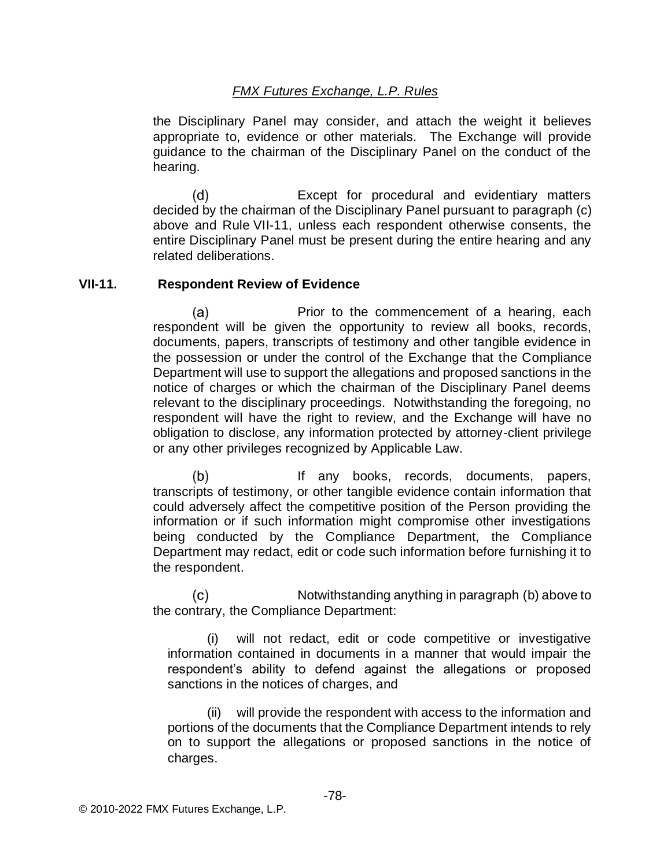the Disciplinary Panel may consider, and attach the weight it believes appropriate to, evidence or other materials. The Exchange will provide guidance to the chairman of the Disciplinary Panel on the conduct of the hearing.

 $(d)$ Except for procedural and evidentiary matters decided by the chairman of the Disciplinary Panel pursuant to paragraph (c) above and Rule VII-11, unless each respondent otherwise consents, the entire Disciplinary Panel must be present during the entire hearing and any related deliberations.

### **VII-11. Respondent Review of Evidence**

 $(a)$ Prior to the commencement of a hearing, each respondent will be given the opportunity to review all books, records, documents, papers, transcripts of testimony and other tangible evidence in the possession or under the control of the Exchange that the Compliance Department will use to support the allegations and proposed sanctions in the notice of charges or which the chairman of the Disciplinary Panel deems relevant to the disciplinary proceedings. Notwithstanding the foregoing, no respondent will have the right to review, and the Exchange will have no obligation to disclose, any information protected by attorney-client privilege or any other privileges recognized by Applicable Law.

 $(b)$ If any books, records, documents, papers, transcripts of testimony, or other tangible evidence contain information that could adversely affect the competitive position of the Person providing the information or if such information might compromise other investigations being conducted by the Compliance Department, the Compliance Department may redact, edit or code such information before furnishing it to the respondent.

Notwithstanding anything in paragraph (b) above to (c) the contrary, the Compliance Department:

(i) will not redact, edit or code competitive or investigative information contained in documents in a manner that would impair the respondent's ability to defend against the allegations or proposed sanctions in the notices of charges, and

(ii) will provide the respondent with access to the information and portions of the documents that the Compliance Department intends to rely on to support the allegations or proposed sanctions in the notice of charges.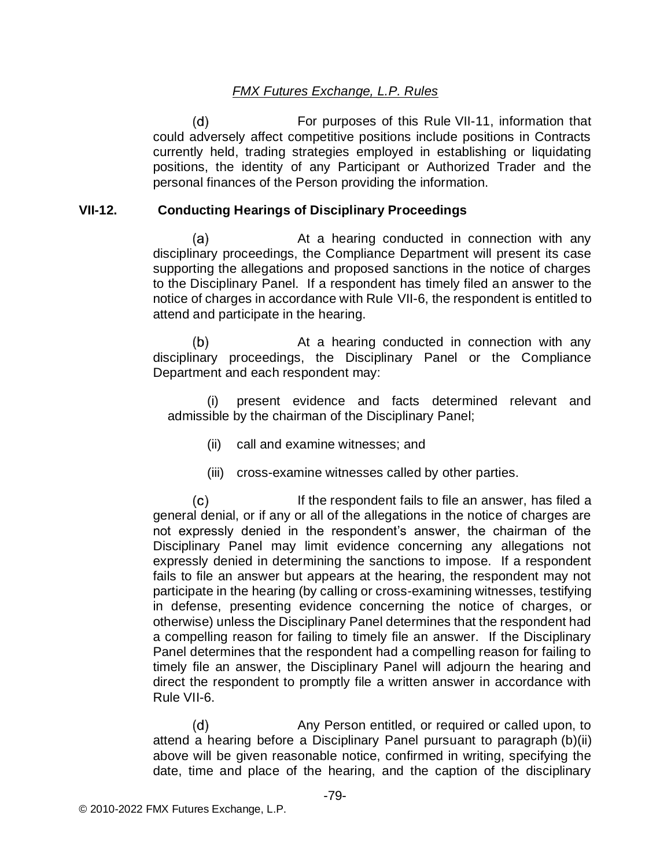For purposes of this Rule VII-11, information that  $(d)$ could adversely affect competitive positions include positions in Contracts currently held, trading strategies employed in establishing or liquidating positions, the identity of any Participant or Authorized Trader and the personal finances of the Person providing the information.

### **VII-12. Conducting Hearings of Disciplinary Proceedings**

 $(a)$ At a hearing conducted in connection with any disciplinary proceedings, the Compliance Department will present its case supporting the allegations and proposed sanctions in the notice of charges to the Disciplinary Panel. If a respondent has timely filed an answer to the notice of charges in accordance with Rule VII-6, the respondent is entitled to attend and participate in the hearing.

 $(b)$ At a hearing conducted in connection with any disciplinary proceedings, the Disciplinary Panel or the Compliance Department and each respondent may:

(i) present evidence and facts determined relevant and admissible by the chairman of the Disciplinary Panel;

- (ii) call and examine witnesses; and
- (iii) cross-examine witnesses called by other parties.

 $(c)$ If the respondent fails to file an answer, has filed a general denial, or if any or all of the allegations in the notice of charges are not expressly denied in the respondent's answer, the chairman of the Disciplinary Panel may limit evidence concerning any allegations not expressly denied in determining the sanctions to impose. If a respondent fails to file an answer but appears at the hearing, the respondent may not participate in the hearing (by calling or cross-examining witnesses, testifying in defense, presenting evidence concerning the notice of charges, or otherwise) unless the Disciplinary Panel determines that the respondent had a compelling reason for failing to timely file an answer. If the Disciplinary Panel determines that the respondent had a compelling reason for failing to timely file an answer, the Disciplinary Panel will adjourn the hearing and direct the respondent to promptly file a written answer in accordance with Rule VII-6.

 $(d)$ Any Person entitled, or required or called upon, to attend a hearing before a Disciplinary Panel pursuant to paragraph (b)(ii) above will be given reasonable notice, confirmed in writing, specifying the date, time and place of the hearing, and the caption of the disciplinary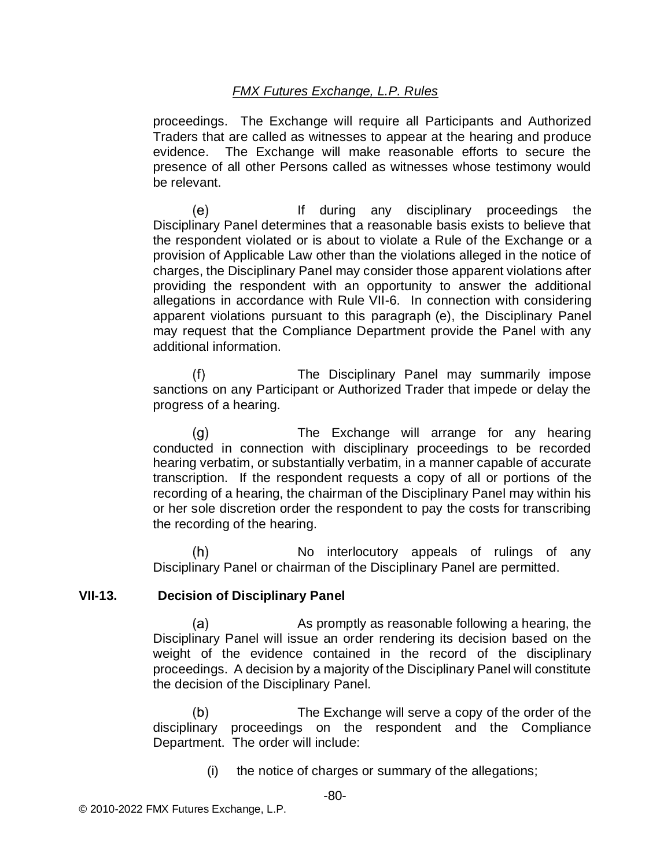proceedings. The Exchange will require all Participants and Authorized Traders that are called as witnesses to appear at the hearing and produce evidence. The Exchange will make reasonable efforts to secure the presence of all other Persons called as witnesses whose testimony would be relevant.

(e) If during any disciplinary proceedings the Disciplinary Panel determines that a reasonable basis exists to believe that the respondent violated or is about to violate a Rule of the Exchange or a provision of Applicable Law other than the violations alleged in the notice of charges, the Disciplinary Panel may consider those apparent violations after providing the respondent with an opportunity to answer the additional allegations in accordance with Rule VII-6. In connection with considering apparent violations pursuant to this paragraph (e), the Disciplinary Panel may request that the Compliance Department provide the Panel with any additional information.

 $(f)$ The Disciplinary Panel may summarily impose sanctions on any Participant or Authorized Trader that impede or delay the progress of a hearing.

The Exchange will arrange for any hearing  $(q)$ conducted in connection with disciplinary proceedings to be recorded hearing verbatim, or substantially verbatim, in a manner capable of accurate transcription. If the respondent requests a copy of all or portions of the recording of a hearing, the chairman of the Disciplinary Panel may within his or her sole discretion order the respondent to pay the costs for transcribing the recording of the hearing.

No interlocutory appeals of rulings of any  $(h)$ Disciplinary Panel or chairman of the Disciplinary Panel are permitted.

#### **VII-13. Decision of Disciplinary Panel**

As promptly as reasonable following a hearing, the (a) Disciplinary Panel will issue an order rendering its decision based on the weight of the evidence contained in the record of the disciplinary proceedings. A decision by a majority of the Disciplinary Panel will constitute the decision of the Disciplinary Panel.

 $(b)$ The Exchange will serve a copy of the order of the disciplinary proceedings on the respondent and the Compliance Department. The order will include:

(i) the notice of charges or summary of the allegations;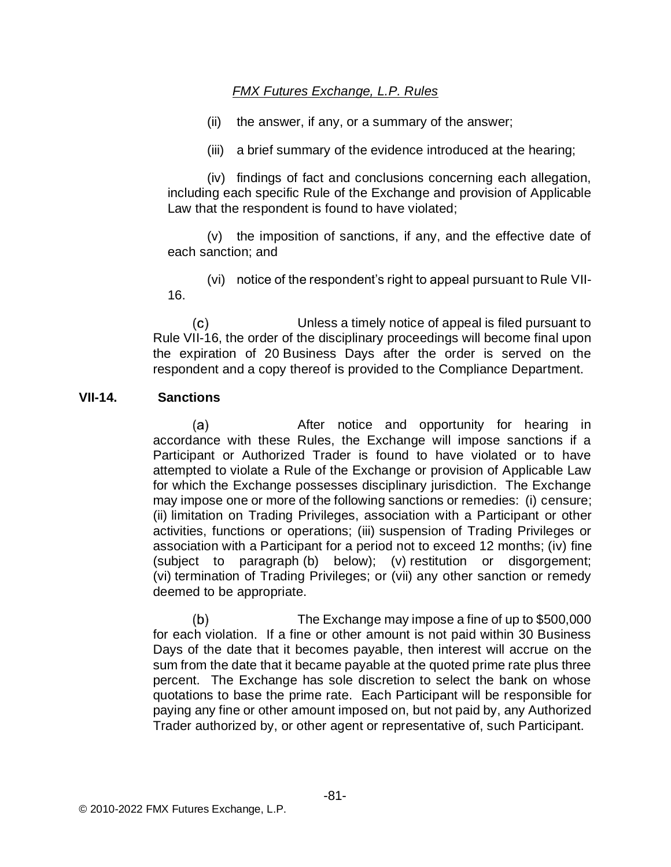- (ii) the answer, if any, or a summary of the answer;
- (iii) a brief summary of the evidence introduced at the hearing;

(iv) findings of fact and conclusions concerning each allegation, including each specific Rule of the Exchange and provision of Applicable Law that the respondent is found to have violated;

(v) the imposition of sanctions, if any, and the effective date of each sanction; and

(vi) notice of the respondent's right to appeal pursuant to Rule VII-16.

 $(c)$ Unless a timely notice of appeal is filed pursuant to Rule VII-16, the order of the disciplinary proceedings will become final upon the expiration of 20 Business Days after the order is served on the respondent and a copy thereof is provided to the Compliance Department.

### **VII-14. Sanctions**

(a) After notice and opportunity for hearing in accordance with these Rules, the Exchange will impose sanctions if a Participant or Authorized Trader is found to have violated or to have attempted to violate a Rule of the Exchange or provision of Applicable Law for which the Exchange possesses disciplinary jurisdiction. The Exchange may impose one or more of the following sanctions or remedies: (i) censure; (ii) limitation on Trading Privileges, association with a Participant or other activities, functions or operations; (iii) suspension of Trading Privileges or association with a Participant for a period not to exceed 12 months; (iv) fine (subject to paragraph (b) below); (v) restitution or disgorgement; (vi) termination of Trading Privileges; or (vii) any other sanction or remedy deemed to be appropriate.

The Exchange may impose a fine of up to \$500,000 (b) for each violation. If a fine or other amount is not paid within 30 Business Days of the date that it becomes payable, then interest will accrue on the sum from the date that it became payable at the quoted prime rate plus three percent. The Exchange has sole discretion to select the bank on whose quotations to base the prime rate. Each Participant will be responsible for paying any fine or other amount imposed on, but not paid by, any Authorized Trader authorized by, or other agent or representative of, such Participant.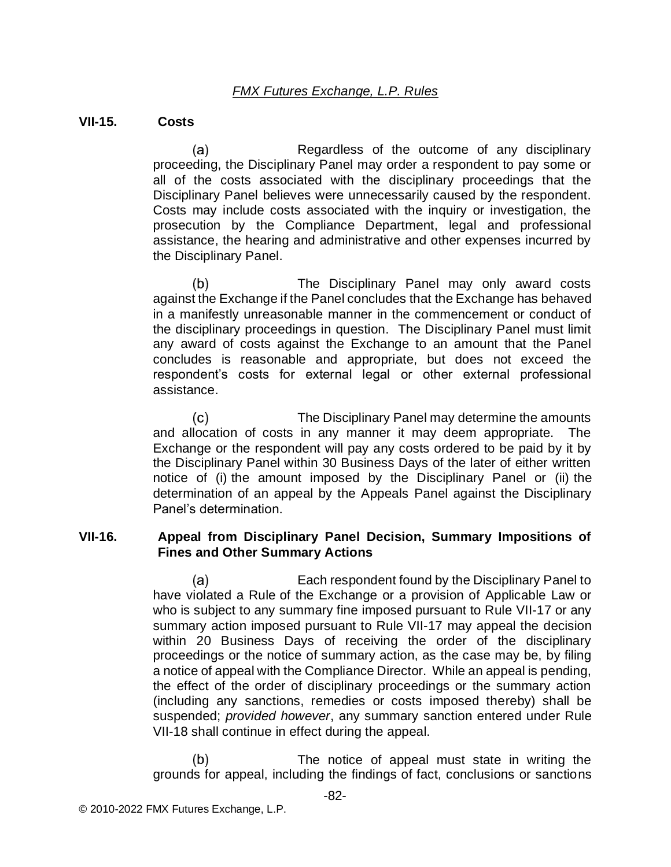#### **VII-15. Costs**

 $(a)$ Regardless of the outcome of any disciplinary proceeding, the Disciplinary Panel may order a respondent to pay some or all of the costs associated with the disciplinary proceedings that the Disciplinary Panel believes were unnecessarily caused by the respondent. Costs may include costs associated with the inquiry or investigation, the prosecution by the Compliance Department, legal and professional assistance, the hearing and administrative and other expenses incurred by the Disciplinary Panel.

 $(b)$ The Disciplinary Panel may only award costs against the Exchange if the Panel concludes that the Exchange has behaved in a manifestly unreasonable manner in the commencement or conduct of the disciplinary proceedings in question. The Disciplinary Panel must limit any award of costs against the Exchange to an amount that the Panel concludes is reasonable and appropriate, but does not exceed the respondent's costs for external legal or other external professional assistance.

 $(c)$ The Disciplinary Panel may determine the amounts and allocation of costs in any manner it may deem appropriate. The Exchange or the respondent will pay any costs ordered to be paid by it by the Disciplinary Panel within 30 Business Days of the later of either written notice of (i) the amount imposed by the Disciplinary Panel or (ii) the determination of an appeal by the Appeals Panel against the Disciplinary Panel's determination.

### **VII-16. Appeal from Disciplinary Panel Decision, Summary Impositions of Fines and Other Summary Actions**

Each respondent found by the Disciplinary Panel to (a) have violated a Rule of the Exchange or a provision of Applicable Law or who is subject to any summary fine imposed pursuant to Rule VII-17 or any summary action imposed pursuant to Rule VII-17 may appeal the decision within 20 Business Days of receiving the order of the disciplinary proceedings or the notice of summary action, as the case may be, by filing a notice of appeal with the Compliance Director. While an appeal is pending, the effect of the order of disciplinary proceedings or the summary action (including any sanctions, remedies or costs imposed thereby) shall be suspended; *provided however*, any summary sanction entered under Rule VII-18 shall continue in effect during the appeal.

 $(b)$ The notice of appeal must state in writing the grounds for appeal, including the findings of fact, conclusions or sanctions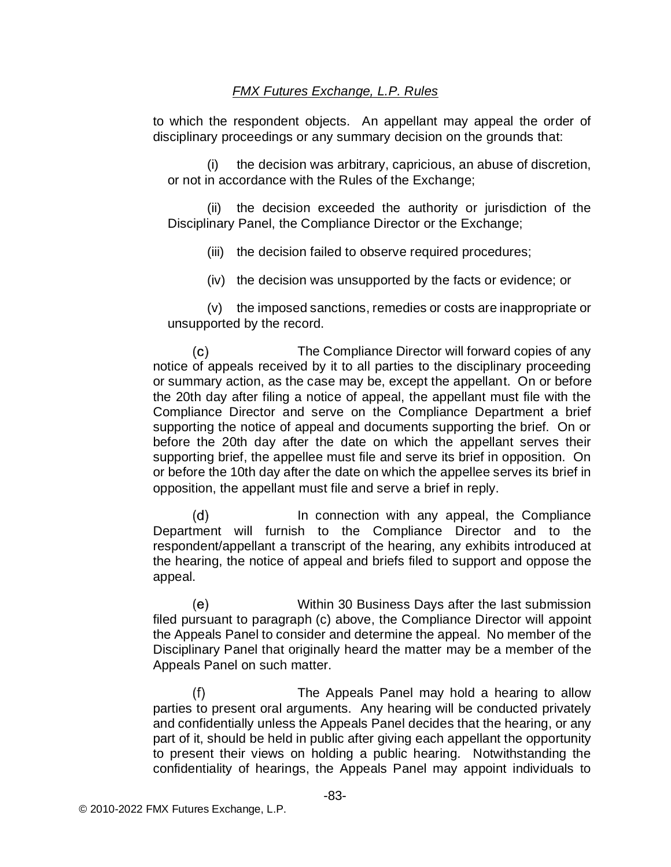to which the respondent objects. An appellant may appeal the order of disciplinary proceedings or any summary decision on the grounds that:

(i) the decision was arbitrary, capricious, an abuse of discretion, or not in accordance with the Rules of the Exchange;

(ii) the decision exceeded the authority or jurisdiction of the Disciplinary Panel, the Compliance Director or the Exchange;

(iii) the decision failed to observe required procedures;

(iv) the decision was unsupported by the facts or evidence; or

(v) the imposed sanctions, remedies or costs are inappropriate or unsupported by the record.

 $(c)$ The Compliance Director will forward copies of any notice of appeals received by it to all parties to the disciplinary proceeding or summary action, as the case may be, except the appellant. On or before the 20th day after filing a notice of appeal, the appellant must file with the Compliance Director and serve on the Compliance Department a brief supporting the notice of appeal and documents supporting the brief. On or before the 20th day after the date on which the appellant serves their supporting brief, the appellee must file and serve its brief in opposition. On or before the 10th day after the date on which the appellee serves its brief in opposition, the appellant must file and serve a brief in reply.

In connection with any appeal, the Compliance  $(d)$ Department will furnish to the Compliance Director and to the respondent/appellant a transcript of the hearing, any exhibits introduced at the hearing, the notice of appeal and briefs filed to support and oppose the appeal.

(e) Within 30 Business Days after the last submission filed pursuant to paragraph (c) above, the Compliance Director will appoint the Appeals Panel to consider and determine the appeal. No member of the Disciplinary Panel that originally heard the matter may be a member of the Appeals Panel on such matter.

 $(f)$ The Appeals Panel may hold a hearing to allow parties to present oral arguments. Any hearing will be conducted privately and confidentially unless the Appeals Panel decides that the hearing, or any part of it, should be held in public after giving each appellant the opportunity to present their views on holding a public hearing. Notwithstanding the confidentiality of hearings, the Appeals Panel may appoint individuals to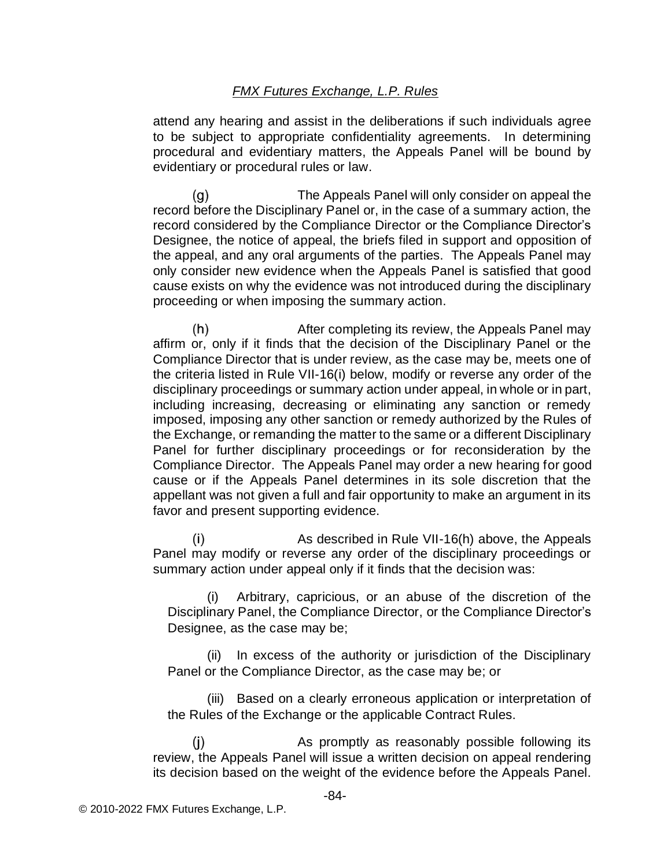attend any hearing and assist in the deliberations if such individuals agree to be subject to appropriate confidentiality agreements. In determining procedural and evidentiary matters, the Appeals Panel will be bound by evidentiary or procedural rules or law.

The Appeals Panel will only consider on appeal the  $(g)$ record before the Disciplinary Panel or, in the case of a summary action, the record considered by the Compliance Director or the Compliance Director's Designee, the notice of appeal, the briefs filed in support and opposition of the appeal, and any oral arguments of the parties. The Appeals Panel may only consider new evidence when the Appeals Panel is satisfied that good cause exists on why the evidence was not introduced during the disciplinary proceeding or when imposing the summary action.

 $(h)$ After completing its review, the Appeals Panel may affirm or, only if it finds that the decision of the Disciplinary Panel or the Compliance Director that is under review, as the case may be, meets one of the criteria listed in Rule VII-16(i) below, modify or reverse any order of the disciplinary proceedings or summary action under appeal, in whole or in part, including increasing, decreasing or eliminating any sanction or remedy imposed, imposing any other sanction or remedy authorized by the Rules of the Exchange, or remanding the matter to the same or a different Disciplinary Panel for further disciplinary proceedings or for reconsideration by the Compliance Director. The Appeals Panel may order a new hearing for good cause or if the Appeals Panel determines in its sole discretion that the appellant was not given a full and fair opportunity to make an argument in its favor and present supporting evidence.

 $(i)$ As described in Rule VII-16(h) above, the Appeals Panel may modify or reverse any order of the disciplinary proceedings or summary action under appeal only if it finds that the decision was:

Arbitrary, capricious, or an abuse of the discretion of the Disciplinary Panel, the Compliance Director, or the Compliance Director's Designee, as the case may be;

(ii) In excess of the authority or jurisdiction of the Disciplinary Panel or the Compliance Director, as the case may be; or

(iii) Based on a clearly erroneous application or interpretation of the Rules of the Exchange or the applicable Contract Rules.

 $(i)$ As promptly as reasonably possible following its review, the Appeals Panel will issue a written decision on appeal rendering its decision based on the weight of the evidence before the Appeals Panel.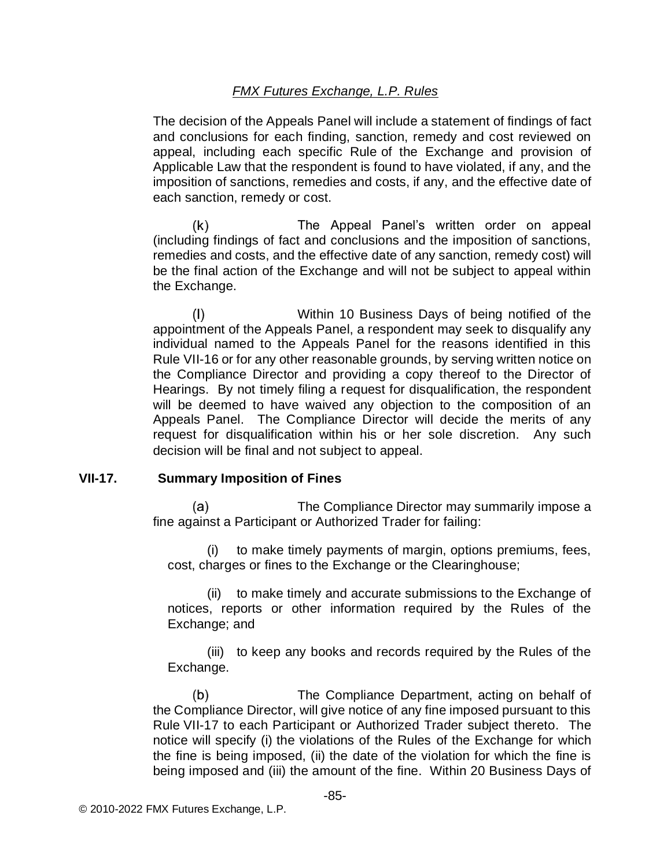The decision of the Appeals Panel will include a statement of findings of fact and conclusions for each finding, sanction, remedy and cost reviewed on appeal, including each specific Rule of the Exchange and provision of Applicable Law that the respondent is found to have violated, if any, and the imposition of sanctions, remedies and costs, if any, and the effective date of each sanction, remedy or cost.

 $(k)$ The Appeal Panel's written order on appeal (including findings of fact and conclusions and the imposition of sanctions, remedies and costs, and the effective date of any sanction, remedy cost) will be the final action of the Exchange and will not be subject to appeal within the Exchange.

Within 10 Business Days of being notified of the  $(1)$ appointment of the Appeals Panel, a respondent may seek to disqualify any individual named to the Appeals Panel for the reasons identified in this Rule VII-16 or for any other reasonable grounds, by serving written notice on the Compliance Director and providing a copy thereof to the Director of Hearings. By not timely filing a request for disqualification, the respondent will be deemed to have waived any objection to the composition of an Appeals Panel. The Compliance Director will decide the merits of any request for disqualification within his or her sole discretion. Any such decision will be final and not subject to appeal.

#### **VII-17. Summary Imposition of Fines**

The Compliance Director may summarily impose a (a) fine against a Participant or Authorized Trader for failing:

(i) to make timely payments of margin, options premiums, fees, cost, charges or fines to the Exchange or the Clearinghouse;

(ii) to make timely and accurate submissions to the Exchange of notices, reports or other information required by the Rules of the Exchange; and

(iii) to keep any books and records required by the Rules of the Exchange.

 $(b)$ The Compliance Department, acting on behalf of the Compliance Director, will give notice of any fine imposed pursuant to this Rule VII-17 to each Participant or Authorized Trader subject thereto. The notice will specify (i) the violations of the Rules of the Exchange for which the fine is being imposed, (ii) the date of the violation for which the fine is being imposed and (iii) the amount of the fine. Within 20 Business Days of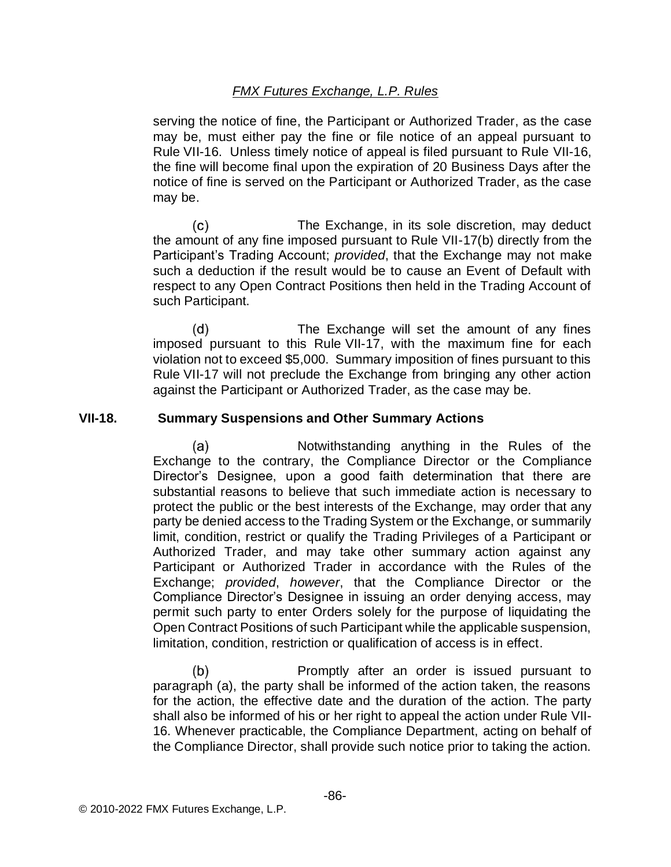serving the notice of fine, the Participant or Authorized Trader, as the case may be, must either pay the fine or file notice of an appeal pursuant to Rule VII-16. Unless timely notice of appeal is filed pursuant to Rule VII-16, the fine will become final upon the expiration of 20 Business Days after the notice of fine is served on the Participant or Authorized Trader, as the case may be.

The Exchange, in its sole discretion, may deduct (c) the amount of any fine imposed pursuant to Rule VII-17(b) directly from the Participant's Trading Account; *provided*, that the Exchange may not make such a deduction if the result would be to cause an Event of Default with respect to any Open Contract Positions then held in the Trading Account of such Participant.

 $(d)$ The Exchange will set the amount of any fines imposed pursuant to this Rule VII-17, with the maximum fine for each violation not to exceed \$5,000. Summary imposition of fines pursuant to this Rule VII-17 will not preclude the Exchange from bringing any other action against the Participant or Authorized Trader, as the case may be.

### **VII-18. Summary Suspensions and Other Summary Actions**

Notwithstanding anything in the Rules of the  $(a)$ Exchange to the contrary, the Compliance Director or the Compliance Director's Designee, upon a good faith determination that there are substantial reasons to believe that such immediate action is necessary to protect the public or the best interests of the Exchange, may order that any party be denied access to the Trading System or the Exchange, or summarily limit, condition, restrict or qualify the Trading Privileges of a Participant or Authorized Trader, and may take other summary action against any Participant or Authorized Trader in accordance with the Rules of the Exchange; *provided*, *however*, that the Compliance Director or the Compliance Director's Designee in issuing an order denying access, may permit such party to enter Orders solely for the purpose of liquidating the Open Contract Positions of such Participant while the applicable suspension, limitation, condition, restriction or qualification of access is in effect.

 $(b)$ Promptly after an order is issued pursuant to paragraph (a), the party shall be informed of the action taken, the reasons for the action, the effective date and the duration of the action. The party shall also be informed of his or her right to appeal the action under Rule VII-16. Whenever practicable, the Compliance Department, acting on behalf of the Compliance Director, shall provide such notice prior to taking the action.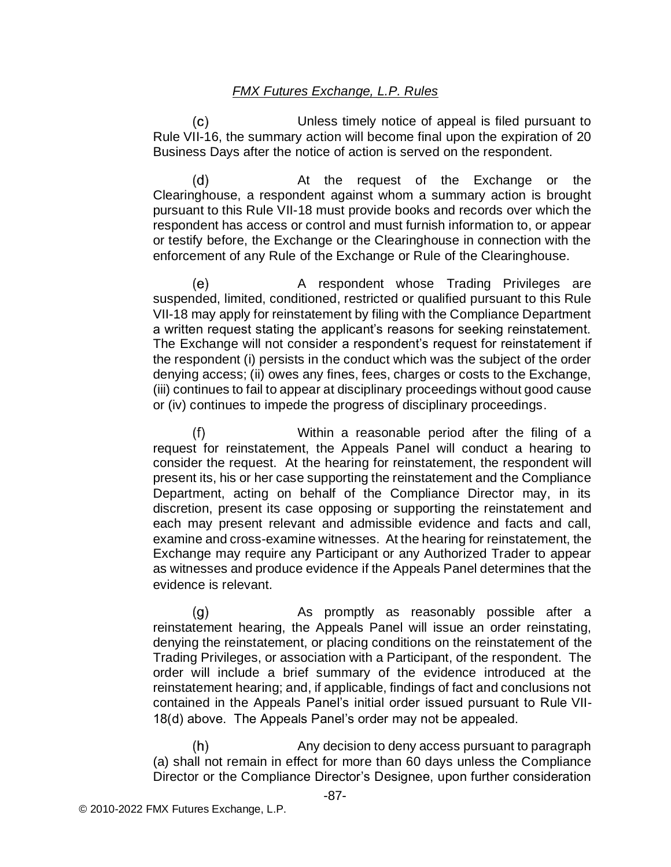Unless timely notice of appeal is filed pursuant to (c) Rule VII-16, the summary action will become final upon the expiration of 20 Business Days after the notice of action is served on the respondent.

 $(d)$ At the request of the Exchange or the Clearinghouse, a respondent against whom a summary action is brought pursuant to this Rule VII-18 must provide books and records over which the respondent has access or control and must furnish information to, or appear or testify before, the Exchange or the Clearinghouse in connection with the enforcement of any Rule of the Exchange or Rule of the Clearinghouse.

A respondent whose Trading Privileges are (e) suspended, limited, conditioned, restricted or qualified pursuant to this Rule VII-18 may apply for reinstatement by filing with the Compliance Department a written request stating the applicant's reasons for seeking reinstatement. The Exchange will not consider a respondent's request for reinstatement if the respondent (i) persists in the conduct which was the subject of the order denying access; (ii) owes any fines, fees, charges or costs to the Exchange, (iii) continues to fail to appear at disciplinary proceedings without good cause or (iv) continues to impede the progress of disciplinary proceedings.

Within a reasonable period after the filing of a  $(f)$ request for reinstatement, the Appeals Panel will conduct a hearing to consider the request. At the hearing for reinstatement, the respondent will present its, his or her case supporting the reinstatement and the Compliance Department, acting on behalf of the Compliance Director may, in its discretion, present its case opposing or supporting the reinstatement and each may present relevant and admissible evidence and facts and call, examine and cross-examine witnesses. At the hearing for reinstatement, the Exchange may require any Participant or any Authorized Trader to appear as witnesses and produce evidence if the Appeals Panel determines that the evidence is relevant.

(g) As promptly as reasonably possible after a reinstatement hearing, the Appeals Panel will issue an order reinstating, denying the reinstatement, or placing conditions on the reinstatement of the Trading Privileges, or association with a Participant, of the respondent. The order will include a brief summary of the evidence introduced at the reinstatement hearing; and, if applicable, findings of fact and conclusions not contained in the Appeals Panel's initial order issued pursuant to Rule VII-18(d) above. The Appeals Panel's order may not be appealed.

 $(h)$ Any decision to deny access pursuant to paragraph (a) shall not remain in effect for more than 60 days unless the Compliance Director or the Compliance Director's Designee, upon further consideration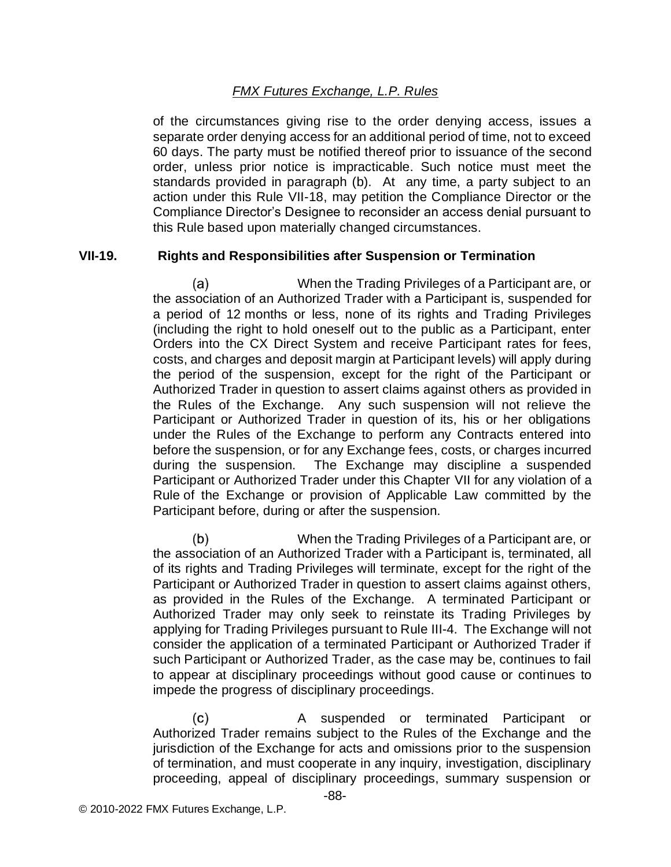of the circumstances giving rise to the order denying access, issues a separate order denying access for an additional period of time, not to exceed 60 days. The party must be notified thereof prior to issuance of the second order, unless prior notice is impracticable. Such notice must meet the standards provided in paragraph (b). At any time, a party subject to an action under this Rule VII-18, may petition the Compliance Director or the Compliance Director's Designee to reconsider an access denial pursuant to this Rule based upon materially changed circumstances.

### **VII-19. Rights and Responsibilities after Suspension or Termination**

 $(a)$ When the Trading Privileges of a Participant are, or the association of an Authorized Trader with a Participant is, suspended for a period of 12 months or less, none of its rights and Trading Privileges (including the right to hold oneself out to the public as a Participant, enter Orders into the CX Direct System and receive Participant rates for fees, costs, and charges and deposit margin at Participant levels) will apply during the period of the suspension, except for the right of the Participant or Authorized Trader in question to assert claims against others as provided in the Rules of the Exchange. Any such suspension will not relieve the Participant or Authorized Trader in question of its, his or her obligations under the Rules of the Exchange to perform any Contracts entered into before the suspension, or for any Exchange fees, costs, or charges incurred during the suspension. The Exchange may discipline a suspended Participant or Authorized Trader under this Chapter VII for any violation of a Rule of the Exchange or provision of Applicable Law committed by the Participant before, during or after the suspension.

 $(b)$ When the Trading Privileges of a Participant are, or the association of an Authorized Trader with a Participant is, terminated, all of its rights and Trading Privileges will terminate, except for the right of the Participant or Authorized Trader in question to assert claims against others, as provided in the Rules of the Exchange. A terminated Participant or Authorized Trader may only seek to reinstate its Trading Privileges by applying for Trading Privileges pursuant to Rule III-4. The Exchange will not consider the application of a terminated Participant or Authorized Trader if such Participant or Authorized Trader, as the case may be, continues to fail to appear at disciplinary proceedings without good cause or continues to impede the progress of disciplinary proceedings.

 $(c)$ A suspended or terminated Participant or Authorized Trader remains subject to the Rules of the Exchange and the jurisdiction of the Exchange for acts and omissions prior to the suspension of termination, and must cooperate in any inquiry, investigation, disciplinary proceeding, appeal of disciplinary proceedings, summary suspension or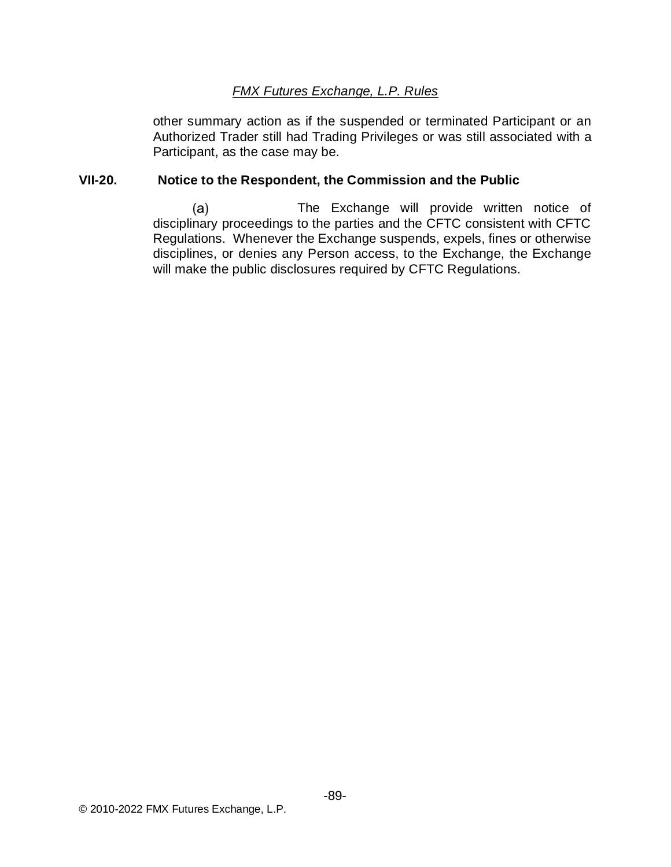other summary action as if the suspended or terminated Participant or an Authorized Trader still had Trading Privileges or was still associated with a Participant, as the case may be.

## **VII-20. Notice to the Respondent, the Commission and the Public**

 $(a)$ The Exchange will provide written notice of disciplinary proceedings to the parties and the CFTC consistent with CFTC Regulations. Whenever the Exchange suspends, expels, fines or otherwise disciplines, or denies any Person access, to the Exchange, the Exchange will make the public disclosures required by CFTC Regulations.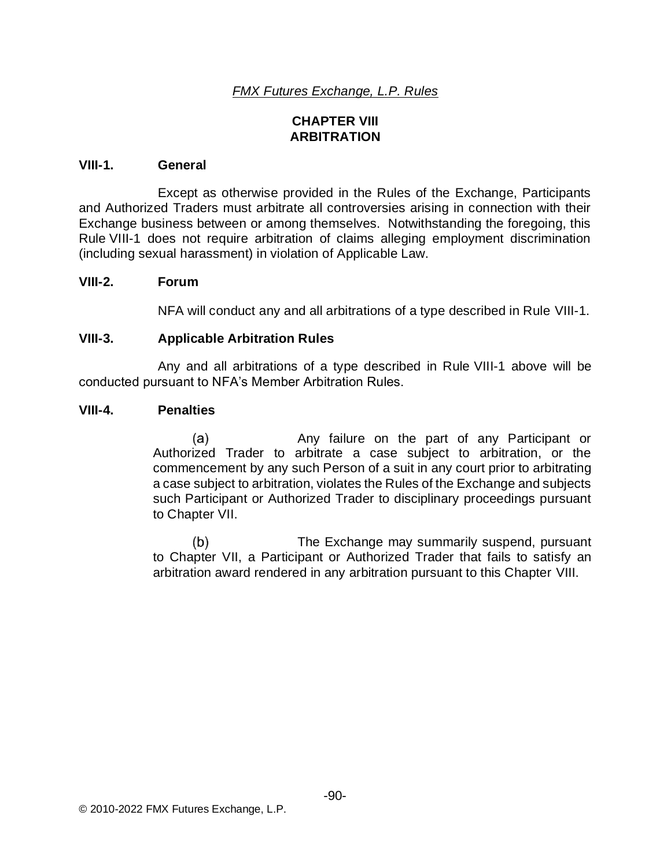# **CHAPTER VIII ARBITRATION**

### **VIII-1. General**

Except as otherwise provided in the Rules of the Exchange, Participants and Authorized Traders must arbitrate all controversies arising in connection with their Exchange business between or among themselves. Notwithstanding the foregoing, this Rule VIII-1 does not require arbitration of claims alleging employment discrimination (including sexual harassment) in violation of Applicable Law.

#### **VIII-2. Forum**

NFA will conduct any and all arbitrations of a type described in Rule VIII-1.

### **VIII-3. Applicable Arbitration Rules**

Any and all arbitrations of a type described in Rule VIII-1 above will be conducted pursuant to NFA's Member Arbitration Rules.

#### **VIII-4. Penalties**

(a) Any failure on the part of any Participant or Authorized Trader to arbitrate a case subject to arbitration, or the commencement by any such Person of a suit in any court prior to arbitrating a case subject to arbitration, violates the Rules of the Exchange and subjects such Participant or Authorized Trader to disciplinary proceedings pursuant to Chapter VII.

 $(b)$ The Exchange may summarily suspend, pursuant to Chapter VII, a Participant or Authorized Trader that fails to satisfy an arbitration award rendered in any arbitration pursuant to this Chapter VIII.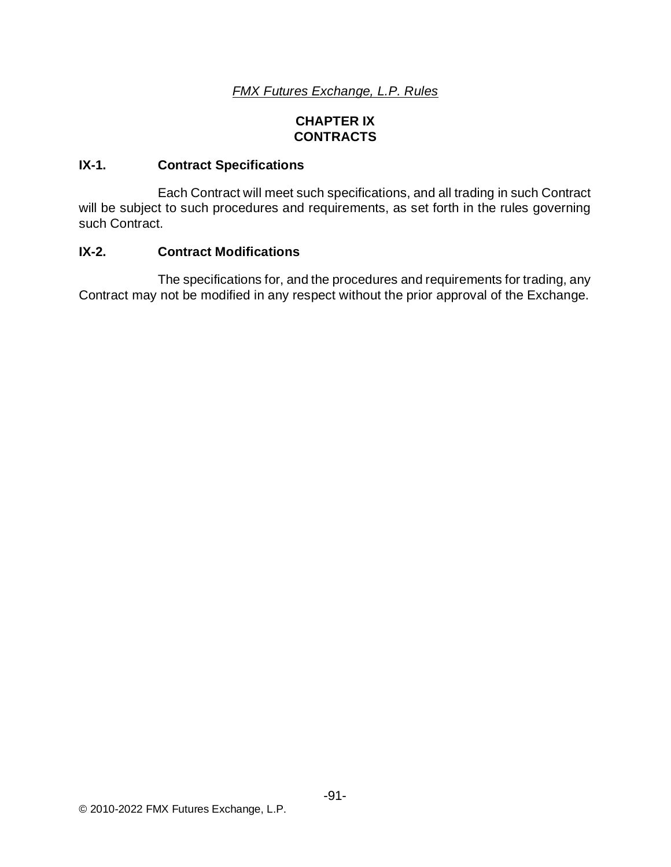# **CHAPTER IX CONTRACTS**

# **IX-1. Contract Specifications**

Each Contract will meet such specifications, and all trading in such Contract will be subject to such procedures and requirements, as set forth in the rules governing such Contract.

## **IX-2. Contract Modifications**

The specifications for, and the procedures and requirements for trading, any Contract may not be modified in any respect without the prior approval of the Exchange.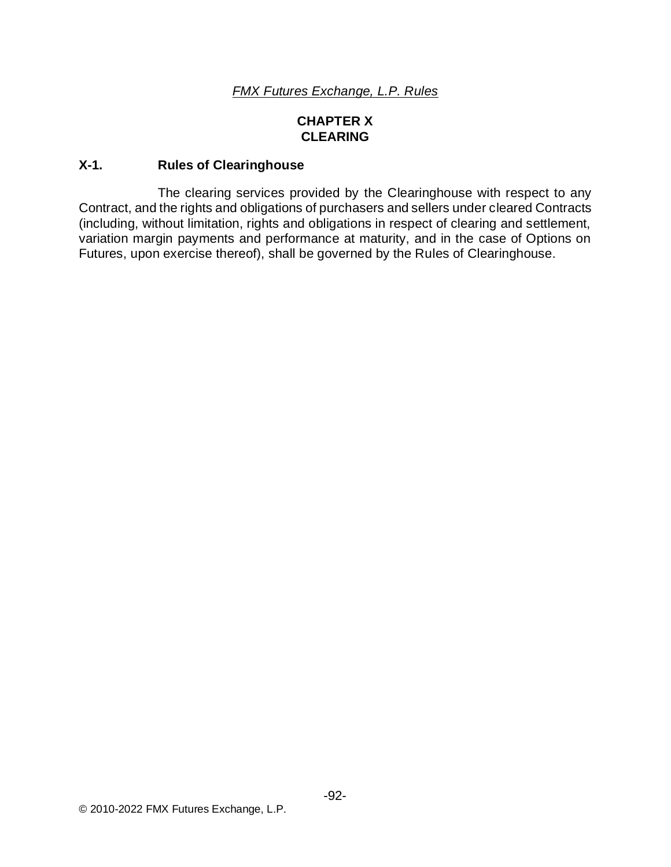# **CHAPTER X CLEARING**

## **X-1. Rules of Clearinghouse**

The clearing services provided by the Clearinghouse with respect to any Contract, and the rights and obligations of purchasers and sellers under cleared Contracts (including, without limitation, rights and obligations in respect of clearing and settlement, variation margin payments and performance at maturity, and in the case of Options on Futures, upon exercise thereof), shall be governed by the Rules of Clearinghouse.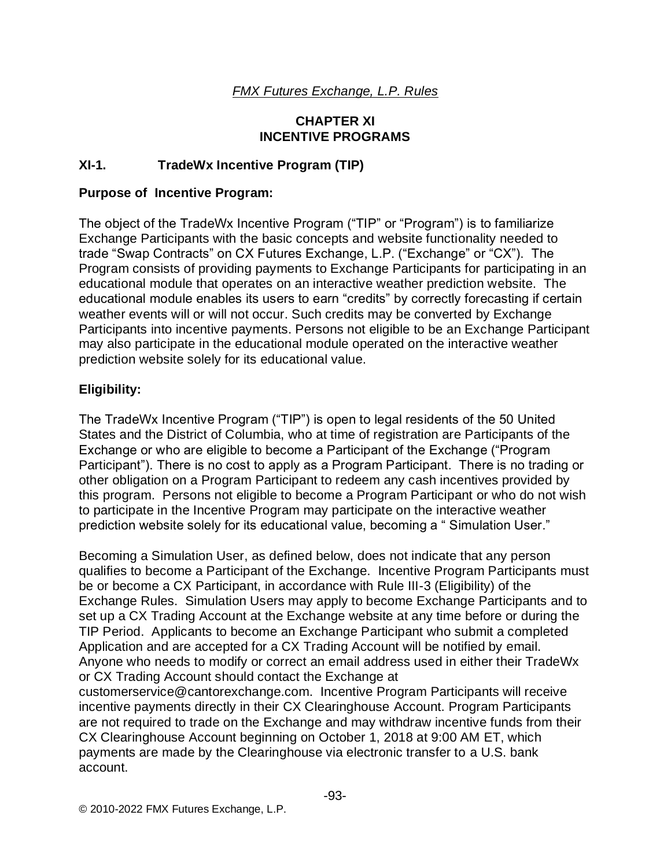## **CHAPTER XI INCENTIVE PROGRAMS**

# **XI-1. TradeWx Incentive Program (TIP)**

### **Purpose of Incentive Program:**

The object of the TradeWx Incentive Program ("TIP" or "Program") is to familiarize Exchange Participants with the basic concepts and website functionality needed to trade "Swap Contracts" on CX Futures Exchange, L.P. ("Exchange" or "CX"). The Program consists of providing payments to Exchange Participants for participating in an educational module that operates on an interactive weather prediction website. The educational module enables its users to earn "credits" by correctly forecasting if certain weather events will or will not occur. Such credits may be converted by Exchange Participants into incentive payments. Persons not eligible to be an Exchange Participant may also participate in the educational module operated on the interactive weather prediction website solely for its educational value.

## **Eligibility:**

The TradeWx Incentive Program ("TIP") is open to legal residents of the 50 United States and the District of Columbia, who at time of registration are Participants of the Exchange or who are eligible to become a Participant of the Exchange ("Program Participant"). There is no cost to apply as a Program Participant. There is no trading or other obligation on a Program Participant to redeem any cash incentives provided by this program. Persons not eligible to become a Program Participant or who do not wish to participate in the Incentive Program may participate on the interactive weather prediction website solely for its educational value, becoming a " Simulation User."

Becoming a Simulation User, as defined below, does not indicate that any person qualifies to become a Participant of the Exchange. Incentive Program Participants must be or become a CX Participant, in accordance with Rule III-3 (Eligibility) of the Exchange Rules. Simulation Users may apply to become Exchange Participants and to set up a CX Trading Account at the Exchange website at any time before or during the TIP Period. Applicants to become an Exchange Participant who submit a completed Application and are accepted for a CX Trading Account will be notified by email. Anyone who needs to modify or correct an email address used in either their TradeWx or CX Trading Account should contact the Exchange at customerservice@cantorexchange.com. Incentive Program Participants will receive incentive payments directly in their CX Clearinghouse Account. Program Participants are not required to trade on the Exchange and may withdraw incentive funds from their CX Clearinghouse Account beginning on October 1, 2018 at 9:00 AM ET, which payments are made by the Clearinghouse via electronic transfer to a U.S. bank account.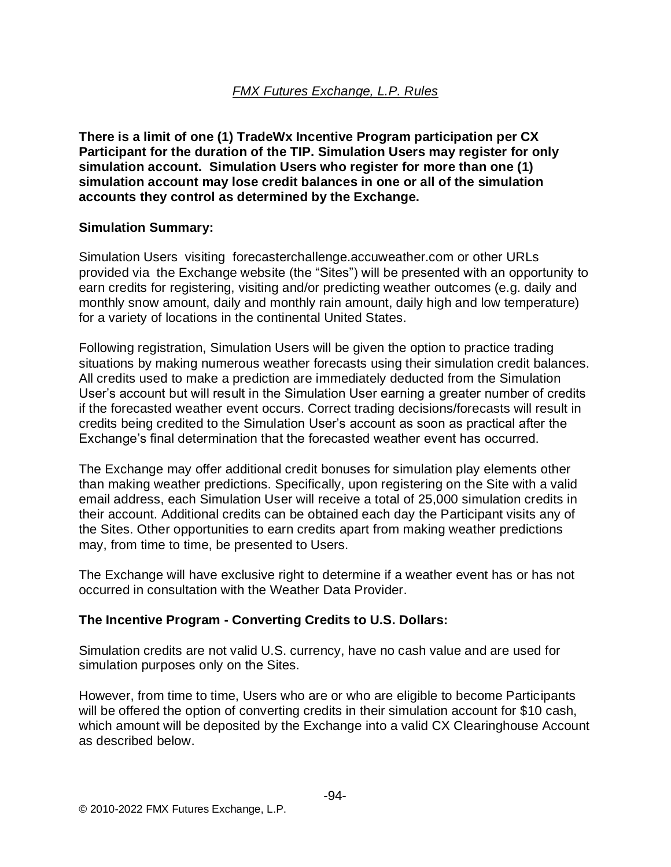**There is a limit of one (1) TradeWx Incentive Program participation per CX Participant for the duration of the TIP. Simulation Users may register for only simulation account. Simulation Users who register for more than one (1) simulation account may lose credit balances in one or all of the simulation accounts they control as determined by the Exchange.**

## **Simulation Summary:**

Simulation Users visiting forecasterchallenge.accuweather.com or other URLs provided via the Exchange website (the "Sites") will be presented with an opportunity to earn credits for registering, visiting and/or predicting weather outcomes (e.g. daily and monthly snow amount, daily and monthly rain amount, daily high and low temperature) for a variety of locations in the continental United States.

Following registration, Simulation Users will be given the option to practice trading situations by making numerous weather forecasts using their simulation credit balances. All credits used to make a prediction are immediately deducted from the Simulation User's account but will result in the Simulation User earning a greater number of credits if the forecasted weather event occurs. Correct trading decisions/forecasts will result in credits being credited to the Simulation User's account as soon as practical after the Exchange's final determination that the forecasted weather event has occurred.

The Exchange may offer additional credit bonuses for simulation play elements other than making weather predictions. Specifically, upon registering on the Site with a valid email address, each Simulation User will receive a total of 25,000 simulation credits in their account. Additional credits can be obtained each day the Participant visits any of the Sites. Other opportunities to earn credits apart from making weather predictions may, from time to time, be presented to Users.

The Exchange will have exclusive right to determine if a weather event has or has not occurred in consultation with the Weather Data Provider.

# **The Incentive Program - Converting Credits to U.S. Dollars:**

Simulation credits are not valid U.S. currency, have no cash value and are used for simulation purposes only on the Sites.

However, from time to time, Users who are or who are eligible to become Participants will be offered the option of converting credits in their simulation account for \$10 cash, which amount will be deposited by the Exchange into a valid CX Clearinghouse Account as described below.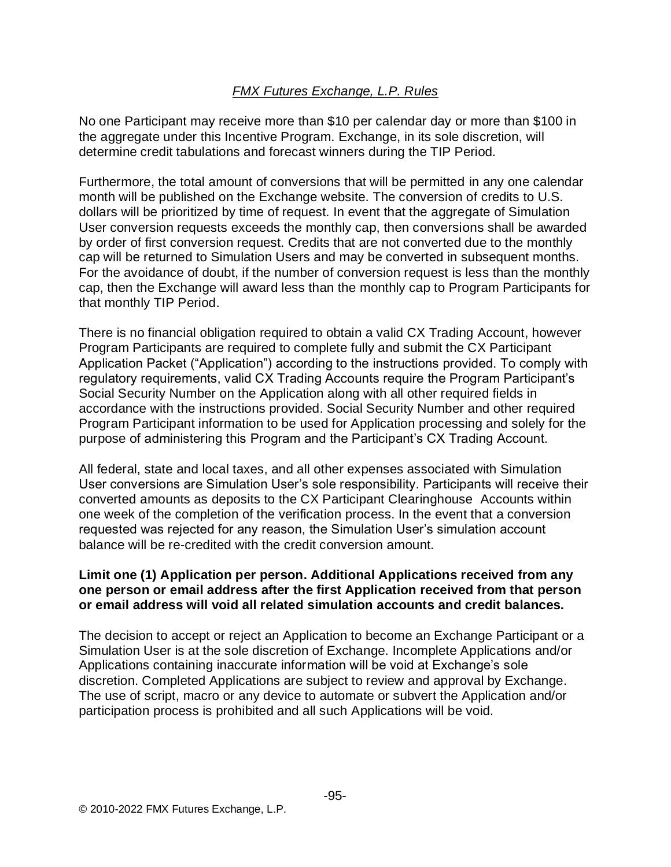No one Participant may receive more than \$10 per calendar day or more than \$100 in the aggregate under this Incentive Program. Exchange, in its sole discretion, will determine credit tabulations and forecast winners during the TIP Period.

Furthermore, the total amount of conversions that will be permitted in any one calendar month will be published on the Exchange website. The conversion of credits to U.S. dollars will be prioritized by time of request. In event that the aggregate of Simulation User conversion requests exceeds the monthly cap, then conversions shall be awarded by order of first conversion request. Credits that are not converted due to the monthly cap will be returned to Simulation Users and may be converted in subsequent months. For the avoidance of doubt, if the number of conversion request is less than the monthly cap, then the Exchange will award less than the monthly cap to Program Participants for that monthly TIP Period.

There is no financial obligation required to obtain a valid CX Trading Account, however Program Participants are required to complete fully and submit the CX Participant Application Packet ("Application") according to the instructions provided. To comply with regulatory requirements, valid CX Trading Accounts require the Program Participant's Social Security Number on the Application along with all other required fields in accordance with the instructions provided. Social Security Number and other required Program Participant information to be used for Application processing and solely for the purpose of administering this Program and the Participant's CX Trading Account.

All federal, state and local taxes, and all other expenses associated with Simulation User conversions are Simulation User's sole responsibility. Participants will receive their converted amounts as deposits to the CX Participant Clearinghouse Accounts within one week of the completion of the verification process. In the event that a conversion requested was rejected for any reason, the Simulation User's simulation account balance will be re-credited with the credit conversion amount.

## **Limit one (1) Application per person. Additional Applications received from any one person or email address after the first Application received from that person or email address will void all related simulation accounts and credit balances.**

The decision to accept or reject an Application to become an Exchange Participant or a Simulation User is at the sole discretion of Exchange. Incomplete Applications and/or Applications containing inaccurate information will be void at Exchange's sole discretion. Completed Applications are subject to review and approval by Exchange. The use of script, macro or any device to automate or subvert the Application and/or participation process is prohibited and all such Applications will be void.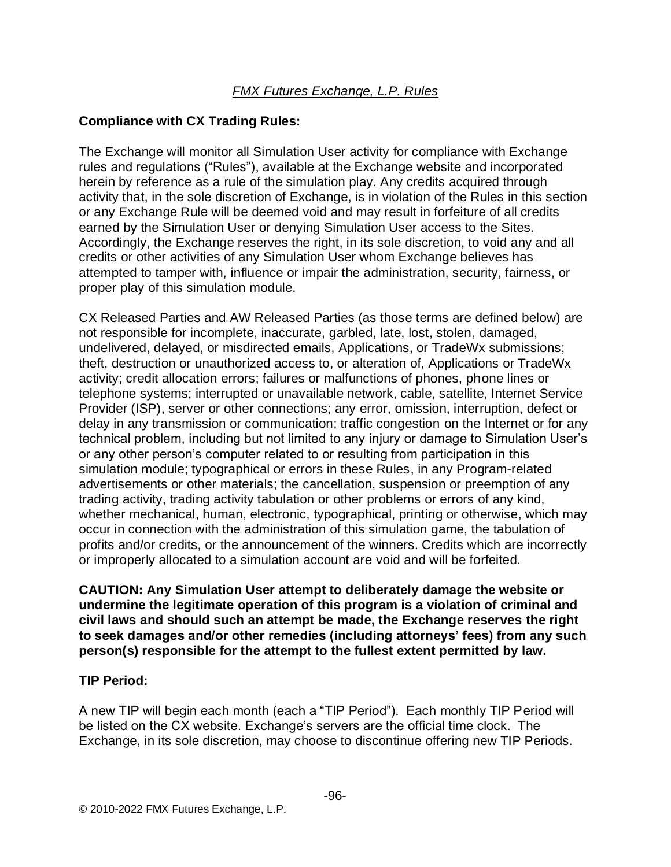## **Compliance with CX Trading Rules:**

The Exchange will monitor all Simulation User activity for compliance with Exchange rules and regulations ("Rules"), available at the Exchange website and incorporated herein by reference as a rule of the simulation play. Any credits acquired through activity that, in the sole discretion of Exchange, is in violation of the Rules in this section or any Exchange Rule will be deemed void and may result in forfeiture of all credits earned by the Simulation User or denying Simulation User access to the Sites. Accordingly, the Exchange reserves the right, in its sole discretion, to void any and all credits or other activities of any Simulation User whom Exchange believes has attempted to tamper with, influence or impair the administration, security, fairness, or proper play of this simulation module.

CX Released Parties and AW Released Parties (as those terms are defined below) are not responsible for incomplete, inaccurate, garbled, late, lost, stolen, damaged, undelivered, delayed, or misdirected emails, Applications, or TradeWx submissions; theft, destruction or unauthorized access to, or alteration of, Applications or TradeWx activity; credit allocation errors; failures or malfunctions of phones, phone lines or telephone systems; interrupted or unavailable network, cable, satellite, Internet Service Provider (ISP), server or other connections; any error, omission, interruption, defect or delay in any transmission or communication; traffic congestion on the Internet or for any technical problem, including but not limited to any injury or damage to Simulation User's or any other person's computer related to or resulting from participation in this simulation module; typographical or errors in these Rules, in any Program-related advertisements or other materials; the cancellation, suspension or preemption of any trading activity, trading activity tabulation or other problems or errors of any kind, whether mechanical, human, electronic, typographical, printing or otherwise, which may occur in connection with the administration of this simulation game, the tabulation of profits and/or credits, or the announcement of the winners. Credits which are incorrectly or improperly allocated to a simulation account are void and will be forfeited.

**CAUTION: Any Simulation User attempt to deliberately damage the website or undermine the legitimate operation of this program is a violation of criminal and civil laws and should such an attempt be made, the Exchange reserves the right to seek damages and/or other remedies (including attorneys' fees) from any such person(s) responsible for the attempt to the fullest extent permitted by law.**

## **TIP Period:**

A new TIP will begin each month (each a "TIP Period"). Each monthly TIP Period will be listed on the CX website. Exchange's servers are the official time clock. The Exchange, in its sole discretion, may choose to discontinue offering new TIP Periods.